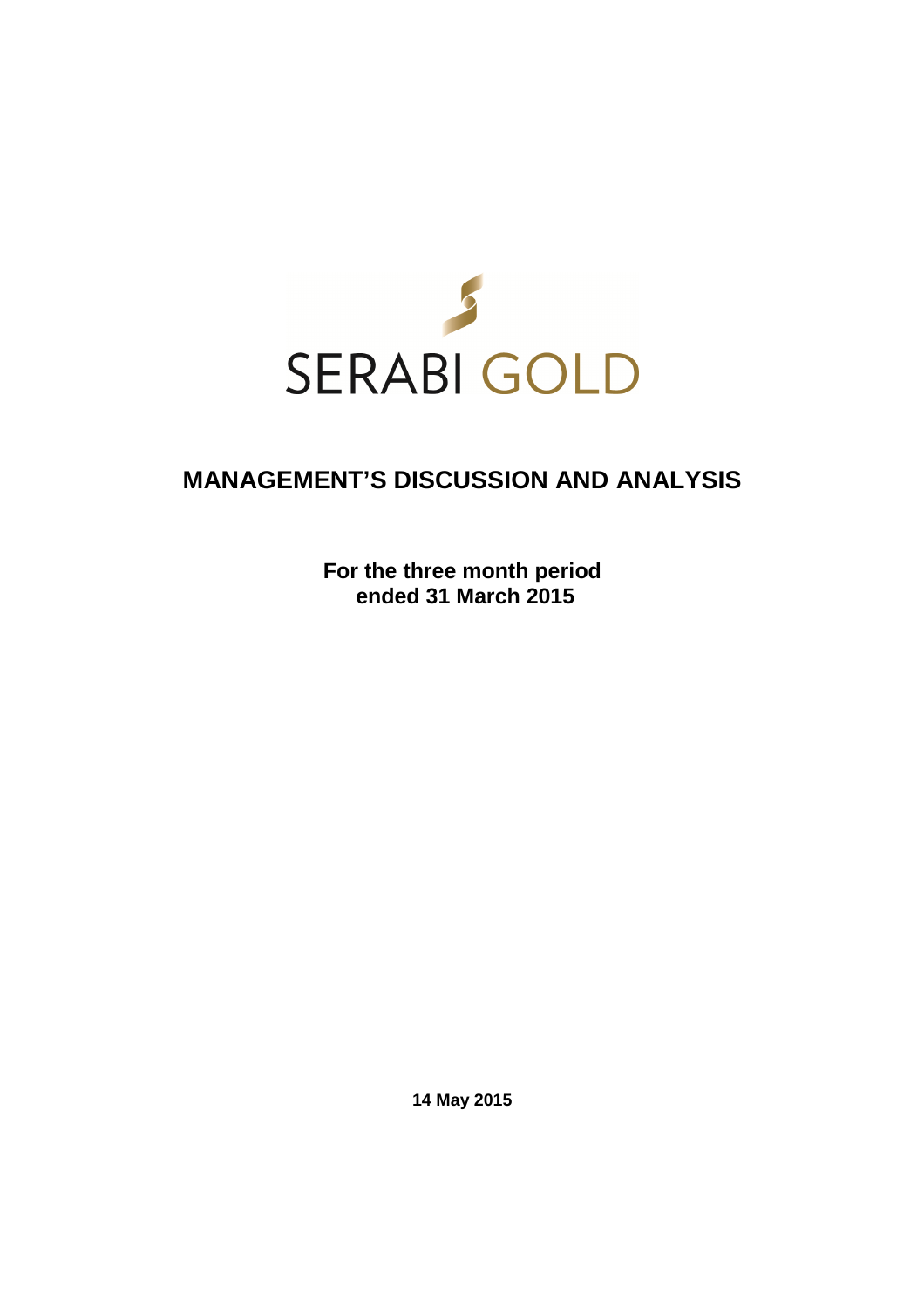

# **MANAGEMENT'S DISCUSSION AND ANALYSIS**

**For the three month period ended 31 March 2015** 

**14 May 2015**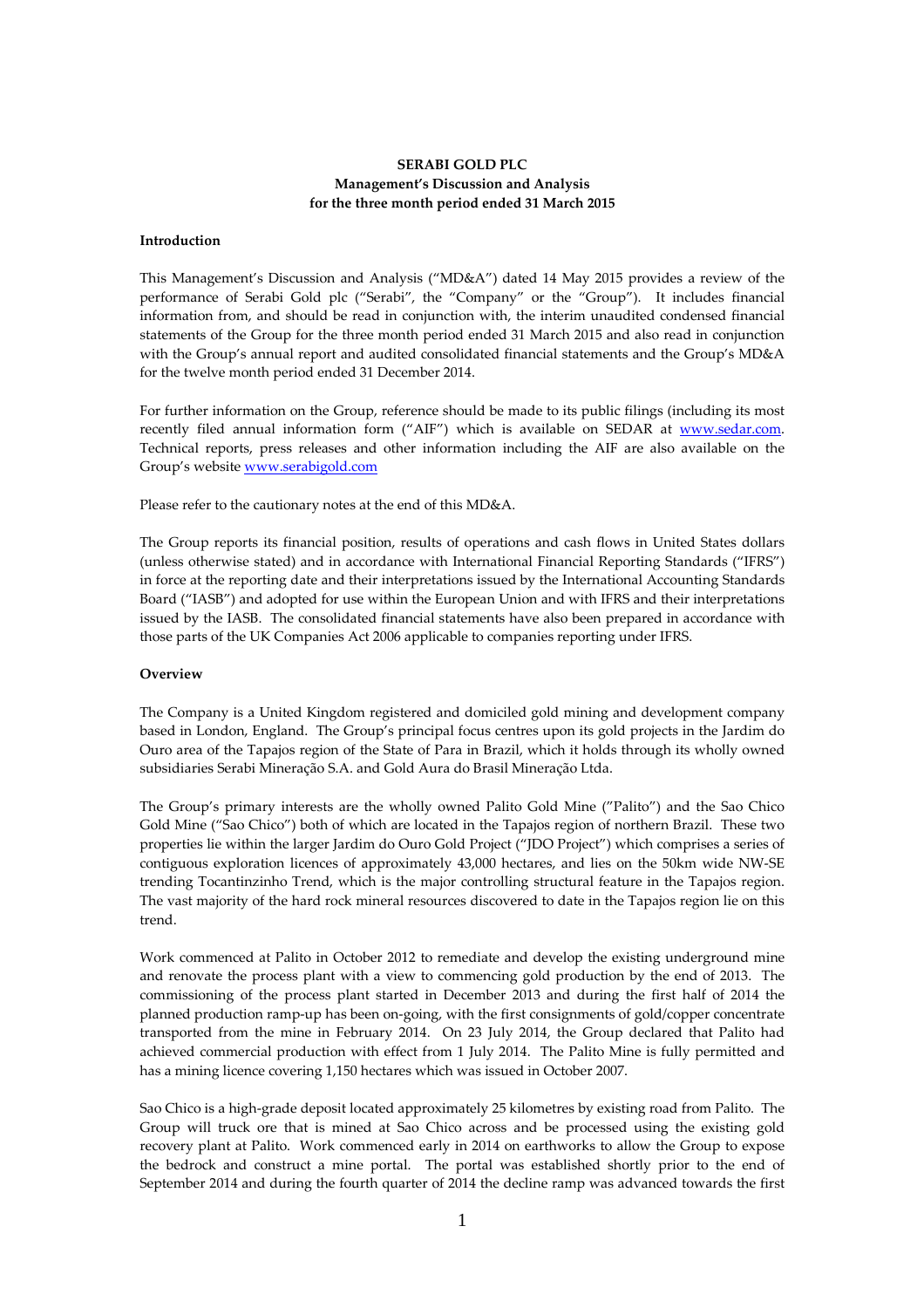# **SERABI GOLD PLC Management's Discussion and Analysis for the three month period ended 31 March 2015**

#### **Introduction**

This Management's Discussion and Analysis ("MD&A") dated 14 May 2015 provides a review of the performance of Serabi Gold plc ("Serabi", the "Company" or the "Group"). It includes financial information from, and should be read in conjunction with, the interim unaudited condensed financial statements of the Group for the three month period ended 31 March 2015 and also read in conjunction with the Group's annual report and audited consolidated financial statements and the Group's MD&A for the twelve month period ended 31 December 2014.

For further information on the Group, reference should be made to its public filings (including its most recently filed annual information form ("AIF") which is available on SEDAR at www.sedar.com. Technical reports, press releases and other information including the AIF are also available on the Group's website www.serabigold.com

Please refer to the cautionary notes at the end of this MD&A.

The Group reports its financial position, results of operations and cash flows in United States dollars (unless otherwise stated) and in accordance with International Financial Reporting Standards ("IFRS") in force at the reporting date and their interpretations issued by the International Accounting Standards Board ("IASB") and adopted for use within the European Union and with IFRS and their interpretations issued by the IASB. The consolidated financial statements have also been prepared in accordance with those parts of the UK Companies Act 2006 applicable to companies reporting under IFRS.

#### **Overview**

The Company is a United Kingdom registered and domiciled gold mining and development company based in London, England. The Group's principal focus centres upon its gold projects in the Jardim do Ouro area of the Tapajos region of the State of Para in Brazil, which it holds through its wholly owned subsidiaries Serabi Mineração S.A. and Gold Aura do Brasil Mineração Ltda.

The Group's primary interests are the wholly owned Palito Gold Mine ("Palito") and the Sao Chico Gold Mine ("Sao Chico") both of which are located in the Tapajos region of northern Brazil. These two properties lie within the larger Jardim do Ouro Gold Project ("JDO Project") which comprises a series of contiguous exploration licences of approximately 43,000 hectares, and lies on the 50km wide NW-SE trending Tocantinzinho Trend, which is the major controlling structural feature in the Tapajos region. The vast majority of the hard rock mineral resources discovered to date in the Tapajos region lie on this trend.

Work commenced at Palito in October 2012 to remediate and develop the existing underground mine and renovate the process plant with a view to commencing gold production by the end of 2013. The commissioning of the process plant started in December 2013 and during the first half of 2014 the planned production ramp-up has been on-going, with the first consignments of gold/copper concentrate transported from the mine in February 2014. On 23 July 2014, the Group declared that Palito had achieved commercial production with effect from 1 July 2014. The Palito Mine is fully permitted and has a mining licence covering 1,150 hectares which was issued in October 2007.

Sao Chico is a high-grade deposit located approximately 25 kilometres by existing road from Palito. The Group will truck ore that is mined at Sao Chico across and be processed using the existing gold recovery plant at Palito. Work commenced early in 2014 on earthworks to allow the Group to expose the bedrock and construct a mine portal. The portal was established shortly prior to the end of September 2014 and during the fourth quarter of 2014 the decline ramp was advanced towards the first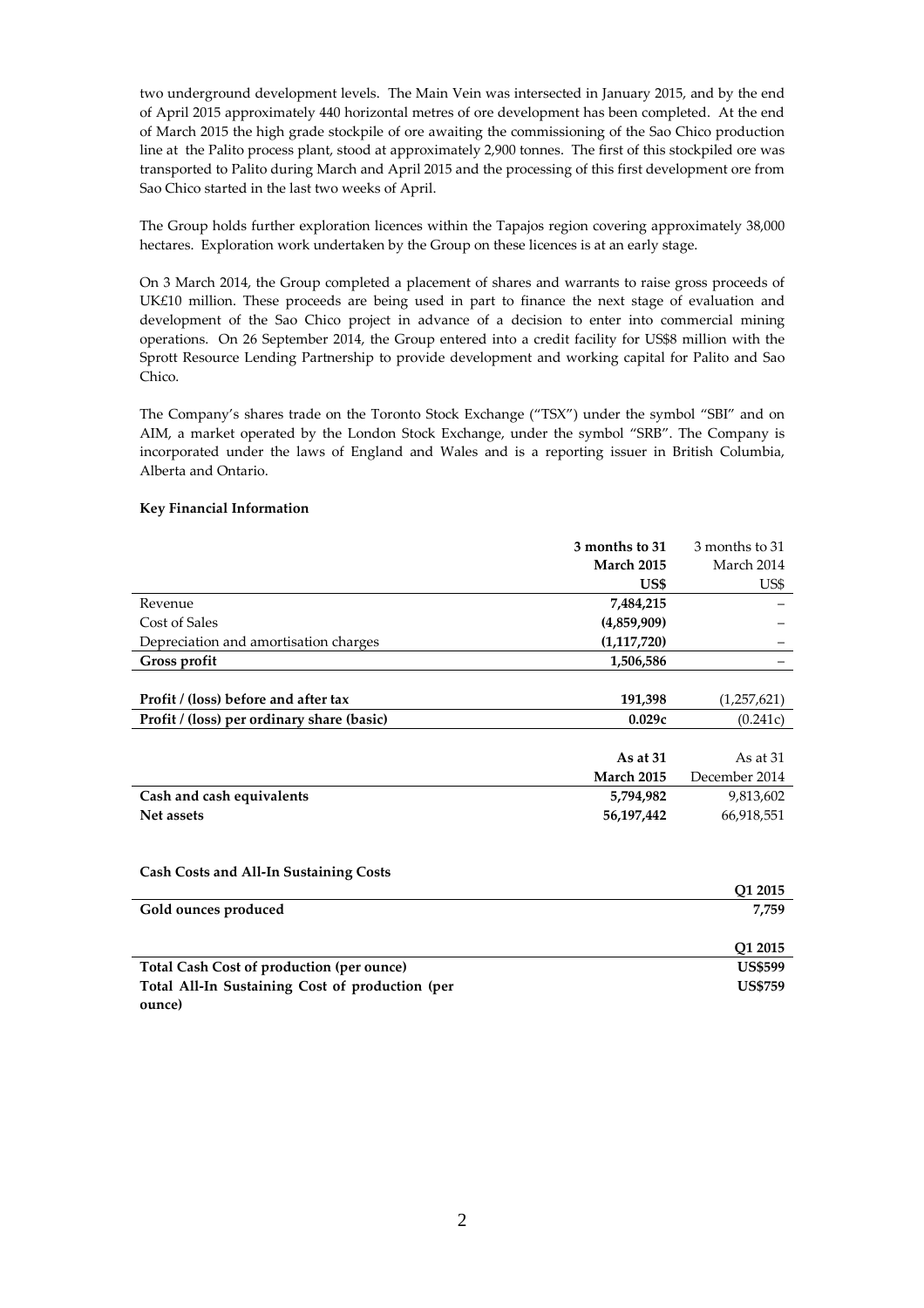two underground development levels. The Main Vein was intersected in January 2015, and by the end of April 2015 approximately 440 horizontal metres of ore development has been completed. At the end of March 2015 the high grade stockpile of ore awaiting the commissioning of the Sao Chico production line at the Palito process plant, stood at approximately 2,900 tonnes. The first of this stockpiled ore was transported to Palito during March and April 2015 and the processing of this first development ore from Sao Chico started in the last two weeks of April.

The Group holds further exploration licences within the Tapajos region covering approximately 38,000 hectares. Exploration work undertaken by the Group on these licences is at an early stage.

On 3 March 2014, the Group completed a placement of shares and warrants to raise gross proceeds of UK£10 million. These proceeds are being used in part to finance the next stage of evaluation and development of the Sao Chico project in advance of a decision to enter into commercial mining operations. On 26 September 2014, the Group entered into a credit facility for US\$8 million with the Sprott Resource Lending Partnership to provide development and working capital for Palito and Sao Chico.

The Company's shares trade on the Toronto Stock Exchange ("TSX") under the symbol "SBI" and on AIM, a market operated by the London Stock Exchange, under the symbol "SRB". The Company is incorporated under the laws of England and Wales and is a reporting issuer in British Columbia, Alberta and Ontario.

# **Key Financial Information**

|                                                 | 3 months to 31    | 3 months to 31 |
|-------------------------------------------------|-------------------|----------------|
|                                                 | <b>March 2015</b> | March 2014     |
|                                                 | US\$              | US\$           |
| Revenue                                         | 7,484,215         |                |
| Cost of Sales                                   | (4,859,909)       |                |
| Depreciation and amortisation charges           | (1,117,720)       |                |
| Gross profit                                    | 1,506,586         |                |
|                                                 |                   |                |
| Profit / (loss) before and after tax            | 191,398           | (1, 257, 621)  |
| Profit / (loss) per ordinary share (basic)      | 0.029c            | (0.241c)       |
|                                                 |                   |                |
|                                                 | As at $31$        | As at $31$     |
|                                                 | <b>March 2015</b> | December 2014  |
| Cash and cash equivalents                       | 5,794,982         | 9,813,602      |
| Net assets                                      | 56,197,442        | 66,918,551     |
|                                                 |                   |                |
|                                                 |                   |                |
| <b>Cash Costs and All-In Sustaining Costs</b>   |                   |                |
|                                                 |                   | Q1 2015        |
| Gold ounces produced                            |                   | 7,759          |
|                                                 |                   |                |
|                                                 |                   | Q1 2015        |
| Total Cash Cost of production (per ounce)       |                   | <b>US\$599</b> |
| Total All-In Sustaining Cost of production (per |                   | <b>US\$759</b> |
| ounce)                                          |                   |                |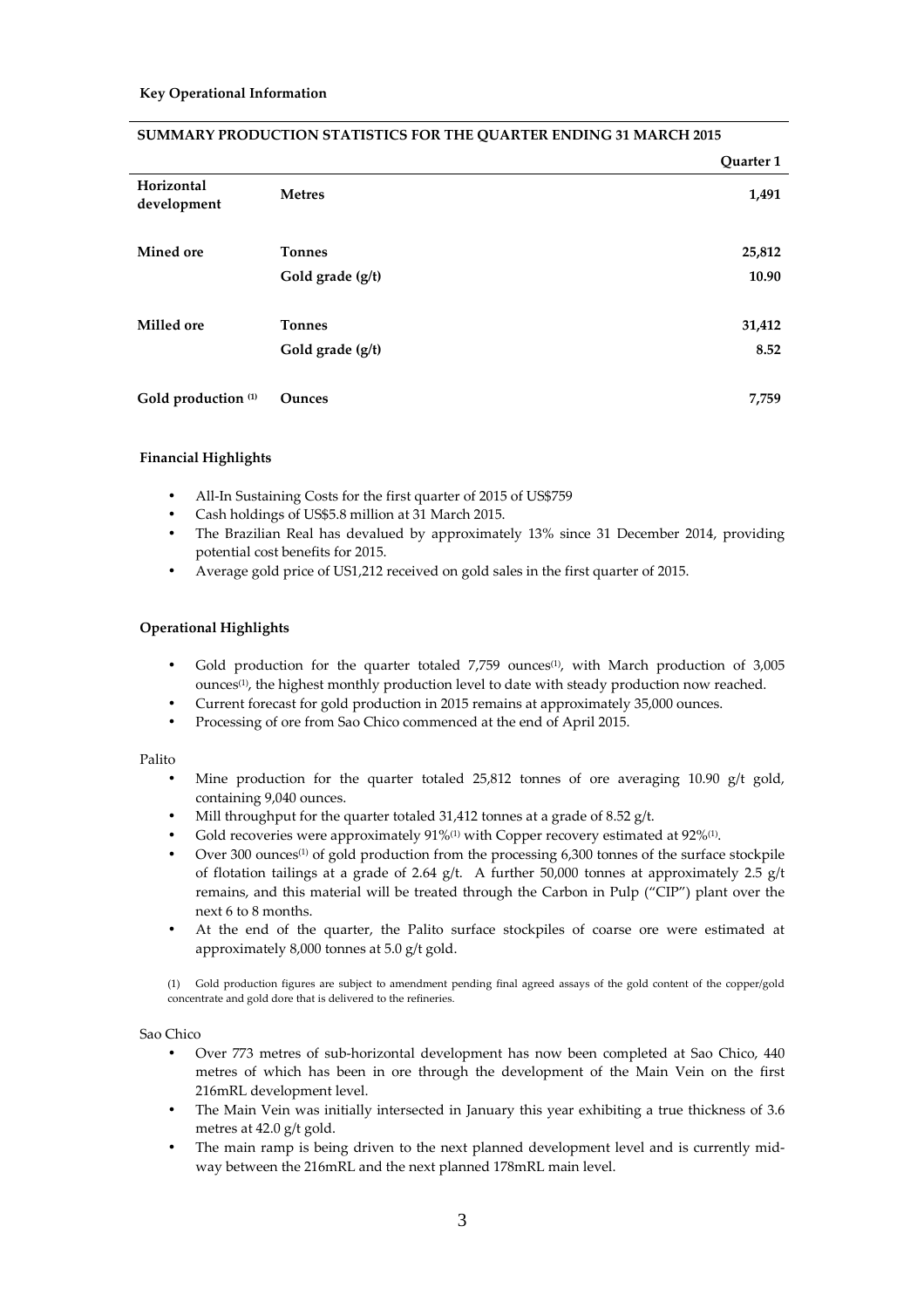|                                |                  | Quarter 1 |
|--------------------------------|------------------|-----------|
| Horizontal<br>development      | <b>Metres</b>    | 1,491     |
| Mined ore                      | <b>Tonnes</b>    | 25,812    |
|                                | Gold grade (g/t) | 10.90     |
| Milled ore                     | <b>Tonnes</b>    | 31,412    |
|                                | Gold grade (g/t) | 8.52      |
| Gold production <sup>(1)</sup> | Ounces           | 7,759     |

#### **SUMMARY PRODUCTION STATISTICS FOR THE QUARTER ENDING 31 MARCH 2015**

#### **Financial Highlights**

- All-In Sustaining Costs for the first quarter of 2015 of US\$759
- Cash holdings of US\$5.8 million at 31 March 2015.
- The Brazilian Real has devalued by approximately 13% since 31 December 2014, providing potential cost benefits for 2015.
- Average gold price of US1,212 received on gold sales in the first quarter of 2015.

#### **Operational Highlights**

- Gold production for the quarter totaled 7,759 ounces<sup>(1)</sup>, with March production of 3,005 ounces<sup>(1)</sup>, the highest monthly production level to date with steady production now reached.
- Current forecast for gold production in 2015 remains at approximately 35,000 ounces.
- Processing of ore from Sao Chico commenced at the end of April 2015.

#### Palito

- Mine production for the quarter totaled  $25,812$  tonnes of ore averaging 10.90 g/t gold, containing 9,040 ounces.
- Mill throughput for the quarter totaled 31,412 tonnes at a grade of 8.52 g/t.
- Gold recoveries were approximately  $91\%$ <sup>(1)</sup> with Copper recovery estimated at  $92\%$ <sup>(1)</sup>.
- Over 300 ounces<sup>(1)</sup> of gold production from the processing  $6,300$  tonnes of the surface stockpile of flotation tailings at a grade of 2.64 g/t. A further 50,000 tonnes at approximately 2.5 g/t remains, and this material will be treated through the Carbon in Pulp ("CIP") plant over the next 6 to 8 months.
- At the end of the quarter, the Palito surface stockpiles of coarse ore were estimated at approximately 8,000 tonnes at 5.0 g/t gold.

(1) Gold production figures are subject to amendment pending final agreed assays of the gold content of the copper/gold concentrate and gold dore that is delivered to the refineries.

Sao Chico

- Over 773 metres of sub-horizontal development has now been completed at Sao Chico, 440 metres of which has been in ore through the development of the Main Vein on the first 216mRL development level.
- The Main Vein was initially intersected in January this year exhibiting a true thickness of 3.6 metres at 42.0 g/t gold.
- The main ramp is being driven to the next planned development level and is currently midway between the 216mRL and the next planned 178mRL main level.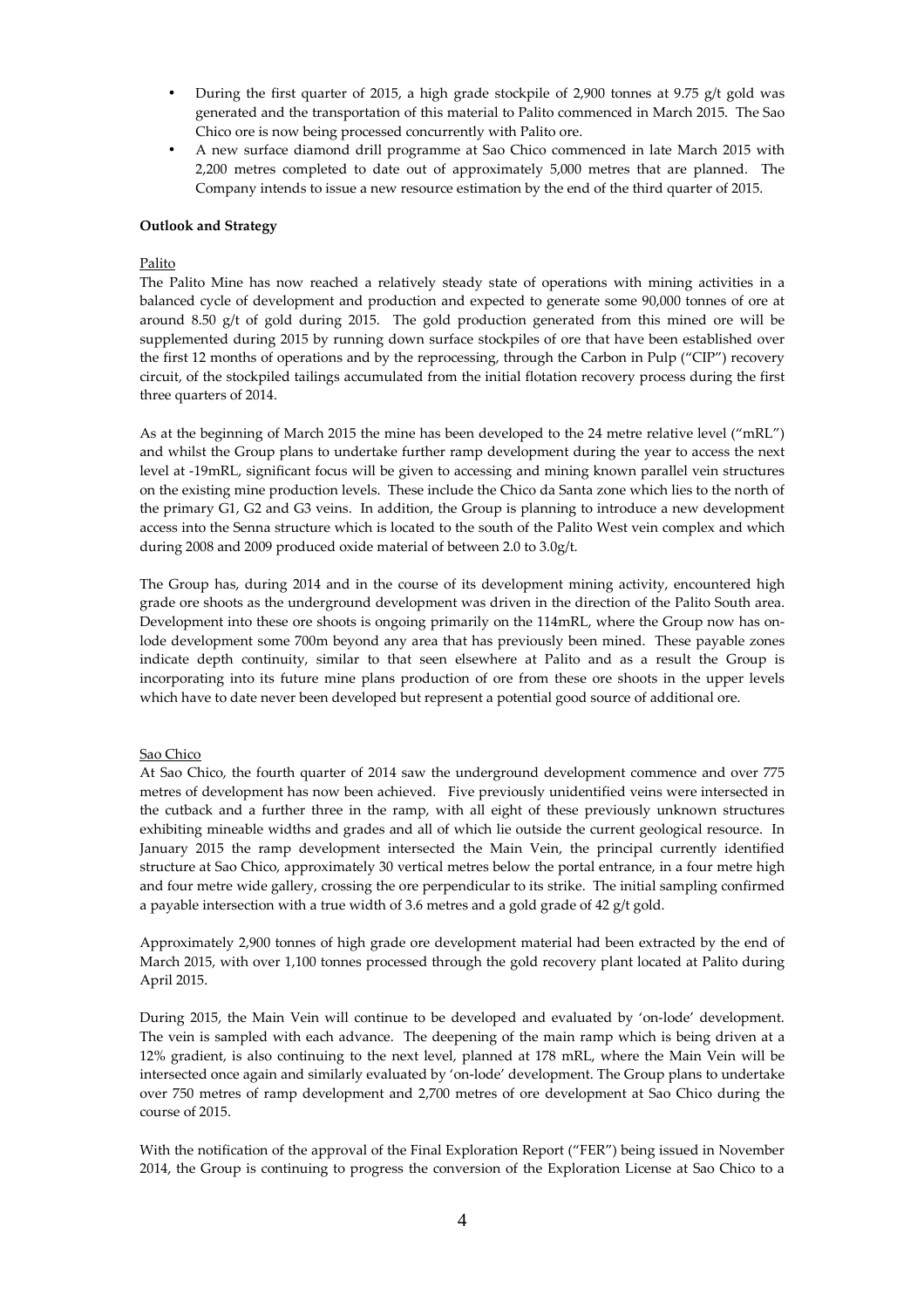- During the first quarter of 2015, a high grade stockpile of 2,900 tonnes at 9.75 g/t gold was generated and the transportation of this material to Palito commenced in March 2015. The Sao Chico ore is now being processed concurrently with Palito ore.
- A new surface diamond drill programme at Sao Chico commenced in late March 2015 with 2,200 metres completed to date out of approximately 5,000 metres that are planned. The Company intends to issue a new resource estimation by the end of the third quarter of 2015.

### **Outlook and Strategy**

# Palito

The Palito Mine has now reached a relatively steady state of operations with mining activities in a balanced cycle of development and production and expected to generate some 90,000 tonnes of ore at around 8.50 g/t of gold during 2015. The gold production generated from this mined ore will be supplemented during 2015 by running down surface stockpiles of ore that have been established over the first 12 months of operations and by the reprocessing, through the Carbon in Pulp ("CIP") recovery circuit, of the stockpiled tailings accumulated from the initial flotation recovery process during the first three quarters of 2014.

As at the beginning of March 2015 the mine has been developed to the 24 metre relative level ("mRL") and whilst the Group plans to undertake further ramp development during the year to access the next level at -19mRL, significant focus will be given to accessing and mining known parallel vein structures on the existing mine production levels. These include the Chico da Santa zone which lies to the north of the primary G1, G2 and G3 veins. In addition, the Group is planning to introduce a new development access into the Senna structure which is located to the south of the Palito West vein complex and which during 2008 and 2009 produced oxide material of between 2.0 to 3.0g/t.

The Group has, during 2014 and in the course of its development mining activity, encountered high grade ore shoots as the underground development was driven in the direction of the Palito South area. Development into these ore shoots is ongoing primarily on the 114mRL, where the Group now has onlode development some 700m beyond any area that has previously been mined. These payable zones indicate depth continuity, similar to that seen elsewhere at Palito and as a result the Group is incorporating into its future mine plans production of ore from these ore shoots in the upper levels which have to date never been developed but represent a potential good source of additional ore.

#### Sao Chico

At Sao Chico, the fourth quarter of 2014 saw the underground development commence and over 775 metres of development has now been achieved. Five previously unidentified veins were intersected in the cutback and a further three in the ramp, with all eight of these previously unknown structures exhibiting mineable widths and grades and all of which lie outside the current geological resource. In January 2015 the ramp development intersected the Main Vein, the principal currently identified structure at Sao Chico, approximately 30 vertical metres below the portal entrance, in a four metre high and four metre wide gallery, crossing the ore perpendicular to its strike. The initial sampling confirmed a payable intersection with a true width of 3.6 metres and a gold grade of 42 g/t gold.

Approximately 2,900 tonnes of high grade ore development material had been extracted by the end of March 2015, with over 1,100 tonnes processed through the gold recovery plant located at Palito during April 2015.

During 2015, the Main Vein will continue to be developed and evaluated by 'on-lode' development. The vein is sampled with each advance. The deepening of the main ramp which is being driven at a 12% gradient, is also continuing to the next level, planned at 178 mRL, where the Main Vein will be intersected once again and similarly evaluated by 'on-lode' development. The Group plans to undertake over 750 metres of ramp development and 2,700 metres of ore development at Sao Chico during the course of 2015.

With the notification of the approval of the Final Exploration Report ("FER") being issued in November 2014, the Group is continuing to progress the conversion of the Exploration License at Sao Chico to a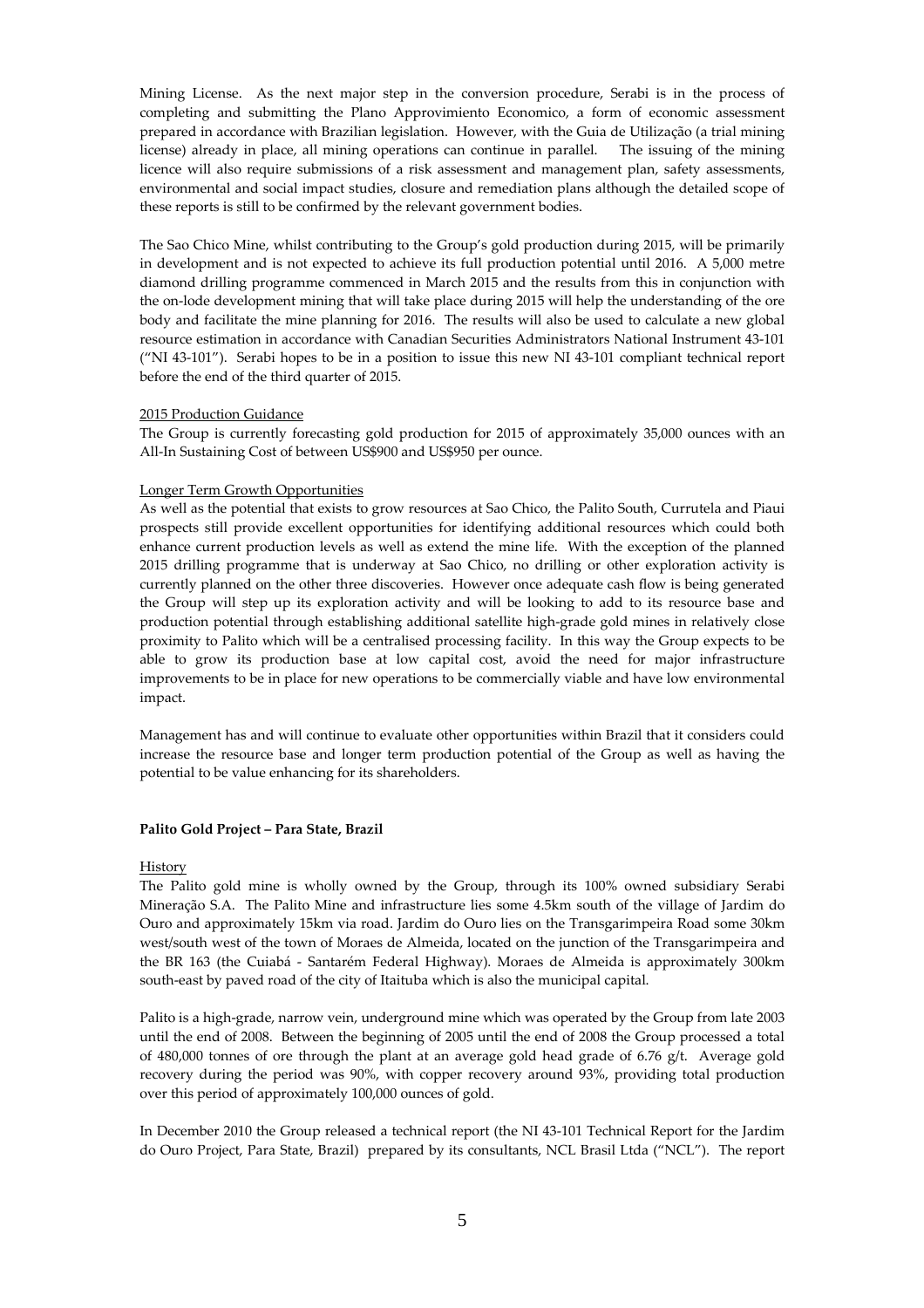Mining License. As the next major step in the conversion procedure, Serabi is in the process of completing and submitting the Plano Approvimiento Economico, a form of economic assessment prepared in accordance with Brazilian legislation. However, with the Guia de Utilização (a trial mining license) already in place, all mining operations can continue in parallel. The issuing of the mining licence will also require submissions of a risk assessment and management plan, safety assessments, environmental and social impact studies, closure and remediation plans although the detailed scope of these reports is still to be confirmed by the relevant government bodies.

The Sao Chico Mine, whilst contributing to the Group's gold production during 2015, will be primarily in development and is not expected to achieve its full production potential until 2016. A 5,000 metre diamond drilling programme commenced in March 2015 and the results from this in conjunction with the on-lode development mining that will take place during 2015 will help the understanding of the ore body and facilitate the mine planning for 2016. The results will also be used to calculate a new global resource estimation in accordance with Canadian Securities Administrators National Instrument 43-101 ("NI 43-101"). Serabi hopes to be in a position to issue this new NI 43-101 compliant technical report before the end of the third quarter of 2015.

#### 2015 Production Guidance

The Group is currently forecasting gold production for 2015 of approximately 35,000 ounces with an All-In Sustaining Cost of between US\$900 and US\$950 per ounce.

#### Longer Term Growth Opportunities

As well as the potential that exists to grow resources at Sao Chico, the Palito South, Currutela and Piaui prospects still provide excellent opportunities for identifying additional resources which could both enhance current production levels as well as extend the mine life. With the exception of the planned 2015 drilling programme that is underway at Sao Chico, no drilling or other exploration activity is currently planned on the other three discoveries. However once adequate cash flow is being generated the Group will step up its exploration activity and will be looking to add to its resource base and production potential through establishing additional satellite high-grade gold mines in relatively close proximity to Palito which will be a centralised processing facility. In this way the Group expects to be able to grow its production base at low capital cost, avoid the need for major infrastructure improvements to be in place for new operations to be commercially viable and have low environmental impact.

Management has and will continue to evaluate other opportunities within Brazil that it considers could increase the resource base and longer term production potential of the Group as well as having the potential to be value enhancing for its shareholders.

#### **Palito Gold Project – Para State, Brazil**

#### History

The Palito gold mine is wholly owned by the Group, through its 100% owned subsidiary Serabi Mineração S.A. The Palito Mine and infrastructure lies some 4.5km south of the village of Jardim do Ouro and approximately 15km via road. Jardim do Ouro lies on the Transgarimpeira Road some 30km west/south west of the town of Moraes de Almeida, located on the junction of the Transgarimpeira and the BR 163 (the Cuiabá - Santarém Federal Highway). Moraes de Almeida is approximately 300km south-east by paved road of the city of Itaituba which is also the municipal capital.

Palito is a high-grade, narrow vein, underground mine which was operated by the Group from late 2003 until the end of 2008. Between the beginning of 2005 until the end of 2008 the Group processed a total of 480,000 tonnes of ore through the plant at an average gold head grade of 6.76 g/t. Average gold recovery during the period was 90%, with copper recovery around 93%, providing total production over this period of approximately 100,000 ounces of gold.

In December 2010 the Group released a technical report (the NI 43-101 Technical Report for the Jardim do Ouro Project, Para State, Brazil) prepared by its consultants, NCL Brasil Ltda ("NCL"). The report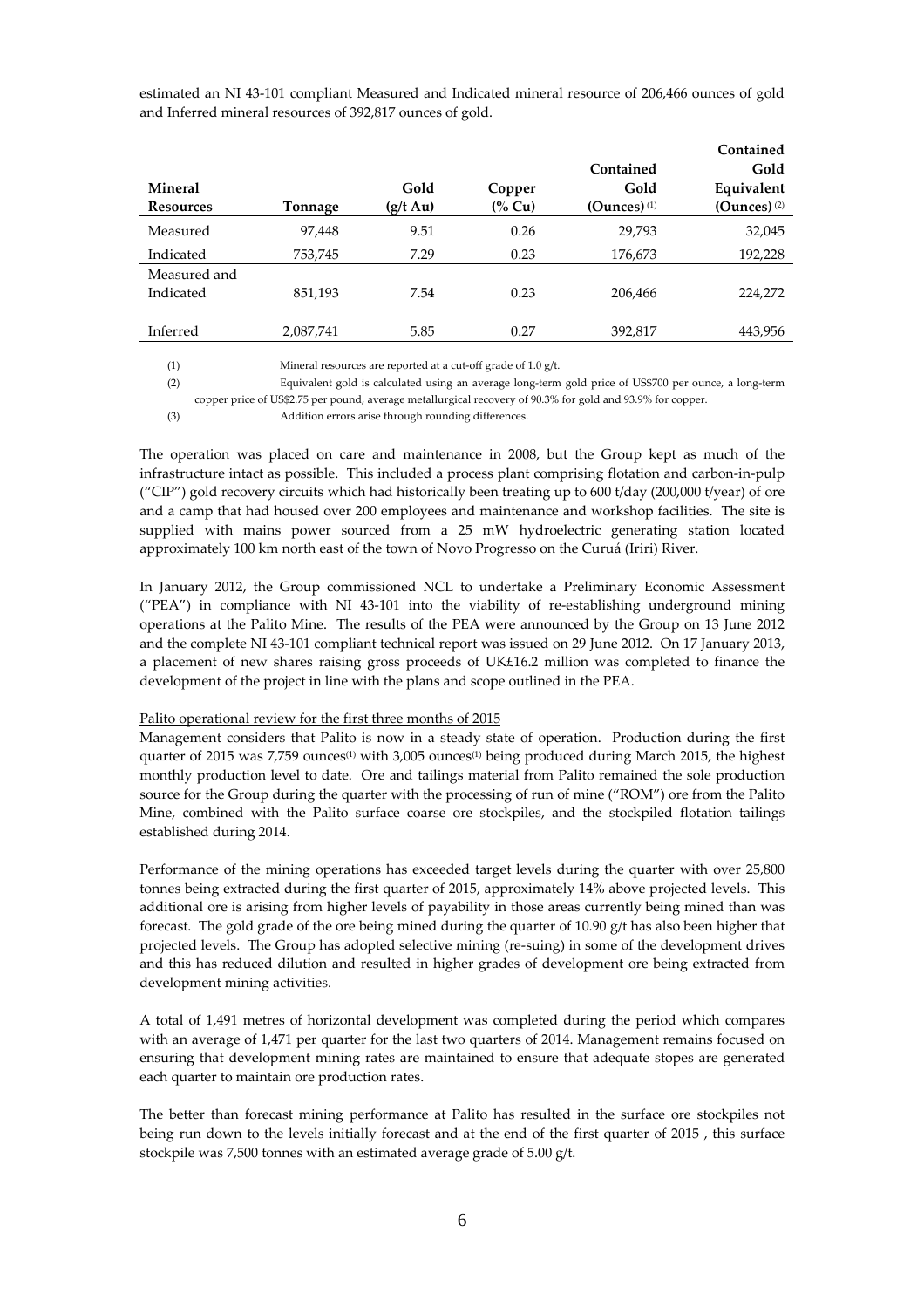estimated an NI 43-101 compliant Measured and Indicated mineral resource of 206,466 ounces of gold and Inferred mineral resources of 392,817 ounces of gold.

|                  |           |                    |                  |                           | Contained      |
|------------------|-----------|--------------------|------------------|---------------------------|----------------|
|                  |           |                    |                  | Contained                 | Gold           |
| <b>Mineral</b>   |           | Gold               | Copper           | Gold                      | Equivalent     |
| <b>Resources</b> | Tonnage   | $(g/t \text{ Au})$ | $\frac{6}{6}$ Cu | $(Qunces)$ <sup>(1)</sup> | $(Qunces)$ (2) |
| Measured         | 97,448    | 9.51               | 0.26             | 29.793                    | 32,045         |
| Indicated        | 753,745   | 7.29               | 0.23             | 176,673                   | 192,228        |
| Measured and     |           |                    |                  |                           |                |
| Indicated        | 851,193   | 7.54               | 0.23             | 206,466                   | 224,272        |
|                  |           |                    |                  |                           |                |
| Inferred         | 2,087,741 | 5.85               | 0.27             | 392,817                   | 443,956        |
|                  |           |                    |                  |                           |                |

(1) Mineral resources are reported at a cut-off grade of 1.0 g/t.

(2) Equivalent gold is calculated using an average long-term gold price of US\$700 per ounce, a long-term copper price of US\$2.75 per pound, average metallurgical recovery of 90.3% for gold and 93.9% for copper.

(3) Addition errors arise through rounding differences.

The operation was placed on care and maintenance in 2008, but the Group kept as much of the infrastructure intact as possible. This included a process plant comprising flotation and carbon-in-pulp ("CIP") gold recovery circuits which had historically been treating up to 600 t/day (200,000 t/year) of ore and a camp that had housed over 200 employees and maintenance and workshop facilities. The site is supplied with mains power sourced from a 25 mW hydroelectric generating station located approximately 100 km north east of the town of Novo Progresso on the Curuá (Iriri) River.

In January 2012, the Group commissioned NCL to undertake a Preliminary Economic Assessment ("PEA") in compliance with NI 43-101 into the viability of re-establishing underground mining operations at the Palito Mine. The results of the PEA were announced by the Group on 13 June 2012 and the complete NI 43-101 compliant technical report was issued on 29 June 2012. On 17 January 2013, a placement of new shares raising gross proceeds of UK£16.2 million was completed to finance the development of the project in line with the plans and scope outlined in the PEA.

#### Palito operational review for the first three months of 2015

Management considers that Palito is now in a steady state of operation. Production during the first quarter of 2015 was 7,759 ounces<sup>(1)</sup> with 3,005 ounces<sup>(1)</sup> being produced during March 2015, the highest monthly production level to date. Ore and tailings material from Palito remained the sole production source for the Group during the quarter with the processing of run of mine ("ROM") ore from the Palito Mine, combined with the Palito surface coarse ore stockpiles, and the stockpiled flotation tailings established during 2014.

Performance of the mining operations has exceeded target levels during the quarter with over 25,800 tonnes being extracted during the first quarter of 2015, approximately 14% above projected levels. This additional ore is arising from higher levels of payability in those areas currently being mined than was forecast. The gold grade of the ore being mined during the quarter of 10.90 g/t has also been higher that projected levels. The Group has adopted selective mining (re-suing) in some of the development drives and this has reduced dilution and resulted in higher grades of development ore being extracted from development mining activities.

A total of 1,491 metres of horizontal development was completed during the period which compares with an average of 1,471 per quarter for the last two quarters of 2014. Management remains focused on ensuring that development mining rates are maintained to ensure that adequate stopes are generated each quarter to maintain ore production rates.

The better than forecast mining performance at Palito has resulted in the surface ore stockpiles not being run down to the levels initially forecast and at the end of the first quarter of 2015 , this surface stockpile was 7,500 tonnes with an estimated average grade of 5.00 g/t.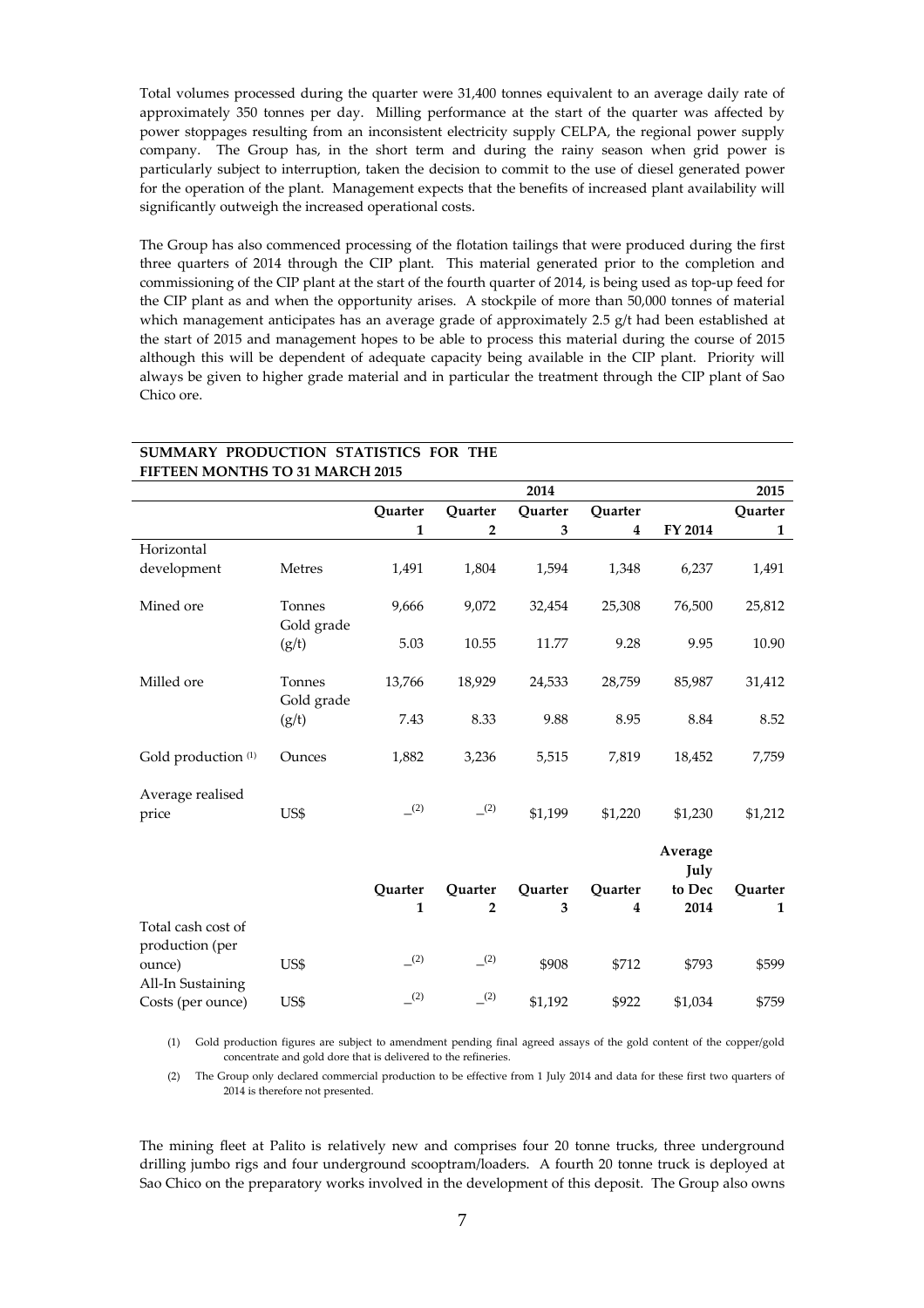Total volumes processed during the quarter were 31,400 tonnes equivalent to an average daily rate of approximately 350 tonnes per day. Milling performance at the start of the quarter was affected by power stoppages resulting from an inconsistent electricity supply CELPA, the regional power supply company. The Group has, in the short term and during the rainy season when grid power is particularly subject to interruption, taken the decision to commit to the use of diesel generated power for the operation of the plant. Management expects that the benefits of increased plant availability will significantly outweigh the increased operational costs.

The Group has also commenced processing of the flotation tailings that were produced during the first three quarters of 2014 through the CIP plant. This material generated prior to the completion and commissioning of the CIP plant at the start of the fourth quarter of 2014, is being used as top-up feed for the CIP plant as and when the opportunity arises. A stockpile of more than 50,000 tonnes of material which management anticipates has an average grade of approximately 2.5  $g/t$  had been established at the start of 2015 and management hopes to be able to process this material during the course of 2015 although this will be dependent of adequate capacity being available in the CIP plant. Priority will always be given to higher grade material and in particular the treatment through the CIP plant of Sao Chico ore.

| <b>FIFTEEN MONTHS TO 31 MARCH 2015</b> |                      |         |                |         |         |                 |         |
|----------------------------------------|----------------------|---------|----------------|---------|---------|-----------------|---------|
|                                        |                      |         |                | 2014    |         |                 | 2015    |
|                                        |                      | Ouarter | Ouarter        | Ouarter | Ouarter |                 | Ouarter |
|                                        |                      | 1       | 2              | 3       | 4       | FY 2014         | 1       |
| Horizontal                             |                      |         |                |         |         |                 |         |
| development                            | Metres               | 1,491   | 1,804          | 1,594   | 1,348   | 6,237           | 1,491   |
| Mined ore                              | Tonnes<br>Gold grade | 9,666   | 9,072          | 32,454  | 25,308  | 76,500          | 25,812  |
|                                        | (g/t)                | 5.03    | 10.55          | 11.77   | 9.28    | 9.95            | 10.90   |
| Milled ore                             | Tonnes<br>Gold grade | 13,766  | 18,929         | 24,533  | 28,759  | 85,987          | 31,412  |
|                                        | (g/t)                | 7.43    | 8.33           | 9.88    | 8.95    | 8.84            | 8.52    |
| Gold production <sup>(1)</sup>         | Ounces               | 1,882   | 3,236          | 5,515   | 7,819   | 18,452          | 7,759   |
| Average realised<br>price              | US\$                 | (2)     | (2)            | \$1,199 | \$1,220 | \$1,230         | \$1,212 |
|                                        |                      |         |                |         |         | Average<br>July |         |
|                                        |                      | Quarter | Quarter        | Quarter | Ouarter | to Dec          | Quarter |
|                                        |                      | 1       | $\overline{2}$ | 3       | 4       | 2014            | 1       |
| Total cash cost of<br>production (per  |                      |         |                |         |         |                 |         |
| ounce)<br>All-In Sustaining            | US\$                 | (2)     | (2)            | \$908   | \$712   | \$793           | \$599   |
| $C$ octe (par ounce)                   | <b>TICC</b>          | (2)     | (2)            | \$1192  | QQ22    | \$1021          | \$750   |

# **SUMMARY PRODUCTION STATISTICS FOR THE**

Costs (per ounce) US\$ –

(1) Gold production figures are subject to amendment pending final agreed assays of the gold content of the copper/gold concentrate and gold dore that is delivered to the refineries.

(2) \$1,192 \$922 \$1,034 \$759

(2) The Group only declared commercial production to be effective from 1 July 2014 and data for these first two quarters of 2014 is therefore not presented.

The mining fleet at Palito is relatively new and comprises four 20 tonne trucks, three underground drilling jumbo rigs and four underground scooptram/loaders. A fourth 20 tonne truck is deployed at Sao Chico on the preparatory works involved in the development of this deposit. The Group also owns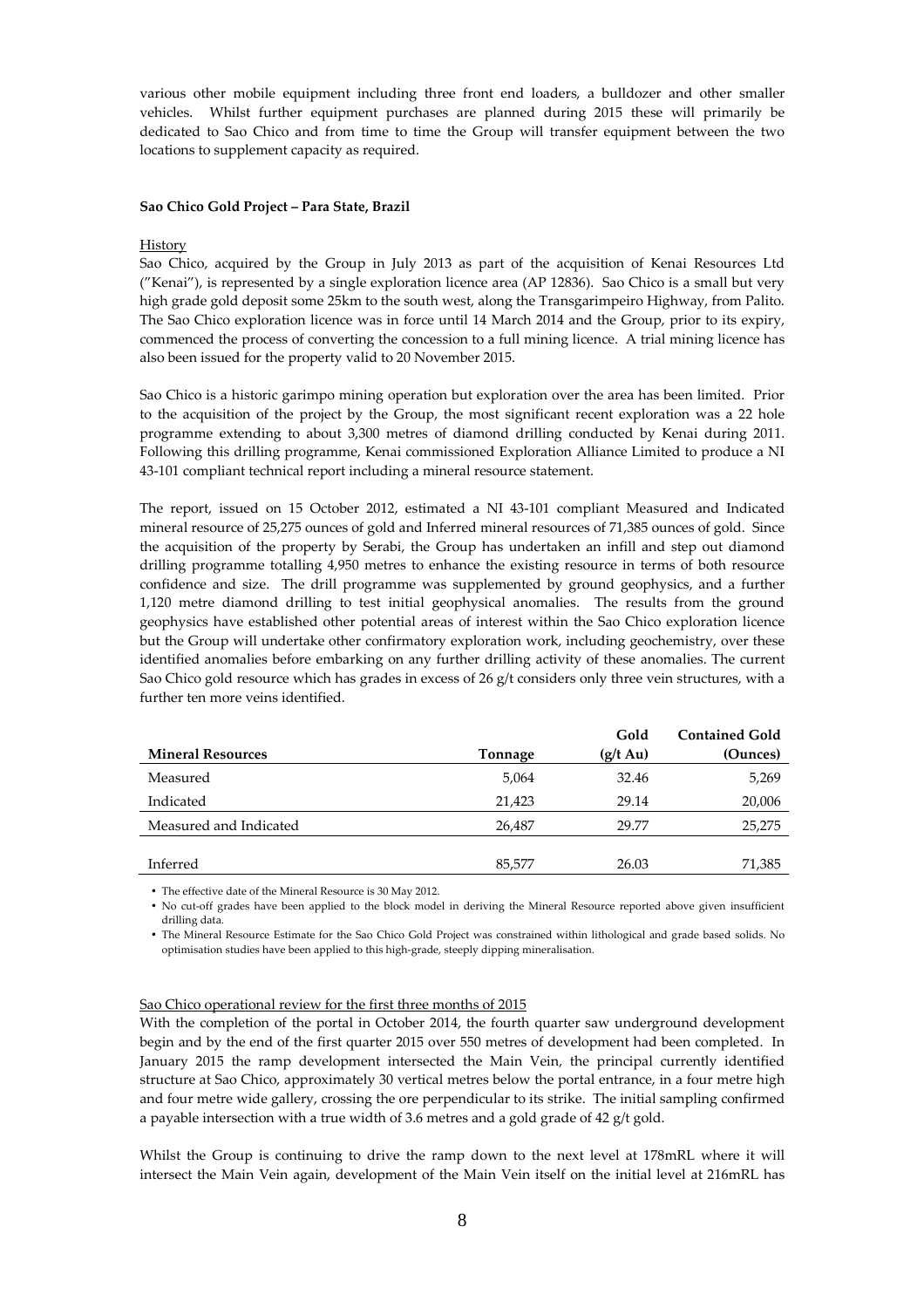various other mobile equipment including three front end loaders, a bulldozer and other smaller vehicles. Whilst further equipment purchases are planned during 2015 these will primarily be dedicated to Sao Chico and from time to time the Group will transfer equipment between the two locations to supplement capacity as required.

#### **Sao Chico Gold Project – Para State, Brazil**

#### History

Sao Chico, acquired by the Group in July 2013 as part of the acquisition of Kenai Resources Ltd ("Kenai"), is represented by a single exploration licence area (AP 12836). Sao Chico is a small but very high grade gold deposit some 25km to the south west, along the Transgarimpeiro Highway, from Palito. The Sao Chico exploration licence was in force until 14 March 2014 and the Group, prior to its expiry, commenced the process of converting the concession to a full mining licence. A trial mining licence has also been issued for the property valid to 20 November 2015.

Sao Chico is a historic garimpo mining operation but exploration over the area has been limited. Prior to the acquisition of the project by the Group, the most significant recent exploration was a 22 hole programme extending to about 3,300 metres of diamond drilling conducted by Kenai during 2011. Following this drilling programme, Kenai commissioned Exploration Alliance Limited to produce a NI 43-101 compliant technical report including a mineral resource statement.

The report, issued on 15 October 2012, estimated a NI 43-101 compliant Measured and Indicated mineral resource of 25,275 ounces of gold and Inferred mineral resources of 71,385 ounces of gold. Since the acquisition of the property by Serabi, the Group has undertaken an infill and step out diamond drilling programme totalling 4,950 metres to enhance the existing resource in terms of both resource confidence and size. The drill programme was supplemented by ground geophysics, and a further 1,120 metre diamond drilling to test initial geophysical anomalies. The results from the ground geophysics have established other potential areas of interest within the Sao Chico exploration licence but the Group will undertake other confirmatory exploration work, including geochemistry, over these identified anomalies before embarking on any further drilling activity of these anomalies. The current Sao Chico gold resource which has grades in excess of 26 g/t considers only three vein structures, with a further ten more veins identified.

|                          |         | Gold               | <b>Contained Gold</b> |
|--------------------------|---------|--------------------|-----------------------|
| <b>Mineral Resources</b> | Tonnage | $(g/t \text{ Au})$ | (Ounces)              |
| Measured                 | 5,064   | 32.46              | 5,269                 |
| Indicated                | 21,423  | 29.14              | 20,006                |
| Measured and Indicated   | 26.487  | 29.77              | 25,275                |
|                          |         |                    |                       |
| Inferred                 | 85,577  | 26.03              | 71,385                |

• The effective date of the Mineral Resource is 30 May 2012.

• No cut-off grades have been applied to the block model in deriving the Mineral Resource reported above given insufficient drilling data.

• The Mineral Resource Estimate for the Sao Chico Gold Project was constrained within lithological and grade based solids. No optimisation studies have been applied to this high-grade, steeply dipping mineralisation.

#### Sao Chico operational review for the first three months of 2015

With the completion of the portal in October 2014, the fourth quarter saw underground development begin and by the end of the first quarter 2015 over 550 metres of development had been completed. In January 2015 the ramp development intersected the Main Vein, the principal currently identified structure at Sao Chico, approximately 30 vertical metres below the portal entrance, in a four metre high and four metre wide gallery, crossing the ore perpendicular to its strike. The initial sampling confirmed a payable intersection with a true width of 3.6 metres and a gold grade of 42 g/t gold.

Whilst the Group is continuing to drive the ramp down to the next level at 178mRL where it will intersect the Main Vein again, development of the Main Vein itself on the initial level at 216mRL has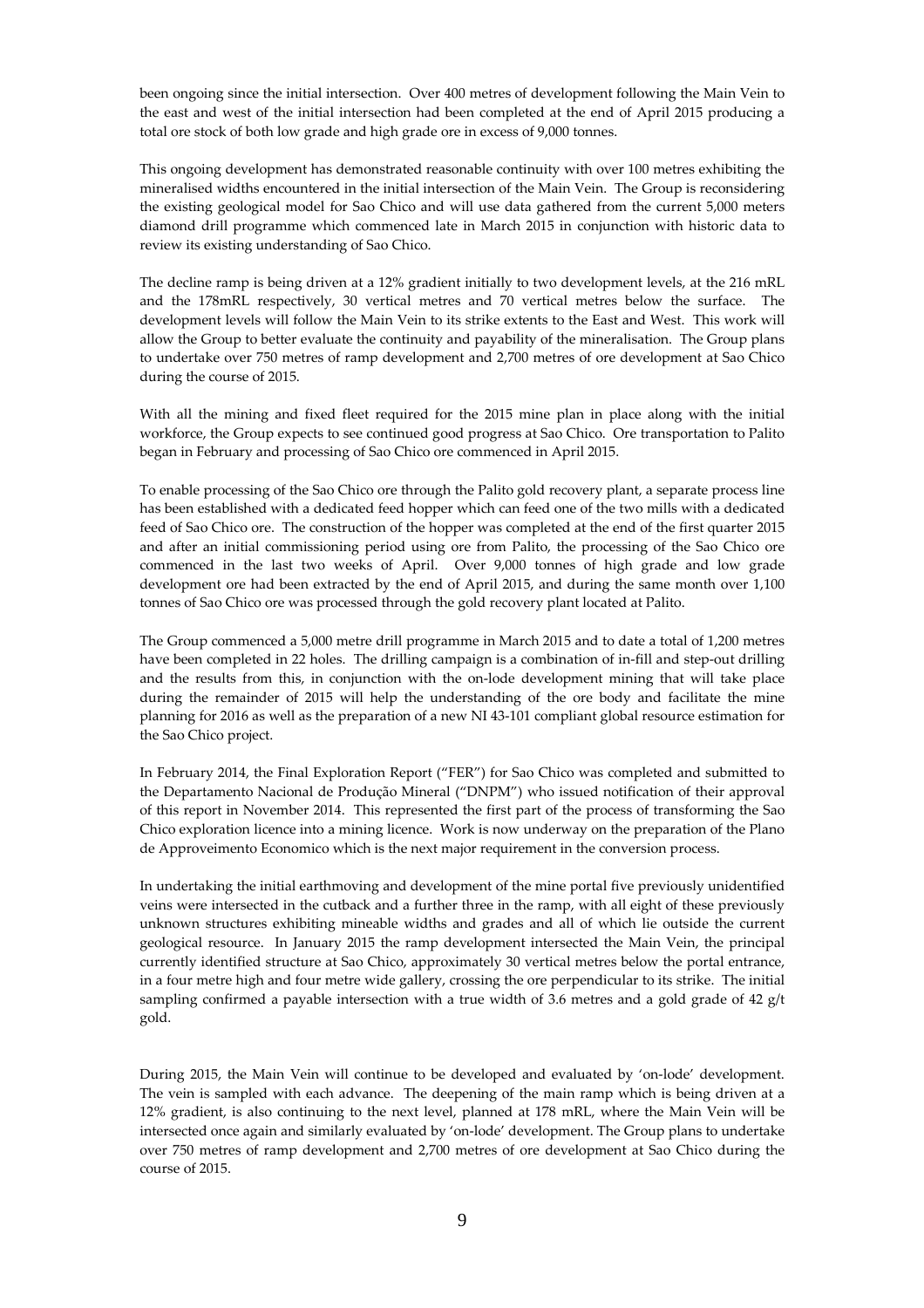been ongoing since the initial intersection. Over 400 metres of development following the Main Vein to the east and west of the initial intersection had been completed at the end of April 2015 producing a total ore stock of both low grade and high grade ore in excess of 9,000 tonnes.

This ongoing development has demonstrated reasonable continuity with over 100 metres exhibiting the mineralised widths encountered in the initial intersection of the Main Vein. The Group is reconsidering the existing geological model for Sao Chico and will use data gathered from the current 5,000 meters diamond drill programme which commenced late in March 2015 in conjunction with historic data to review its existing understanding of Sao Chico.

The decline ramp is being driven at a 12% gradient initially to two development levels, at the 216 mRL and the 178mRL respectively, 30 vertical metres and 70 vertical metres below the surface. The development levels will follow the Main Vein to its strike extents to the East and West. This work will allow the Group to better evaluate the continuity and payability of the mineralisation. The Group plans to undertake over 750 metres of ramp development and 2,700 metres of ore development at Sao Chico during the course of 2015.

With all the mining and fixed fleet required for the 2015 mine plan in place along with the initial workforce, the Group expects to see continued good progress at Sao Chico. Ore transportation to Palito began in February and processing of Sao Chico ore commenced in April 2015.

To enable processing of the Sao Chico ore through the Palito gold recovery plant, a separate process line has been established with a dedicated feed hopper which can feed one of the two mills with a dedicated feed of Sao Chico ore. The construction of the hopper was completed at the end of the first quarter 2015 and after an initial commissioning period using ore from Palito, the processing of the Sao Chico ore commenced in the last two weeks of April. Over 9,000 tonnes of high grade and low grade development ore had been extracted by the end of April 2015, and during the same month over 1,100 tonnes of Sao Chico ore was processed through the gold recovery plant located at Palito.

The Group commenced a 5,000 metre drill programme in March 2015 and to date a total of 1,200 metres have been completed in 22 holes. The drilling campaign is a combination of in-fill and step-out drilling and the results from this, in conjunction with the on-lode development mining that will take place during the remainder of 2015 will help the understanding of the ore body and facilitate the mine planning for 2016 as well as the preparation of a new NI 43-101 compliant global resource estimation for the Sao Chico project.

In February 2014, the Final Exploration Report ("FER") for Sao Chico was completed and submitted to the Departamento Nacional de Produção Mineral ("DNPM") who issued notification of their approval of this report in November 2014. This represented the first part of the process of transforming the Sao Chico exploration licence into a mining licence. Work is now underway on the preparation of the Plano de Approveimento Economico which is the next major requirement in the conversion process.

In undertaking the initial earthmoving and development of the mine portal five previously unidentified veins were intersected in the cutback and a further three in the ramp, with all eight of these previously unknown structures exhibiting mineable widths and grades and all of which lie outside the current geological resource. In January 2015 the ramp development intersected the Main Vein, the principal currently identified structure at Sao Chico, approximately 30 vertical metres below the portal entrance, in a four metre high and four metre wide gallery, crossing the ore perpendicular to its strike. The initial sampling confirmed a payable intersection with a true width of 3.6 metres and a gold grade of 42 g/t gold.

During 2015, the Main Vein will continue to be developed and evaluated by 'on-lode' development. The vein is sampled with each advance. The deepening of the main ramp which is being driven at a 12% gradient, is also continuing to the next level, planned at 178 mRL, where the Main Vein will be intersected once again and similarly evaluated by 'on-lode' development. The Group plans to undertake over 750 metres of ramp development and 2,700 metres of ore development at Sao Chico during the course of 2015.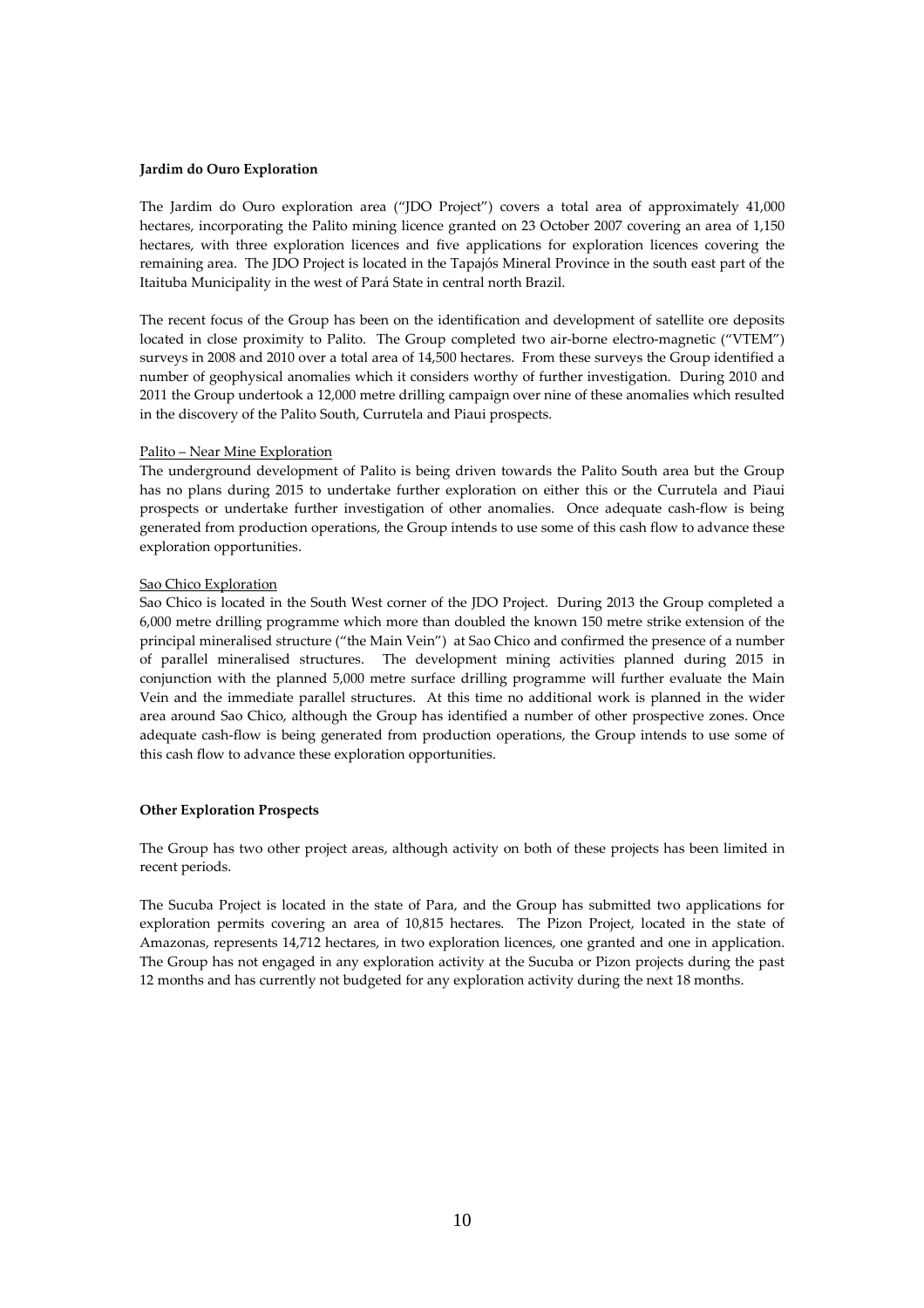#### **Jardim do Ouro Exploration**

The Jardim do Ouro exploration area ("JDO Project") covers a total area of approximately 41,000 hectares, incorporating the Palito mining licence granted on 23 October 2007 covering an area of 1,150 hectares, with three exploration licences and five applications for exploration licences covering the remaining area. The JDO Project is located in the Tapajós Mineral Province in the south east part of the Itaituba Municipality in the west of Pará State in central north Brazil.

The recent focus of the Group has been on the identification and development of satellite ore deposits located in close proximity to Palito. The Group completed two air-borne electro-magnetic ("VTEM") surveys in 2008 and 2010 over a total area of 14,500 hectares. From these surveys the Group identified a number of geophysical anomalies which it considers worthy of further investigation. During 2010 and 2011 the Group undertook a 12,000 metre drilling campaign over nine of these anomalies which resulted in the discovery of the Palito South, Currutela and Piaui prospects.

#### Palito – Near Mine Exploration

The underground development of Palito is being driven towards the Palito South area but the Group has no plans during 2015 to undertake further exploration on either this or the Currutela and Piaui prospects or undertake further investigation of other anomalies. Once adequate cash-flow is being generated from production operations, the Group intends to use some of this cash flow to advance these exploration opportunities.

# Sao Chico Exploration

Sao Chico is located in the South West corner of the JDO Project. During 2013 the Group completed a 6,000 metre drilling programme which more than doubled the known 150 metre strike extension of the principal mineralised structure ("the Main Vein") at Sao Chico and confirmed the presence of a number of parallel mineralised structures. The development mining activities planned during 2015 in conjunction with the planned 5,000 metre surface drilling programme will further evaluate the Main Vein and the immediate parallel structures. At this time no additional work is planned in the wider area around Sao Chico, although the Group has identified a number of other prospective zones. Once adequate cash-flow is being generated from production operations, the Group intends to use some of this cash flow to advance these exploration opportunities.

#### **Other Exploration Prospects**

The Group has two other project areas, although activity on both of these projects has been limited in recent periods.

The Sucuba Project is located in the state of Para, and the Group has submitted two applications for exploration permits covering an area of 10,815 hectares. The Pizon Project, located in the state of Amazonas, represents 14,712 hectares, in two exploration licences, one granted and one in application. The Group has not engaged in any exploration activity at the Sucuba or Pizon projects during the past 12 months and has currently not budgeted for any exploration activity during the next 18 months.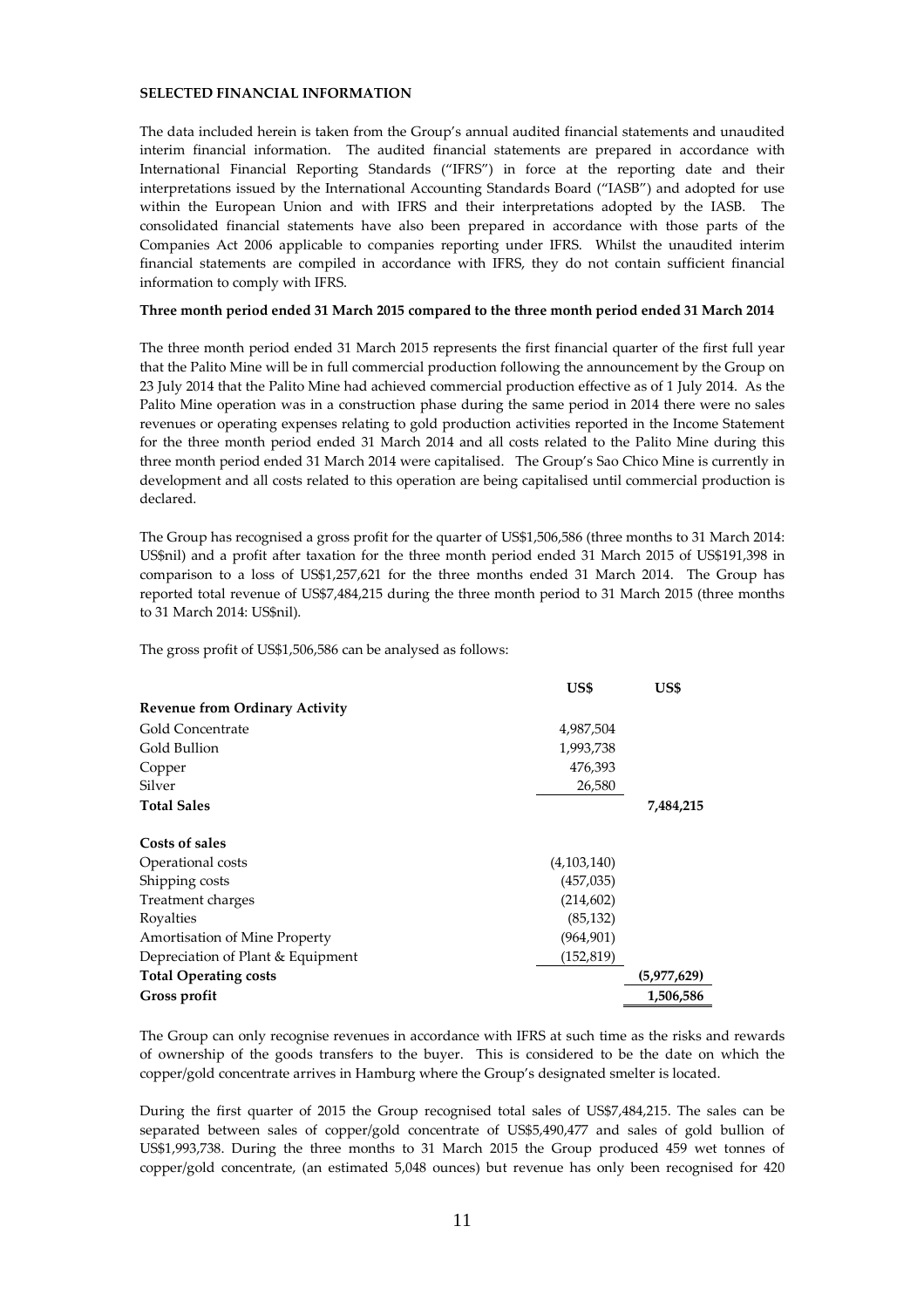# **SELECTED FINANCIAL INFORMATION**

The data included herein is taken from the Group's annual audited financial statements and unaudited interim financial information. The audited financial statements are prepared in accordance with International Financial Reporting Standards ("IFRS") in force at the reporting date and their interpretations issued by the International Accounting Standards Board ("IASB") and adopted for use within the European Union and with IFRS and their interpretations adopted by the IASB. The consolidated financial statements have also been prepared in accordance with those parts of the Companies Act 2006 applicable to companies reporting under IFRS. Whilst the unaudited interim financial statements are compiled in accordance with IFRS, they do not contain sufficient financial information to comply with IFRS.

#### **Three month period ended 31 March 2015 compared to the three month period ended 31 March 2014**

The three month period ended 31 March 2015 represents the first financial quarter of the first full year that the Palito Mine will be in full commercial production following the announcement by the Group on 23 July 2014 that the Palito Mine had achieved commercial production effective as of 1 July 2014. As the Palito Mine operation was in a construction phase during the same period in 2014 there were no sales revenues or operating expenses relating to gold production activities reported in the Income Statement for the three month period ended 31 March 2014 and all costs related to the Palito Mine during this three month period ended 31 March 2014 were capitalised. The Group's Sao Chico Mine is currently in development and all costs related to this operation are being capitalised until commercial production is declared.

The Group has recognised a gross profit for the quarter of US\$1,506,586 (three months to 31 March 2014: US\$nil) and a profit after taxation for the three month period ended 31 March 2015 of US\$191,398 in comparison to a loss of US\$1,257,621 for the three months ended 31 March 2014. The Group has reported total revenue of US\$7,484,215 during the three month period to 31 March 2015 (three months to 31 March 2014: US\$nil).

The gross profit of US\$1,506,586 can be analysed as follows:

|                                       | US\$        | US\$        |
|---------------------------------------|-------------|-------------|
| <b>Revenue from Ordinary Activity</b> |             |             |
| Gold Concentrate                      | 4,987,504   |             |
| Gold Bullion                          | 1,993,738   |             |
| Copper                                | 476,393     |             |
| Silver                                | 26,580      |             |
| <b>Total Sales</b>                    |             | 7,484,215   |
| Costs of sales                        |             |             |
| Operational costs                     | (4,103,140) |             |
| Shipping costs                        | (457, 035)  |             |
| Treatment charges                     | (214, 602)  |             |
| Royalties                             | (85, 132)   |             |
| Amortisation of Mine Property         | (964, 901)  |             |
| Depreciation of Plant & Equipment     | (152, 819)  |             |
| <b>Total Operating costs</b>          |             | (5,977,629) |
| Gross profit                          |             | 1,506,586   |

The Group can only recognise revenues in accordance with IFRS at such time as the risks and rewards of ownership of the goods transfers to the buyer. This is considered to be the date on which the copper/gold concentrate arrives in Hamburg where the Group's designated smelter is located.

During the first quarter of 2015 the Group recognised total sales of US\$7,484,215. The sales can be separated between sales of copper/gold concentrate of US\$5,490,477 and sales of gold bullion of US\$1,993,738. During the three months to 31 March 2015 the Group produced 459 wet tonnes of copper/gold concentrate, (an estimated 5,048 ounces) but revenue has only been recognised for 420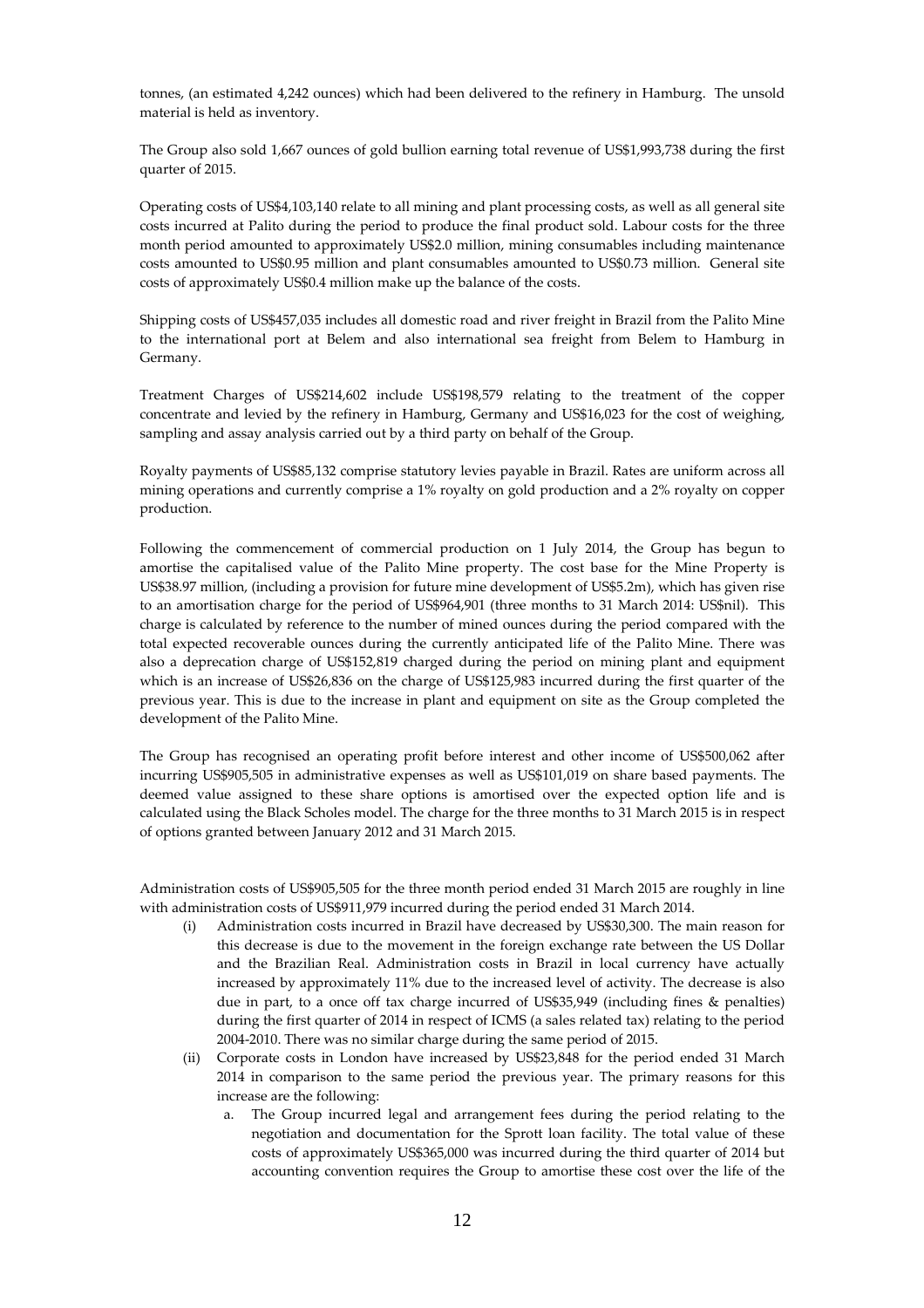tonnes, (an estimated 4,242 ounces) which had been delivered to the refinery in Hamburg. The unsold material is held as inventory.

The Group also sold 1,667 ounces of gold bullion earning total revenue of US\$1,993,738 during the first quarter of 2015.

Operating costs of US\$4,103,140 relate to all mining and plant processing costs, as well as all general site costs incurred at Palito during the period to produce the final product sold. Labour costs for the three month period amounted to approximately US\$2.0 million, mining consumables including maintenance costs amounted to US\$0.95 million and plant consumables amounted to US\$0.73 million. General site costs of approximately US\$0.4 million make up the balance of the costs.

Shipping costs of US\$457,035 includes all domestic road and river freight in Brazil from the Palito Mine to the international port at Belem and also international sea freight from Belem to Hamburg in Germany.

Treatment Charges of US\$214,602 include US\$198,579 relating to the treatment of the copper concentrate and levied by the refinery in Hamburg, Germany and US\$16,023 for the cost of weighing, sampling and assay analysis carried out by a third party on behalf of the Group.

Royalty payments of US\$85,132 comprise statutory levies payable in Brazil. Rates are uniform across all mining operations and currently comprise a 1% royalty on gold production and a 2% royalty on copper production.

Following the commencement of commercial production on 1 July 2014, the Group has begun to amortise the capitalised value of the Palito Mine property. The cost base for the Mine Property is US\$38.97 million, (including a provision for future mine development of US\$5.2m), which has given rise to an amortisation charge for the period of US\$964,901 (three months to 31 March 2014: US\$nil). This charge is calculated by reference to the number of mined ounces during the period compared with the total expected recoverable ounces during the currently anticipated life of the Palito Mine. There was also a deprecation charge of US\$152,819 charged during the period on mining plant and equipment which is an increase of US\$26,836 on the charge of US\$125,983 incurred during the first quarter of the previous year. This is due to the increase in plant and equipment on site as the Group completed the development of the Palito Mine.

The Group has recognised an operating profit before interest and other income of US\$500,062 after incurring US\$905,505 in administrative expenses as well as US\$101,019 on share based payments. The deemed value assigned to these share options is amortised over the expected option life and is calculated using the Black Scholes model. The charge for the three months to 31 March 2015 is in respect of options granted between January 2012 and 31 March 2015.

Administration costs of US\$905,505 for the three month period ended 31 March 2015 are roughly in line with administration costs of US\$911,979 incurred during the period ended 31 March 2014.

- (i) Administration costs incurred in Brazil have decreased by US\$30,300. The main reason for this decrease is due to the movement in the foreign exchange rate between the US Dollar and the Brazilian Real. Administration costs in Brazil in local currency have actually increased by approximately 11% due to the increased level of activity. The decrease is also due in part, to a once off tax charge incurred of US\$35,949 (including fines & penalties) during the first quarter of 2014 in respect of ICMS (a sales related tax) relating to the period 2004-2010. There was no similar charge during the same period of 2015.
- (ii) Corporate costs in London have increased by US\$23,848 for the period ended 31 March 2014 in comparison to the same period the previous year. The primary reasons for this increase are the following:
	- a. The Group incurred legal and arrangement fees during the period relating to the negotiation and documentation for the Sprott loan facility. The total value of these costs of approximately US\$365,000 was incurred during the third quarter of 2014 but accounting convention requires the Group to amortise these cost over the life of the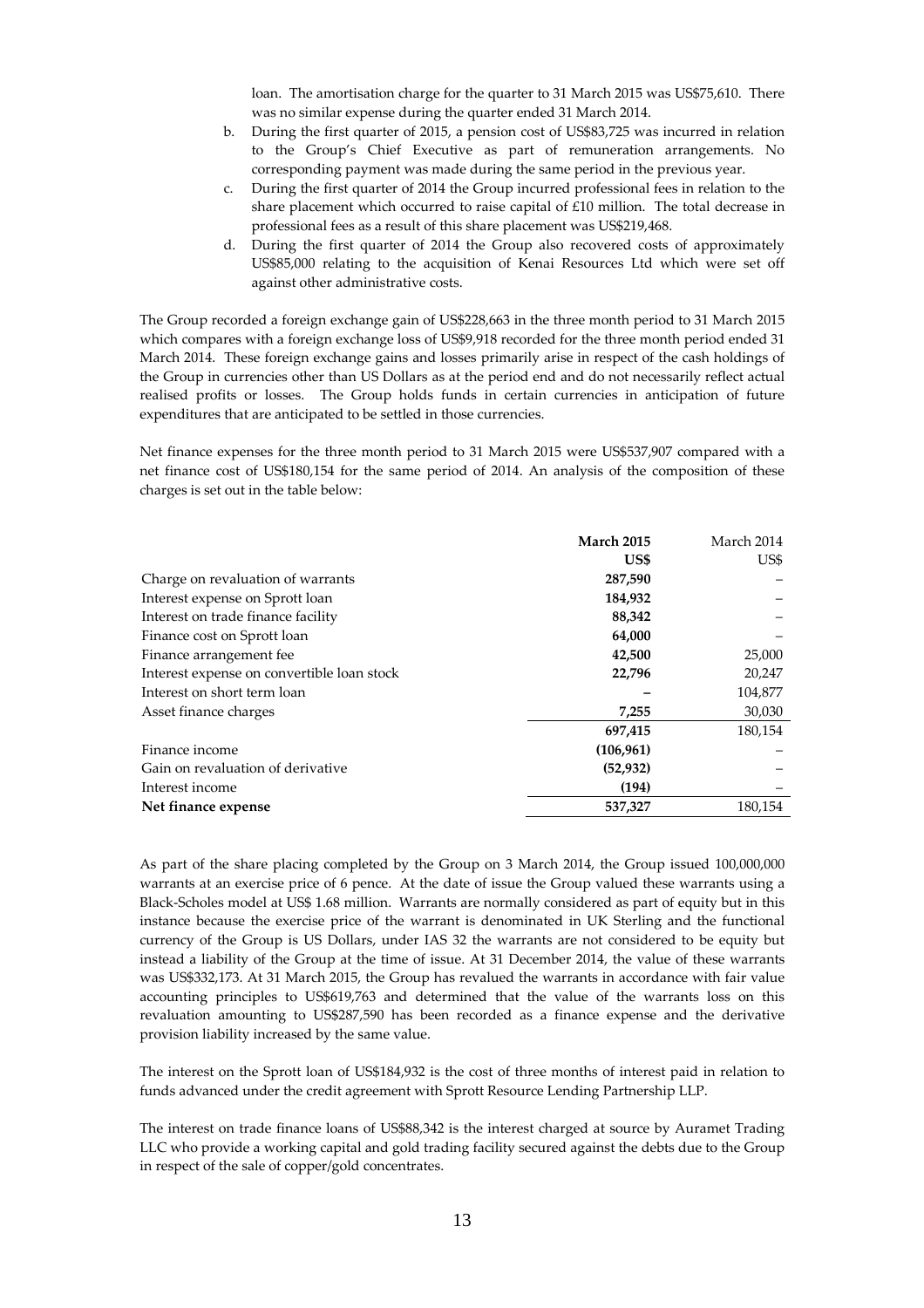loan. The amortisation charge for the quarter to 31 March 2015 was US\$75,610. There was no similar expense during the quarter ended 31 March 2014.

- b. During the first quarter of 2015, a pension cost of US\$83,725 was incurred in relation to the Group's Chief Executive as part of remuneration arrangements. No corresponding payment was made during the same period in the previous year.
- c. During the first quarter of 2014 the Group incurred professional fees in relation to the share placement which occurred to raise capital of £10 million. The total decrease in professional fees as a result of this share placement was US\$219,468.
- d. During the first quarter of 2014 the Group also recovered costs of approximately US\$85,000 relating to the acquisition of Kenai Resources Ltd which were set off against other administrative costs.

The Group recorded a foreign exchange gain of US\$228,663 in the three month period to 31 March 2015 which compares with a foreign exchange loss of US\$9,918 recorded for the three month period ended 31 March 2014. These foreign exchange gains and losses primarily arise in respect of the cash holdings of the Group in currencies other than US Dollars as at the period end and do not necessarily reflect actual realised profits or losses. The Group holds funds in certain currencies in anticipation of future expenditures that are anticipated to be settled in those currencies.

Net finance expenses for the three month period to 31 March 2015 were US\$537,907 compared with a net finance cost of US\$180,154 for the same period of 2014. An analysis of the composition of these charges is set out in the table below:

|                                            | <b>March 2015</b> | March 2014 |
|--------------------------------------------|-------------------|------------|
|                                            | US\$              | US\$       |
| Charge on revaluation of warrants          | 287,590           |            |
| Interest expense on Sprott loan            | 184,932           |            |
| Interest on trade finance facility         | 88,342            |            |
| Finance cost on Sprott loan                | 64,000            |            |
| Finance arrangement fee                    | 42,500            | 25,000     |
| Interest expense on convertible loan stock | 22,796            | 20,247     |
| Interest on short term loan                |                   | 104,877    |
| Asset finance charges                      | 7,255             | 30,030     |
|                                            | 697,415           | 180,154    |
| Finance income                             | (106, 961)        |            |
| Gain on revaluation of derivative          | (52, 932)         |            |
| Interest income                            | (194)             |            |
| Net finance expense                        | 537,327           | 180,154    |

As part of the share placing completed by the Group on 3 March 2014, the Group issued 100,000,000 warrants at an exercise price of 6 pence. At the date of issue the Group valued these warrants using a Black-Scholes model at US\$ 1.68 million. Warrants are normally considered as part of equity but in this instance because the exercise price of the warrant is denominated in UK Sterling and the functional currency of the Group is US Dollars, under IAS 32 the warrants are not considered to be equity but instead a liability of the Group at the time of issue. At 31 December 2014, the value of these warrants was US\$332,173. At 31 March 2015, the Group has revalued the warrants in accordance with fair value accounting principles to US\$619,763 and determined that the value of the warrants loss on this revaluation amounting to US\$287,590 has been recorded as a finance expense and the derivative provision liability increased by the same value.

The interest on the Sprott loan of US\$184,932 is the cost of three months of interest paid in relation to funds advanced under the credit agreement with Sprott Resource Lending Partnership LLP.

The interest on trade finance loans of US\$88,342 is the interest charged at source by Auramet Trading LLC who provide a working capital and gold trading facility secured against the debts due to the Group in respect of the sale of copper/gold concentrates.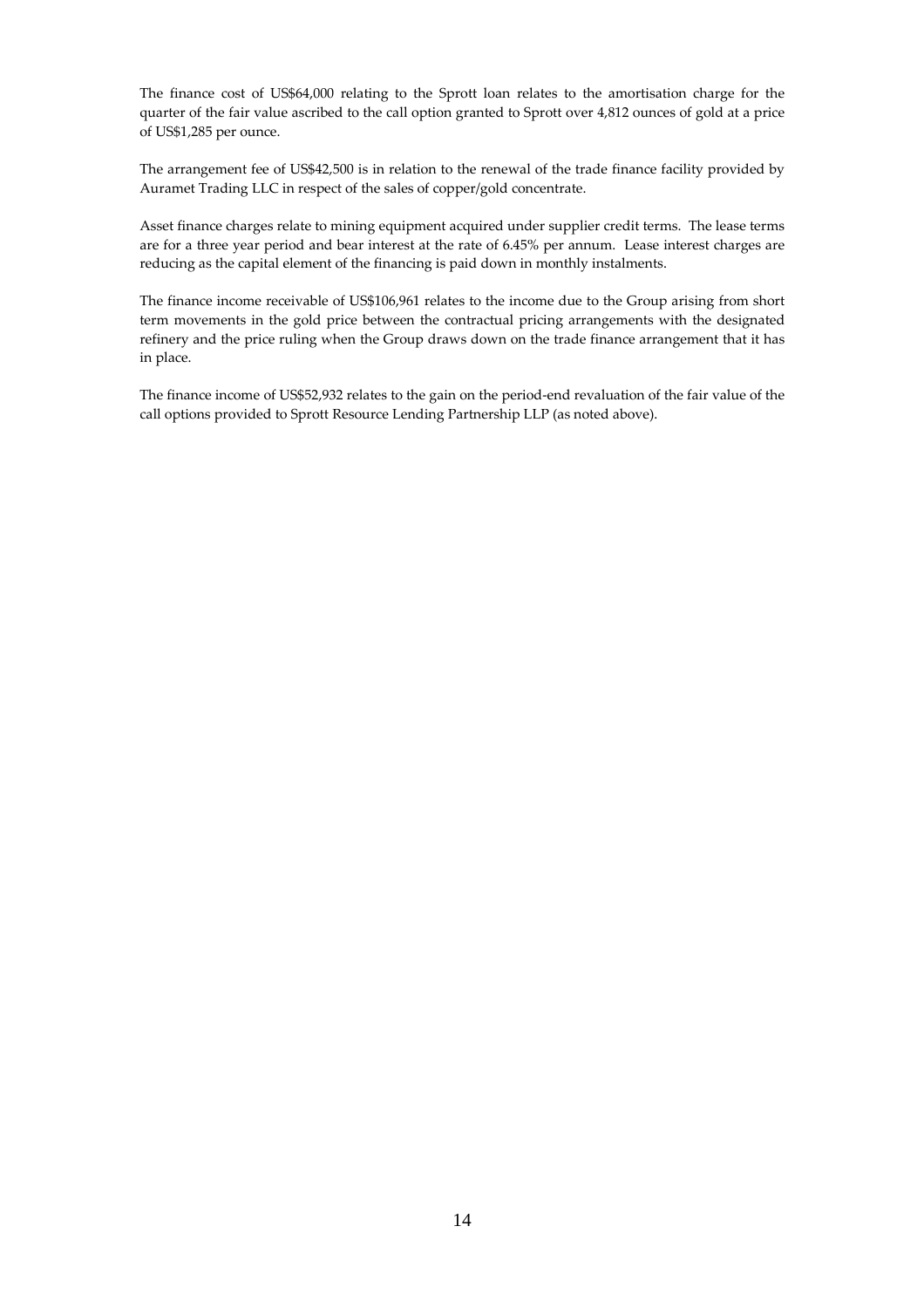The finance cost of US\$64,000 relating to the Sprott loan relates to the amortisation charge for the quarter of the fair value ascribed to the call option granted to Sprott over 4,812 ounces of gold at a price of US\$1,285 per ounce.

The arrangement fee of US\$42,500 is in relation to the renewal of the trade finance facility provided by Auramet Trading LLC in respect of the sales of copper/gold concentrate.

Asset finance charges relate to mining equipment acquired under supplier credit terms. The lease terms are for a three year period and bear interest at the rate of 6.45% per annum. Lease interest charges are reducing as the capital element of the financing is paid down in monthly instalments.

The finance income receivable of US\$106,961 relates to the income due to the Group arising from short term movements in the gold price between the contractual pricing arrangements with the designated refinery and the price ruling when the Group draws down on the trade finance arrangement that it has in place.

The finance income of US\$52,932 relates to the gain on the period-end revaluation of the fair value of the call options provided to Sprott Resource Lending Partnership LLP (as noted above).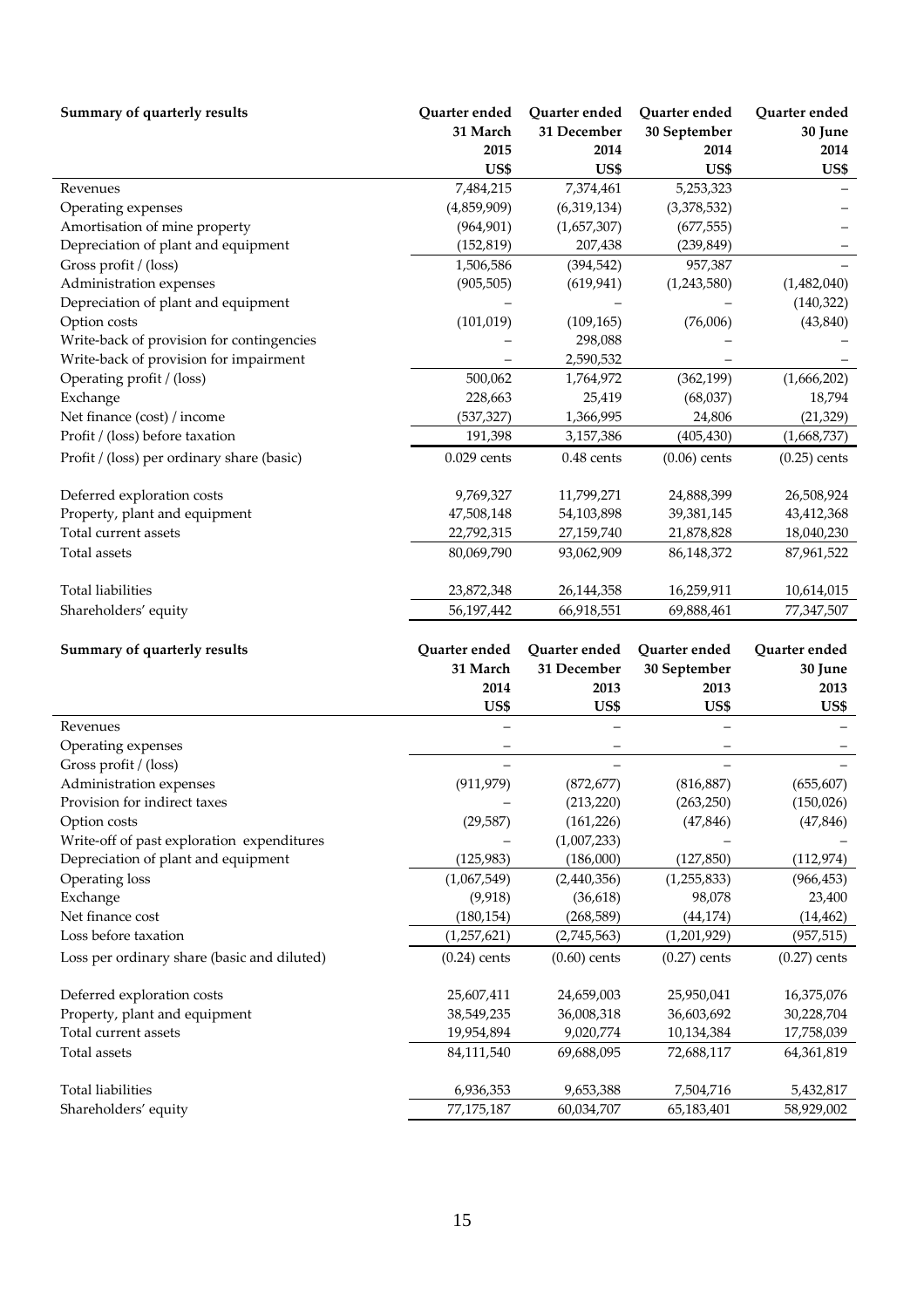| Summary of quarterly results                | Quarter ended         | Quarter ended  | Quarter ended  | Quarter ended  |
|---------------------------------------------|-----------------------|----------------|----------------|----------------|
|                                             | 31 March              | 31 December    | 30 September   | 30 June        |
|                                             | 2015                  | 2014           | 2014           | 2014           |
|                                             | US\$                  | US\$           | US\$           | US\$           |
| Revenues                                    | 7,484,215             | 7,374,461      | 5,253,323      |                |
| Operating expenses                          | (4,859,909)           | (6,319,134)    | (3,378,532)    |                |
| Amortisation of mine property               | (964, 901)            | (1,657,307)    | (677, 555)     |                |
| Depreciation of plant and equipment         | (152, 819)            | 207,438        | (239, 849)     |                |
| Gross profit / (loss)                       | 1,506,586             | (394, 542)     | 957,387        |                |
| Administration expenses                     | (905, 505)            | (619, 941)     | (1,243,580)    | (1,482,040)    |
| Depreciation of plant and equipment         |                       |                |                | (140, 322)     |
| Option costs                                | (101, 019)            | (109, 165)     | (76,006)       | (43, 840)      |
| Write-back of provision for contingencies   |                       | 298,088        |                |                |
| Write-back of provision for impairment      |                       | 2,590,532      |                |                |
| Operating profit / (loss)                   | 500,062               | 1,764,972      | (362, 199)     | (1,666,202)    |
| Exchange                                    | 228,663               | 25,419         | (68,037)       | 18,794         |
| Net finance (cost) / income                 | (537, 327)<br>191,398 | 1,366,995      | 24,806         | (21, 329)      |
| Profit / (loss) before taxation             |                       | 3,157,386      | (405, 430)     | (1,668,737)    |
| Profit / (loss) per ordinary share (basic)  | $0.029$ cents         | $0.48$ cents   | $(0.06)$ cents | $(0.25)$ cents |
| Deferred exploration costs                  | 9,769,327             | 11,799,271     | 24,888,399     | 26,508,924     |
| Property, plant and equipment               | 47,508,148            | 54,103,898     | 39,381,145     | 43,412,368     |
| Total current assets                        | 22,792,315            | 27,159,740     | 21,878,828     | 18,040,230     |
| Total assets                                | 80,069,790            | 93,062,909     | 86,148,372     | 87,961,522     |
|                                             |                       |                |                |                |
| <b>Total liabilities</b>                    | 23,872,348            | 26,144,358     | 16,259,911     | 10,614,015     |
| Shareholders' equity                        | 56,197,442            | 66,918,551     | 69,888,461     | 77,347,507     |
|                                             |                       |                |                |                |
| Summary of quarterly results                | Quarter ended         | Quarter ended  | Quarter ended  | Quarter ended  |
|                                             | 31 March              | 31 December    | 30 September   | 30 June        |
|                                             | 2014                  | 2013           | 2013           | 2013           |
|                                             | US\$                  | US\$           | US\$           | US\$           |
| Revenues                                    |                       |                |                |                |
| Operating expenses                          |                       |                |                |                |
| Gross profit / (loss)                       |                       |                |                |                |
| Administration expenses                     | (911, 979)            | (872, 677)     | (816, 887)     | (655, 607)     |
| Provision for indirect taxes                |                       | (213, 220)     | (263, 250)     | (150,026)      |
| Option costs                                | (29, 587)             | (161, 226)     | (47, 846)      | (47, 846)      |
| Write-off of past exploration expenditures  |                       | (1,007,233)    |                |                |
| Depreciation of plant and equipment         | (125, 983)            | (186,000)      | (127, 850)     | (112, 974)     |
| Operating loss                              | (1,067,549)           | (2,440,356)    | (1,255,833)    | (966, 453)     |
| Exchange                                    | (9,918)               | (36, 618)      | 98,078         | 23,400         |
| Net finance cost                            | (180, 154)            | (268, 589)     | (44, 174)      | (14, 462)      |
| Loss before taxation                        | (1, 257, 621)         | (2,745,563)    | (1,201,929)    | (957, 515)     |
| Loss per ordinary share (basic and diluted) | $(0.24)$ cents        | $(0.60)$ cents | $(0.27)$ cents | $(0.27)$ cents |
| Deferred exploration costs                  | 25,607,411            | 24,659,003     | 25,950,041     | 16,375,076     |
| Property, plant and equipment               | 38,549,235            | 36,008,318     | 36,603,692     | 30,228,704     |
| Total current assets                        | 19,954,894            | 9,020,774      | 10,134,384     | 17,758,039     |
| Total assets                                | 84,111,540            | 69,688,095     | 72,688,117     | 64,361,819     |
|                                             |                       |                |                |                |
| Total liabilities                           | 6,936,353             | 9,653,388      | 7,504,716      | 5,432,817      |
| Shareholders' equity                        | 77,175,187            | 60,034,707     | 65,183,401     | 58,929,002     |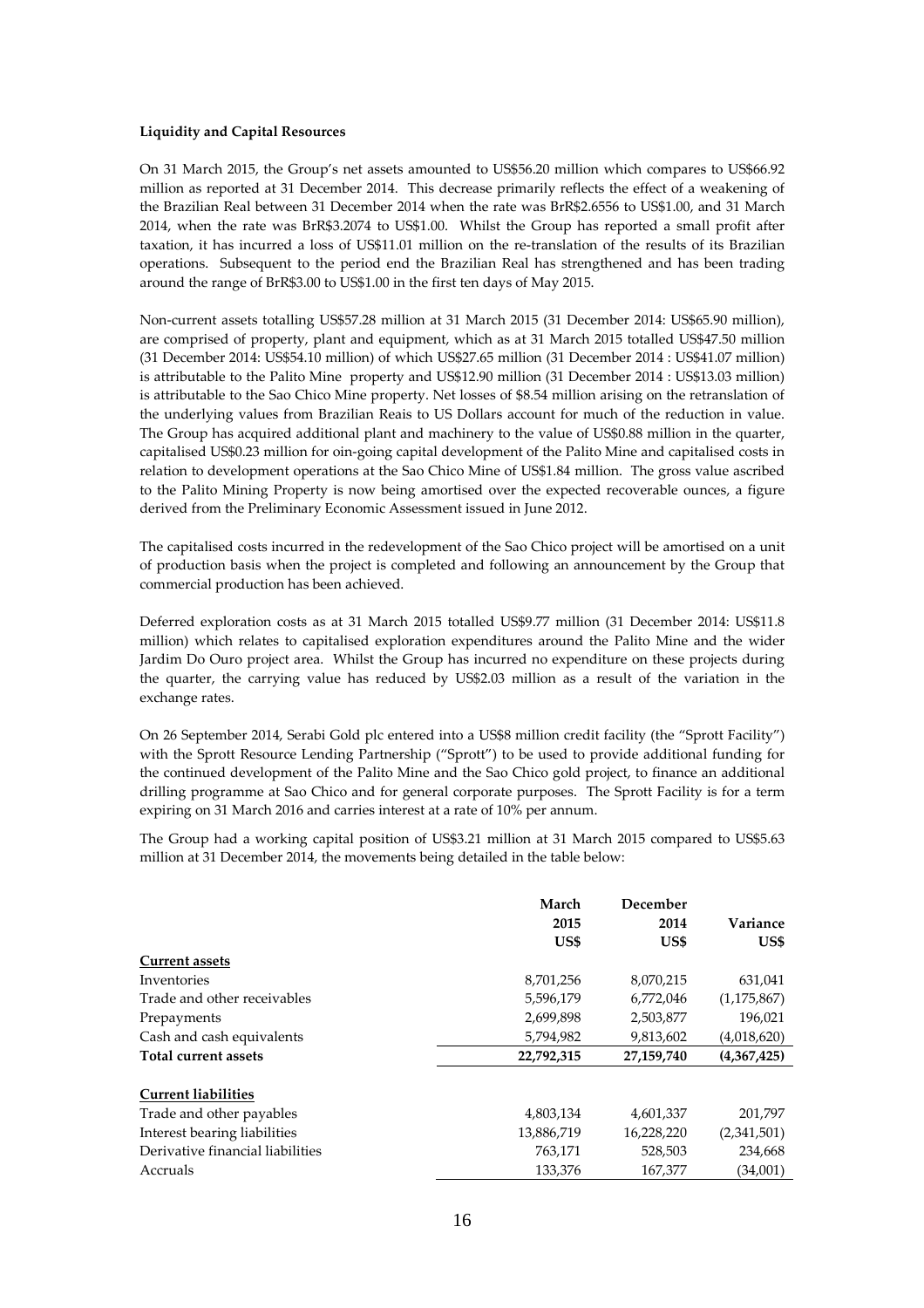#### **Liquidity and Capital Resources**

On 31 March 2015, the Group's net assets amounted to US\$56.20 million which compares to US\$66.92 million as reported at 31 December 2014. This decrease primarily reflects the effect of a weakening of the Brazilian Real between 31 December 2014 when the rate was BrR\$2.6556 to US\$1.00, and 31 March 2014, when the rate was BrR\$3.2074 to US\$1.00. Whilst the Group has reported a small profit after taxation, it has incurred a loss of US\$11.01 million on the re-translation of the results of its Brazilian operations. Subsequent to the period end the Brazilian Real has strengthened and has been trading around the range of BrR\$3.00 to US\$1.00 in the first ten days of May 2015.

Non-current assets totalling US\$57.28 million at 31 March 2015 (31 December 2014: US\$65.90 million), are comprised of property, plant and equipment, which as at 31 March 2015 totalled US\$47.50 million (31 December 2014: US\$54.10 million) of which US\$27.65 million (31 December 2014 : US\$41.07 million) is attributable to the Palito Mine property and US\$12.90 million (31 December 2014 : US\$13.03 million) is attributable to the Sao Chico Mine property. Net losses of \$8.54 million arising on the retranslation of the underlying values from Brazilian Reais to US Dollars account for much of the reduction in value. The Group has acquired additional plant and machinery to the value of US\$0.88 million in the quarter, capitalised US\$0.23 million for oin-going capital development of the Palito Mine and capitalised costs in relation to development operations at the Sao Chico Mine of US\$1.84 million. The gross value ascribed to the Palito Mining Property is now being amortised over the expected recoverable ounces, a figure derived from the Preliminary Economic Assessment issued in June 2012.

The capitalised costs incurred in the redevelopment of the Sao Chico project will be amortised on a unit of production basis when the project is completed and following an announcement by the Group that commercial production has been achieved.

Deferred exploration costs as at 31 March 2015 totalled US\$9.77 million (31 December 2014: US\$11.8 million) which relates to capitalised exploration expenditures around the Palito Mine and the wider Jardim Do Ouro project area. Whilst the Group has incurred no expenditure on these projects during the quarter, the carrying value has reduced by US\$2.03 million as a result of the variation in the exchange rates.

On 26 September 2014, Serabi Gold plc entered into a US\$8 million credit facility (the "Sprott Facility") with the Sprott Resource Lending Partnership ("Sprott") to be used to provide additional funding for the continued development of the Palito Mine and the Sao Chico gold project, to finance an additional drilling programme at Sao Chico and for general corporate purposes. The Sprott Facility is for a term expiring on 31 March 2016 and carries interest at a rate of 10% per annum.

The Group had a working capital position of US\$3.21 million at 31 March 2015 compared to US\$5.63 million at 31 December 2014, the movements being detailed in the table below:

|                                  | March      | December   |               |
|----------------------------------|------------|------------|---------------|
|                                  | 2015       | 2014       | Variance      |
|                                  | US\$       | US\$       | US\$          |
| <b>Current assets</b>            |            |            |               |
| Inventories                      | 8,701,256  | 8,070,215  | 631,041       |
| Trade and other receivables      | 5,596,179  | 6,772,046  | (1, 175, 867) |
| Prepayments                      | 2,699,898  | 2,503,877  | 196,021       |
| Cash and cash equivalents        | 5,794,982  | 9,813,602  | (4,018,620)   |
| Total current assets             | 22,792,315 | 27,159,740 | (4,367,425)   |
| <b>Current liabilities</b>       |            |            |               |
| Trade and other payables         | 4,803,134  | 4,601,337  | 201,797       |
| Interest bearing liabilities     | 13,886,719 | 16,228,220 | (2,341,501)   |
| Derivative financial liabilities | 763,171    | 528,503    | 234,668       |
| Accruals                         | 133.376    | 167,377    | (34,001)      |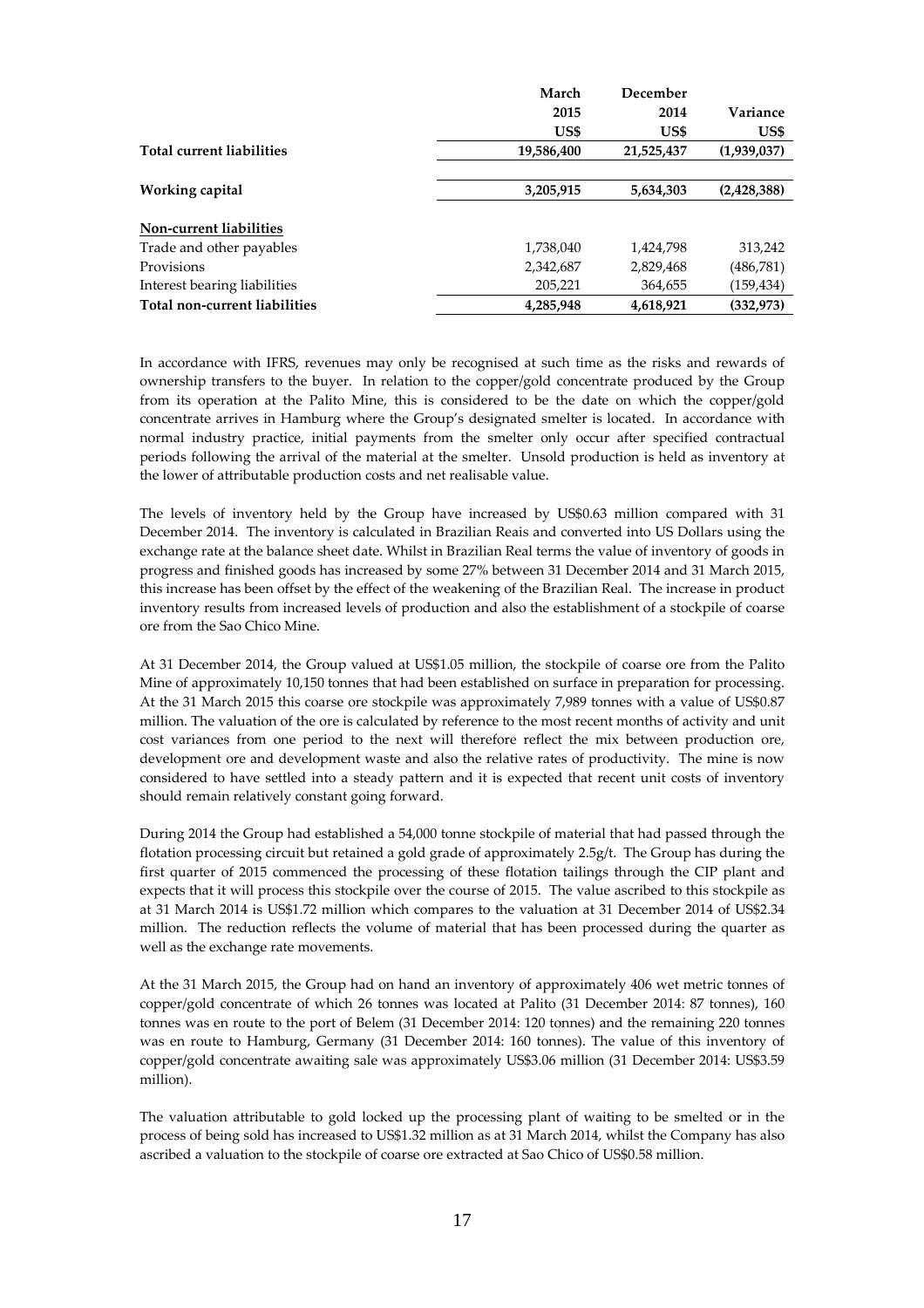|                                  | March      | December   |             |
|----------------------------------|------------|------------|-------------|
|                                  | 2015       | 2014       | Variance    |
|                                  | US\$       | US\$       | US\$        |
| <b>Total current liabilities</b> | 19,586,400 | 21,525,437 | (1,939,037) |
|                                  |            |            |             |
| Working capital                  | 3,205,915  | 5,634,303  | (2,428,388) |
|                                  |            |            |             |
| Non-current liabilities          |            |            |             |
| Trade and other payables         | 1,738,040  | 1,424,798  | 313,242     |
| Provisions                       | 2,342,687  | 2,829,468  | (486,781)   |
| Interest bearing liabilities     | 205,221    | 364,655    | (159,434)   |
| Total non-current liabilities    | 4,285,948  | 4,618,921  | (332, 973)  |

In accordance with IFRS, revenues may only be recognised at such time as the risks and rewards of ownership transfers to the buyer. In relation to the copper/gold concentrate produced by the Group from its operation at the Palito Mine, this is considered to be the date on which the copper/gold concentrate arrives in Hamburg where the Group's designated smelter is located. In accordance with normal industry practice, initial payments from the smelter only occur after specified contractual periods following the arrival of the material at the smelter. Unsold production is held as inventory at the lower of attributable production costs and net realisable value.

The levels of inventory held by the Group have increased by US\$0.63 million compared with 31 December 2014. The inventory is calculated in Brazilian Reais and converted into US Dollars using the exchange rate at the balance sheet date. Whilst in Brazilian Real terms the value of inventory of goods in progress and finished goods has increased by some 27% between 31 December 2014 and 31 March 2015, this increase has been offset by the effect of the weakening of the Brazilian Real. The increase in product inventory results from increased levels of production and also the establishment of a stockpile of coarse ore from the Sao Chico Mine.

At 31 December 2014, the Group valued at US\$1.05 million, the stockpile of coarse ore from the Palito Mine of approximately 10,150 tonnes that had been established on surface in preparation for processing. At the 31 March 2015 this coarse ore stockpile was approximately 7,989 tonnes with a value of US\$0.87 million. The valuation of the ore is calculated by reference to the most recent months of activity and unit cost variances from one period to the next will therefore reflect the mix between production ore, development ore and development waste and also the relative rates of productivity. The mine is now considered to have settled into a steady pattern and it is expected that recent unit costs of inventory should remain relatively constant going forward.

During 2014 the Group had established a 54,000 tonne stockpile of material that had passed through the flotation processing circuit but retained a gold grade of approximately 2.5g/t. The Group has during the first quarter of 2015 commenced the processing of these flotation tailings through the CIP plant and expects that it will process this stockpile over the course of 2015. The value ascribed to this stockpile as at 31 March 2014 is US\$1.72 million which compares to the valuation at 31 December 2014 of US\$2.34 million. The reduction reflects the volume of material that has been processed during the quarter as well as the exchange rate movements.

At the 31 March 2015, the Group had on hand an inventory of approximately 406 wet metric tonnes of copper/gold concentrate of which 26 tonnes was located at Palito (31 December 2014: 87 tonnes), 160 tonnes was en route to the port of Belem (31 December 2014: 120 tonnes) and the remaining 220 tonnes was en route to Hamburg, Germany (31 December 2014: 160 tonnes). The value of this inventory of copper/gold concentrate awaiting sale was approximately US\$3.06 million (31 December 2014: US\$3.59 million).

The valuation attributable to gold locked up the processing plant of waiting to be smelted or in the process of being sold has increased to US\$1.32 million as at 31 March 2014, whilst the Company has also ascribed a valuation to the stockpile of coarse ore extracted at Sao Chico of US\$0.58 million.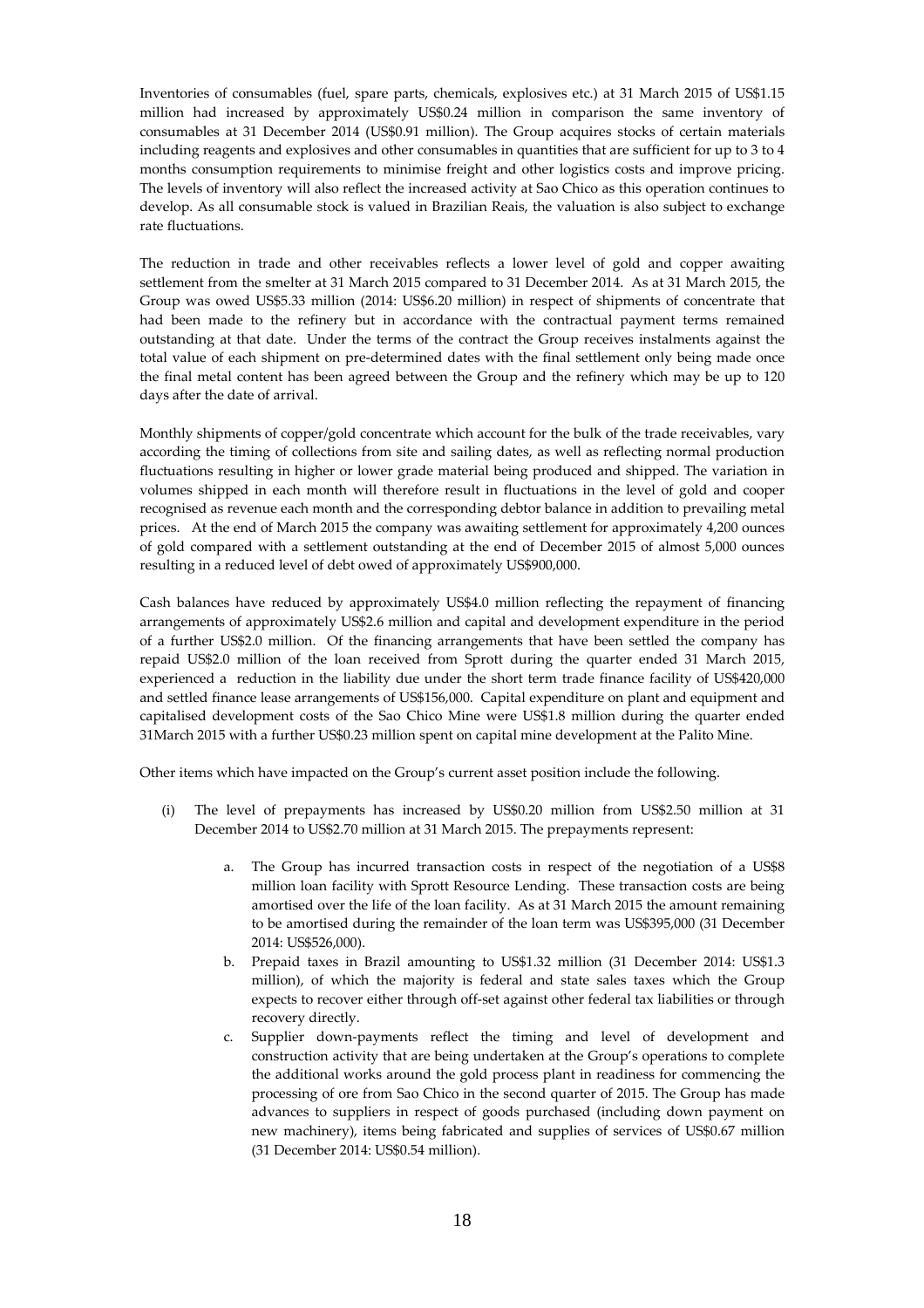Inventories of consumables (fuel, spare parts, chemicals, explosives etc.) at 31 March 2015 of US\$1.15 million had increased by approximately US\$0.24 million in comparison the same inventory of consumables at 31 December 2014 (US\$0.91 million). The Group acquires stocks of certain materials including reagents and explosives and other consumables in quantities that are sufficient for up to 3 to 4 months consumption requirements to minimise freight and other logistics costs and improve pricing. The levels of inventory will also reflect the increased activity at Sao Chico as this operation continues to develop. As all consumable stock is valued in Brazilian Reais, the valuation is also subject to exchange rate fluctuations.

The reduction in trade and other receivables reflects a lower level of gold and copper awaiting settlement from the smelter at 31 March 2015 compared to 31 December 2014. As at 31 March 2015, the Group was owed US\$5.33 million (2014: US\$6.20 million) in respect of shipments of concentrate that had been made to the refinery but in accordance with the contractual payment terms remained outstanding at that date. Under the terms of the contract the Group receives instalments against the total value of each shipment on pre-determined dates with the final settlement only being made once the final metal content has been agreed between the Group and the refinery which may be up to 120 days after the date of arrival.

Monthly shipments of copper/gold concentrate which account for the bulk of the trade receivables, vary according the timing of collections from site and sailing dates, as well as reflecting normal production fluctuations resulting in higher or lower grade material being produced and shipped. The variation in volumes shipped in each month will therefore result in fluctuations in the level of gold and cooper recognised as revenue each month and the corresponding debtor balance in addition to prevailing metal prices. At the end of March 2015 the company was awaiting settlement for approximately 4,200 ounces of gold compared with a settlement outstanding at the end of December 2015 of almost 5,000 ounces resulting in a reduced level of debt owed of approximately US\$900,000.

Cash balances have reduced by approximately US\$4.0 million reflecting the repayment of financing arrangements of approximately US\$2.6 million and capital and development expenditure in the period of a further US\$2.0 million. Of the financing arrangements that have been settled the company has repaid US\$2.0 million of the loan received from Sprott during the quarter ended 31 March 2015, experienced a reduction in the liability due under the short term trade finance facility of US\$420,000 and settled finance lease arrangements of US\$156,000. Capital expenditure on plant and equipment and capitalised development costs of the Sao Chico Mine were US\$1.8 million during the quarter ended 31March 2015 with a further US\$0.23 million spent on capital mine development at the Palito Mine.

Other items which have impacted on the Group's current asset position include the following.

- (i) The level of prepayments has increased by US\$0.20 million from US\$2.50 million at 31 December 2014 to US\$2.70 million at 31 March 2015. The prepayments represent:
	- a. The Group has incurred transaction costs in respect of the negotiation of a US\$8 million loan facility with Sprott Resource Lending. These transaction costs are being amortised over the life of the loan facility. As at 31 March 2015 the amount remaining to be amortised during the remainder of the loan term was US\$395,000 (31 December 2014: US\$526,000).
	- b. Prepaid taxes in Brazil amounting to US\$1.32 million (31 December 2014: US\$1.3 million), of which the majority is federal and state sales taxes which the Group expects to recover either through off-set against other federal tax liabilities or through recovery directly.
	- c. Supplier down-payments reflect the timing and level of development and construction activity that are being undertaken at the Group's operations to complete the additional works around the gold process plant in readiness for commencing the processing of ore from Sao Chico in the second quarter of 2015. The Group has made advances to suppliers in respect of goods purchased (including down payment on new machinery), items being fabricated and supplies of services of US\$0.67 million (31 December 2014: US\$0.54 million).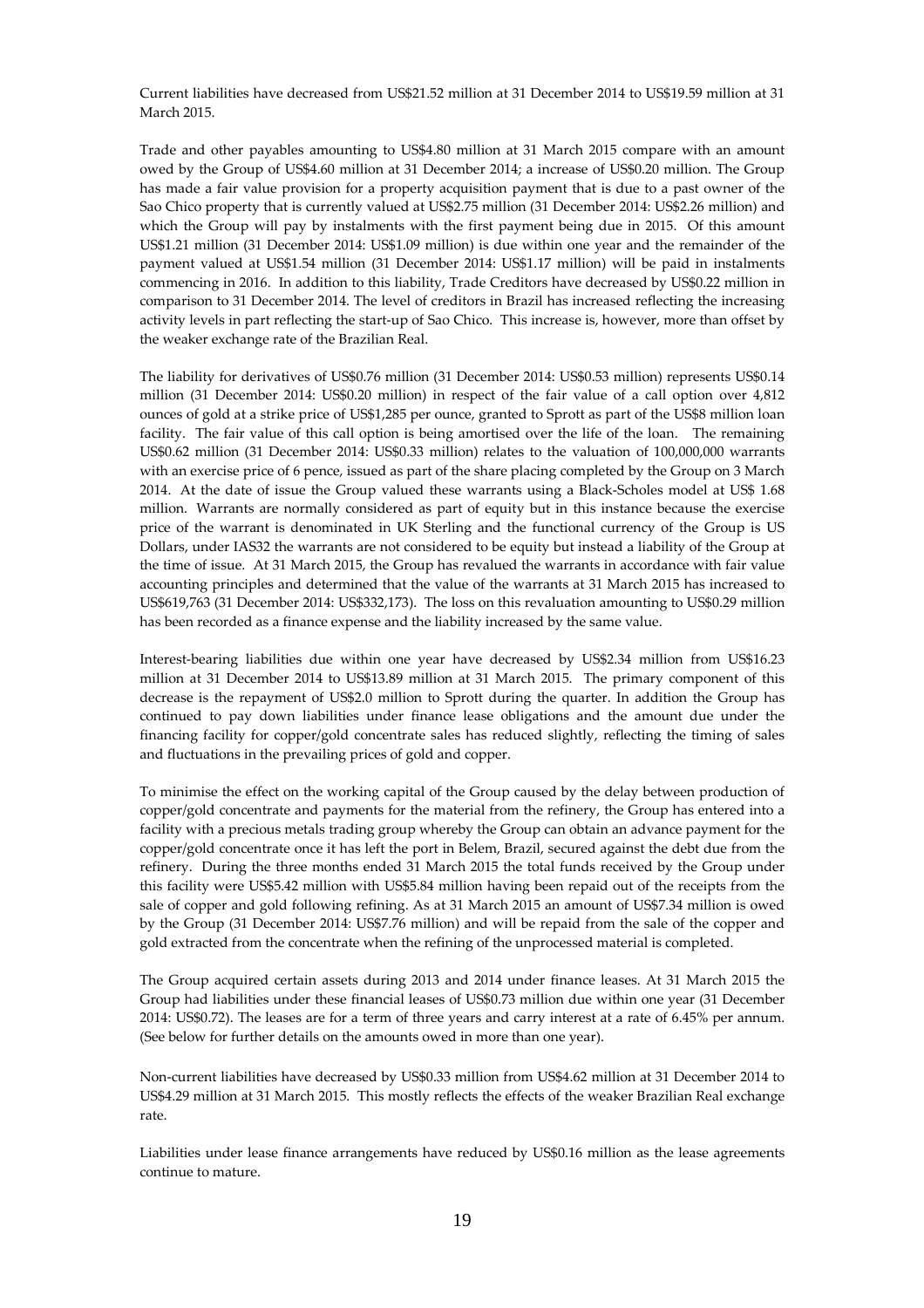Current liabilities have decreased from US\$21.52 million at 31 December 2014 to US\$19.59 million at 31 March 2015.

Trade and other payables amounting to US\$4.80 million at 31 March 2015 compare with an amount owed by the Group of US\$4.60 million at 31 December 2014; a increase of US\$0.20 million. The Group has made a fair value provision for a property acquisition payment that is due to a past owner of the Sao Chico property that is currently valued at US\$2.75 million (31 December 2014: US\$2.26 million) and which the Group will pay by instalments with the first payment being due in 2015. Of this amount US\$1.21 million (31 December 2014: US\$1.09 million) is due within one year and the remainder of the payment valued at US\$1.54 million (31 December 2014: US\$1.17 million) will be paid in instalments commencing in 2016. In addition to this liability, Trade Creditors have decreased by US\$0.22 million in comparison to 31 December 2014. The level of creditors in Brazil has increased reflecting the increasing activity levels in part reflecting the start-up of Sao Chico. This increase is, however, more than offset by the weaker exchange rate of the Brazilian Real.

The liability for derivatives of US\$0.76 million (31 December 2014: US\$0.53 million) represents US\$0.14 million (31 December 2014: US\$0.20 million) in respect of the fair value of a call option over 4,812 ounces of gold at a strike price of US\$1,285 per ounce, granted to Sprott as part of the US\$8 million loan facility. The fair value of this call option is being amortised over the life of the loan. The remaining US\$0.62 million (31 December 2014: US\$0.33 million) relates to the valuation of 100,000,000 warrants with an exercise price of 6 pence, issued as part of the share placing completed by the Group on 3 March 2014. At the date of issue the Group valued these warrants using a Black-Scholes model at US\$ 1.68 million. Warrants are normally considered as part of equity but in this instance because the exercise price of the warrant is denominated in UK Sterling and the functional currency of the Group is US Dollars, under IAS32 the warrants are not considered to be equity but instead a liability of the Group at the time of issue. At 31 March 2015, the Group has revalued the warrants in accordance with fair value accounting principles and determined that the value of the warrants at 31 March 2015 has increased to US\$619,763 (31 December 2014: US\$332,173). The loss on this revaluation amounting to US\$0.29 million has been recorded as a finance expense and the liability increased by the same value.

Interest-bearing liabilities due within one year have decreased by US\$2.34 million from US\$16.23 million at 31 December 2014 to US\$13.89 million at 31 March 2015. The primary component of this decrease is the repayment of US\$2.0 million to Sprott during the quarter. In addition the Group has continued to pay down liabilities under finance lease obligations and the amount due under the financing facility for copper/gold concentrate sales has reduced slightly, reflecting the timing of sales and fluctuations in the prevailing prices of gold and copper.

To minimise the effect on the working capital of the Group caused by the delay between production of copper/gold concentrate and payments for the material from the refinery, the Group has entered into a facility with a precious metals trading group whereby the Group can obtain an advance payment for the copper/gold concentrate once it has left the port in Belem, Brazil, secured against the debt due from the refinery. During the three months ended 31 March 2015 the total funds received by the Group under this facility were US\$5.42 million with US\$5.84 million having been repaid out of the receipts from the sale of copper and gold following refining. As at 31 March 2015 an amount of US\$7.34 million is owed by the Group (31 December 2014: US\$7.76 million) and will be repaid from the sale of the copper and gold extracted from the concentrate when the refining of the unprocessed material is completed.

The Group acquired certain assets during 2013 and 2014 under finance leases. At 31 March 2015 the Group had liabilities under these financial leases of US\$0.73 million due within one year (31 December 2014: US\$0.72). The leases are for a term of three years and carry interest at a rate of 6.45% per annum. (See below for further details on the amounts owed in more than one year).

Non-current liabilities have decreased by US\$0.33 million from US\$4.62 million at 31 December 2014 to US\$4.29 million at 31 March 2015. This mostly reflects the effects of the weaker Brazilian Real exchange rate.

Liabilities under lease finance arrangements have reduced by US\$0.16 million as the lease agreements continue to mature.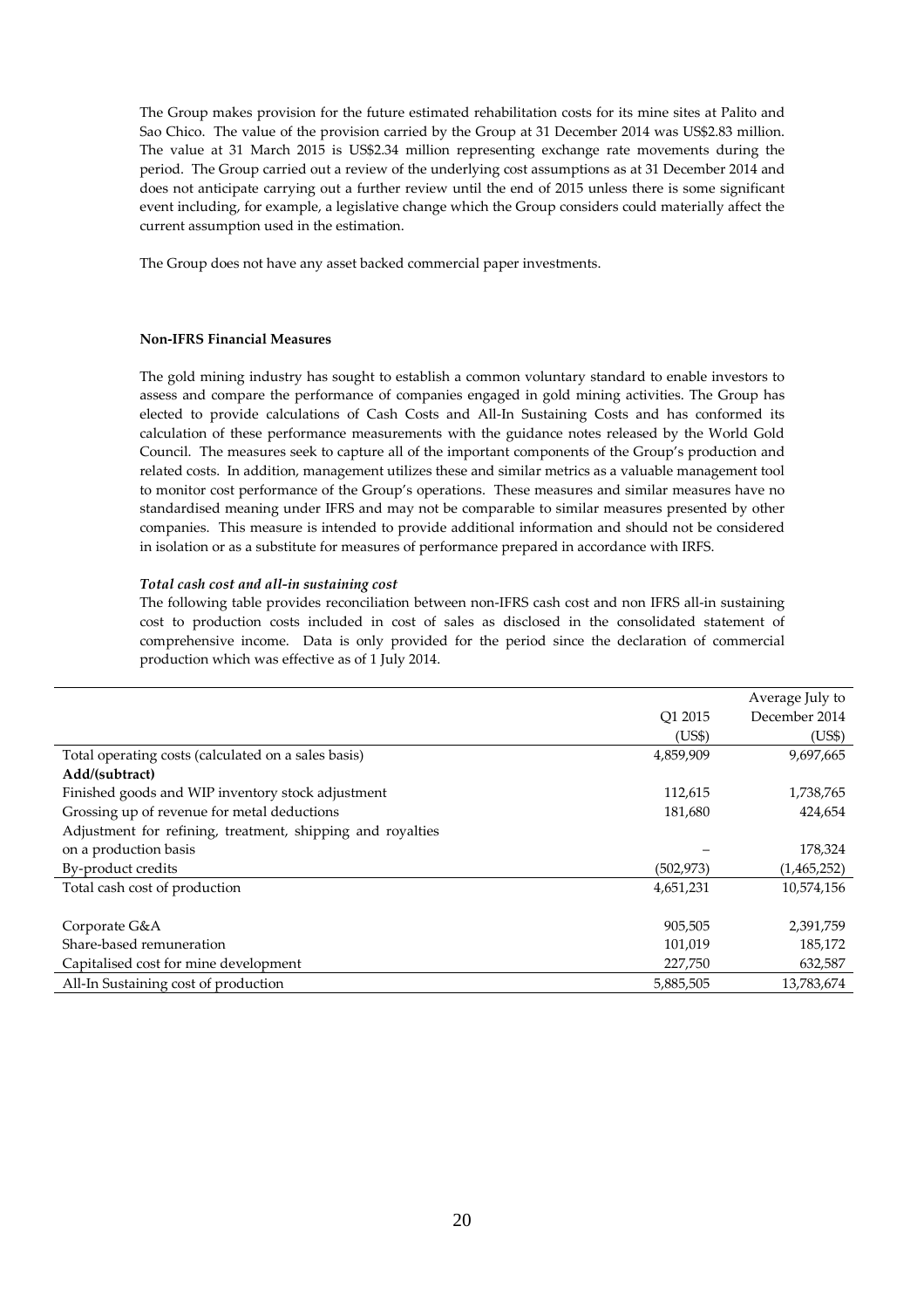The Group makes provision for the future estimated rehabilitation costs for its mine sites at Palito and Sao Chico. The value of the provision carried by the Group at 31 December 2014 was US\$2.83 million. The value at 31 March 2015 is US\$2.34 million representing exchange rate movements during the period. The Group carried out a review of the underlying cost assumptions as at 31 December 2014 and does not anticipate carrying out a further review until the end of 2015 unless there is some significant event including, for example, a legislative change which the Group considers could materially affect the current assumption used in the estimation.

The Group does not have any asset backed commercial paper investments.

#### **Non-IFRS Financial Measures**

The gold mining industry has sought to establish a common voluntary standard to enable investors to assess and compare the performance of companies engaged in gold mining activities. The Group has elected to provide calculations of Cash Costs and All-In Sustaining Costs and has conformed its calculation of these performance measurements with the guidance notes released by the World Gold Council. The measures seek to capture all of the important components of the Group's production and related costs. In addition, management utilizes these and similar metrics as a valuable management tool to monitor cost performance of the Group's operations. These measures and similar measures have no standardised meaning under IFRS and may not be comparable to similar measures presented by other companies. This measure is intended to provide additional information and should not be considered in isolation or as a substitute for measures of performance prepared in accordance with IRFS.

#### *Total cash cost and all-in sustaining cost*

The following table provides reconciliation between non-IFRS cash cost and non IFRS all-in sustaining cost to production costs included in cost of sales as disclosed in the consolidated statement of comprehensive income. Data is only provided for the period since the declaration of commercial production which was effective as of 1 July 2014.

|                                                            |            | Average July to |
|------------------------------------------------------------|------------|-----------------|
|                                                            | O1 2015    | December 2014   |
|                                                            | (US\$)     | (US\$)          |
| Total operating costs (calculated on a sales basis)        | 4,859,909  | 9,697,665       |
| Add/(subtract)                                             |            |                 |
| Finished goods and WIP inventory stock adjustment          | 112,615    | 1,738,765       |
| Grossing up of revenue for metal deductions                | 181,680    | 424,654         |
| Adjustment for refining, treatment, shipping and royalties |            |                 |
| on a production basis                                      |            | 178,324         |
| By-product credits                                         | (502, 973) | (1,465,252)     |
| Total cash cost of production                              | 4,651,231  | 10,574,156      |
|                                                            |            |                 |
| Corporate G&A                                              | 905,505    | 2,391,759       |
| Share-based remuneration                                   | 101,019    | 185,172         |
| Capitalised cost for mine development                      | 227,750    | 632,587         |
| All-In Sustaining cost of production                       | 5,885,505  | 13,783,674      |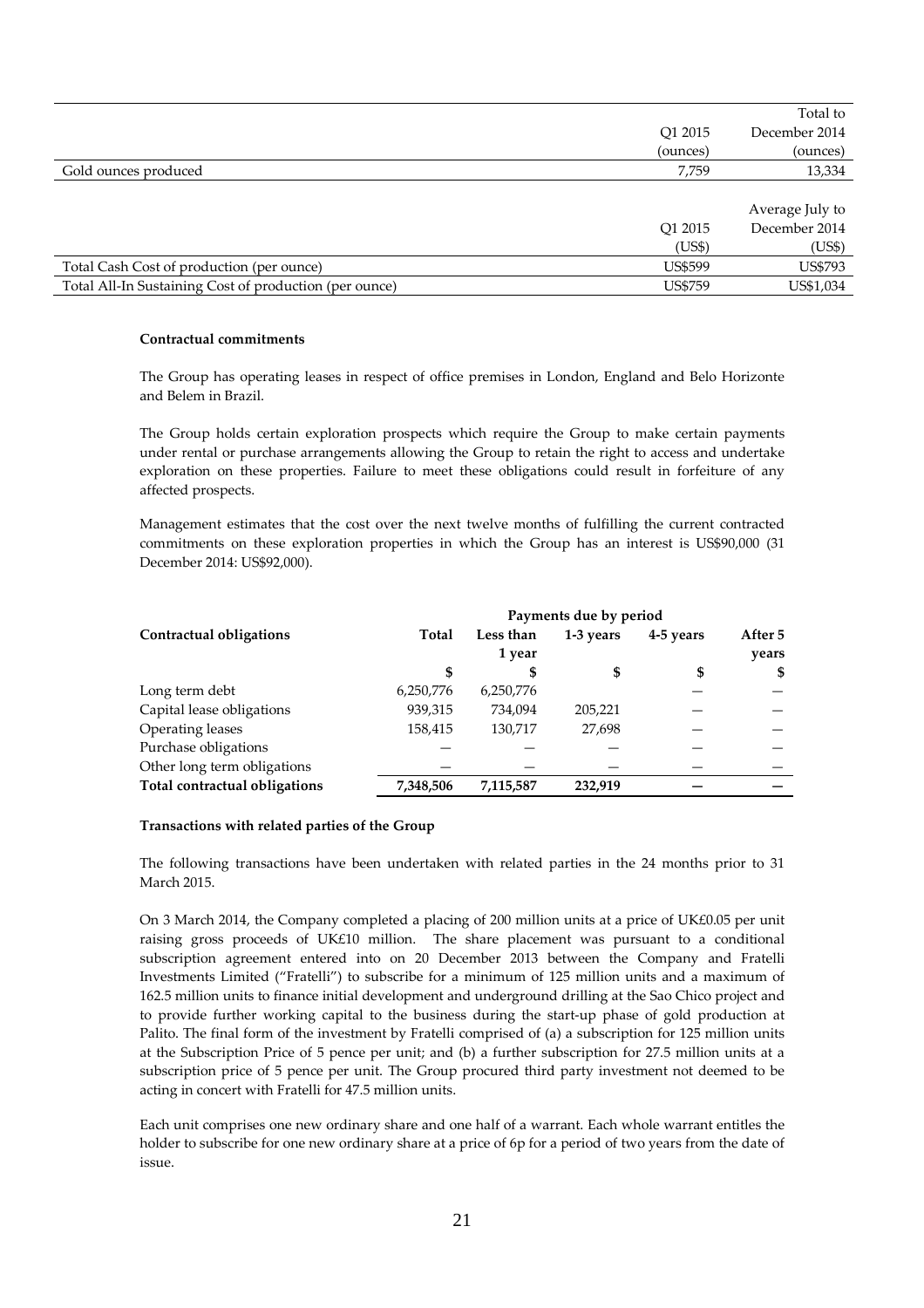|                                                        |                | Total to        |
|--------------------------------------------------------|----------------|-----------------|
|                                                        | O1 2015        | December 2014   |
|                                                        | (ounces)       | (ounces)        |
| Gold ounces produced                                   | 7,759          | 13,334          |
|                                                        |                |                 |
|                                                        |                | Average July to |
|                                                        | O1 2015        | December 2014   |
|                                                        | (US\$)         | (US\$)          |
| Total Cash Cost of production (per ounce)              | <b>US\$599</b> | <b>US\$793</b>  |
| Total All-In Sustaining Cost of production (per ounce) | <b>US\$759</b> | US\$1,034       |
|                                                        |                |                 |

#### **Contractual commitments**

The Group has operating leases in respect of office premises in London, England and Belo Horizonte and Belem in Brazil.

The Group holds certain exploration prospects which require the Group to make certain payments under rental or purchase arrangements allowing the Group to retain the right to access and undertake exploration on these properties. Failure to meet these obligations could result in forfeiture of any affected prospects.

Management estimates that the cost over the next twelve months of fulfilling the current contracted commitments on these exploration properties in which the Group has an interest is US\$90,000 (31 December 2014: US\$92,000).

|                               | Payments due by period |           |           |           |         |  |
|-------------------------------|------------------------|-----------|-----------|-----------|---------|--|
| Contractual obligations       | Total                  | Less than | 1-3 years | 4-5 years | After 5 |  |
|                               |                        | 1 year    |           |           | years   |  |
|                               | \$                     | S         | S         | \$        | \$      |  |
| Long term debt                | 6,250,776              | 6,250,776 |           |           |         |  |
| Capital lease obligations     | 939,315                | 734,094   | 205,221   |           |         |  |
| Operating leases              | 158,415                | 130,717   | 27.698    |           |         |  |
| Purchase obligations          |                        |           |           |           |         |  |
| Other long term obligations   |                        |           |           |           |         |  |
| Total contractual obligations | 7,348,506              | 7,115,587 | 232.919   |           |         |  |

#### **Transactions with related parties of the Group**

The following transactions have been undertaken with related parties in the 24 months prior to 31 March 2015.

On 3 March 2014, the Company completed a placing of 200 million units at a price of UK£0.05 per unit raising gross proceeds of UK£10 million. The share placement was pursuant to a conditional subscription agreement entered into on 20 December 2013 between the Company and Fratelli Investments Limited ("Fratelli") to subscribe for a minimum of 125 million units and a maximum of 162.5 million units to finance initial development and underground drilling at the Sao Chico project and to provide further working capital to the business during the start-up phase of gold production at Palito. The final form of the investment by Fratelli comprised of (a) a subscription for 125 million units at the Subscription Price of 5 pence per unit; and (b) a further subscription for 27.5 million units at a subscription price of 5 pence per unit. The Group procured third party investment not deemed to be acting in concert with Fratelli for 47.5 million units.

Each unit comprises one new ordinary share and one half of a warrant. Each whole warrant entitles the holder to subscribe for one new ordinary share at a price of 6p for a period of two years from the date of issue.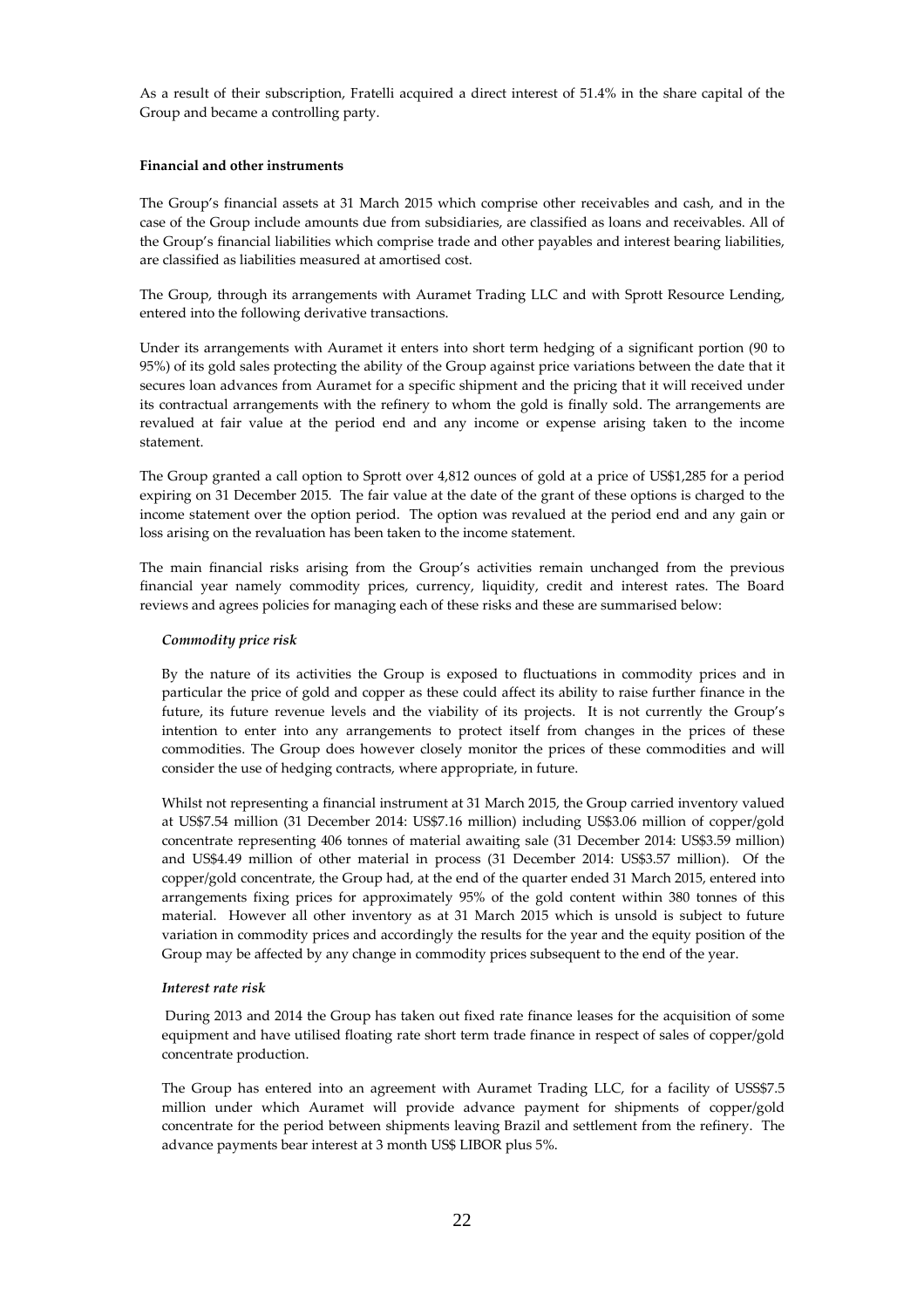As a result of their subscription, Fratelli acquired a direct interest of 51.4% in the share capital of the Group and became a controlling party.

#### **Financial and other instruments**

The Group's financial assets at 31 March 2015 which comprise other receivables and cash, and in the case of the Group include amounts due from subsidiaries, are classified as loans and receivables. All of the Group's financial liabilities which comprise trade and other payables and interest bearing liabilities, are classified as liabilities measured at amortised cost.

The Group, through its arrangements with Auramet Trading LLC and with Sprott Resource Lending, entered into the following derivative transactions.

Under its arrangements with Auramet it enters into short term hedging of a significant portion (90 to 95%) of its gold sales protecting the ability of the Group against price variations between the date that it secures loan advances from Auramet for a specific shipment and the pricing that it will received under its contractual arrangements with the refinery to whom the gold is finally sold. The arrangements are revalued at fair value at the period end and any income or expense arising taken to the income statement.

The Group granted a call option to Sprott over 4,812 ounces of gold at a price of US\$1,285 for a period expiring on 31 December 2015. The fair value at the date of the grant of these options is charged to the income statement over the option period. The option was revalued at the period end and any gain or loss arising on the revaluation has been taken to the income statement.

The main financial risks arising from the Group's activities remain unchanged from the previous financial year namely commodity prices, currency, liquidity, credit and interest rates. The Board reviews and agrees policies for managing each of these risks and these are summarised below:

# *Commodity price risk*

By the nature of its activities the Group is exposed to fluctuations in commodity prices and in particular the price of gold and copper as these could affect its ability to raise further finance in the future, its future revenue levels and the viability of its projects. It is not currently the Group's intention to enter into any arrangements to protect itself from changes in the prices of these commodities. The Group does however closely monitor the prices of these commodities and will consider the use of hedging contracts, where appropriate, in future.

Whilst not representing a financial instrument at 31 March 2015, the Group carried inventory valued at US\$7.54 million (31 December 2014: US\$7.16 million) including US\$3.06 million of copper/gold concentrate representing 406 tonnes of material awaiting sale (31 December 2014: US\$3.59 million) and US\$4.49 million of other material in process (31 December 2014: US\$3.57 million). Of the copper/gold concentrate, the Group had, at the end of the quarter ended 31 March 2015, entered into arrangements fixing prices for approximately 95% of the gold content within 380 tonnes of this material. However all other inventory as at 31 March 2015 which is unsold is subject to future variation in commodity prices and accordingly the results for the year and the equity position of the Group may be affected by any change in commodity prices subsequent to the end of the year.

#### *Interest rate risk*

 During 2013 and 2014 the Group has taken out fixed rate finance leases for the acquisition of some equipment and have utilised floating rate short term trade finance in respect of sales of copper/gold concentrate production.

The Group has entered into an agreement with Auramet Trading LLC, for a facility of USS\$7.5 million under which Auramet will provide advance payment for shipments of copper/gold concentrate for the period between shipments leaving Brazil and settlement from the refinery. The advance payments bear interest at 3 month US\$ LIBOR plus 5%.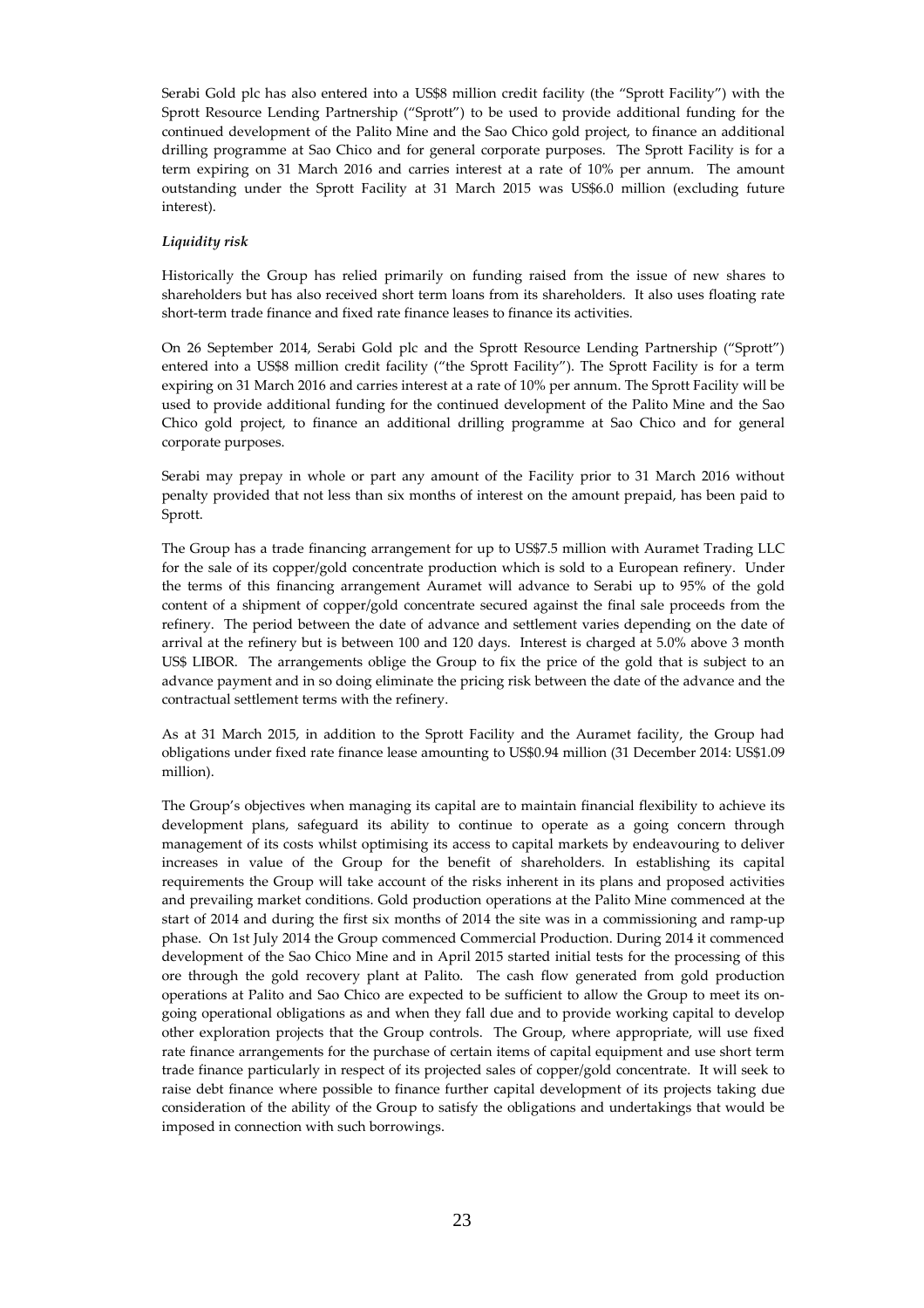Serabi Gold plc has also entered into a US\$8 million credit facility (the "Sprott Facility") with the Sprott Resource Lending Partnership ("Sprott") to be used to provide additional funding for the continued development of the Palito Mine and the Sao Chico gold project, to finance an additional drilling programme at Sao Chico and for general corporate purposes. The Sprott Facility is for a term expiring on 31 March 2016 and carries interest at a rate of 10% per annum. The amount outstanding under the Sprott Facility at 31 March 2015 was US\$6.0 million (excluding future interest).

# *Liquidity risk*

Historically the Group has relied primarily on funding raised from the issue of new shares to shareholders but has also received short term loans from its shareholders. It also uses floating rate short-term trade finance and fixed rate finance leases to finance its activities.

On 26 September 2014, Serabi Gold plc and the Sprott Resource Lending Partnership ("Sprott") entered into a US\$8 million credit facility ("the Sprott Facility"). The Sprott Facility is for a term expiring on 31 March 2016 and carries interest at a rate of 10% per annum. The Sprott Facility will be used to provide additional funding for the continued development of the Palito Mine and the Sao Chico gold project, to finance an additional drilling programme at Sao Chico and for general corporate purposes.

Serabi may prepay in whole or part any amount of the Facility prior to 31 March 2016 without penalty provided that not less than six months of interest on the amount prepaid, has been paid to Sprott.

The Group has a trade financing arrangement for up to US\$7.5 million with Auramet Trading LLC for the sale of its copper/gold concentrate production which is sold to a European refinery. Under the terms of this financing arrangement Auramet will advance to Serabi up to 95% of the gold content of a shipment of copper/gold concentrate secured against the final sale proceeds from the refinery. The period between the date of advance and settlement varies depending on the date of arrival at the refinery but is between 100 and 120 days. Interest is charged at 5.0% above 3 month US\$ LIBOR. The arrangements oblige the Group to fix the price of the gold that is subject to an advance payment and in so doing eliminate the pricing risk between the date of the advance and the contractual settlement terms with the refinery.

As at 31 March 2015, in addition to the Sprott Facility and the Auramet facility, the Group had obligations under fixed rate finance lease amounting to US\$0.94 million (31 December 2014: US\$1.09 million).

The Group's objectives when managing its capital are to maintain financial flexibility to achieve its development plans, safeguard its ability to continue to operate as a going concern through management of its costs whilst optimising its access to capital markets by endeavouring to deliver increases in value of the Group for the benefit of shareholders. In establishing its capital requirements the Group will take account of the risks inherent in its plans and proposed activities and prevailing market conditions. Gold production operations at the Palito Mine commenced at the start of 2014 and during the first six months of 2014 the site was in a commissioning and ramp-up phase. On 1st July 2014 the Group commenced Commercial Production. During 2014 it commenced development of the Sao Chico Mine and in April 2015 started initial tests for the processing of this ore through the gold recovery plant at Palito. The cash flow generated from gold production operations at Palito and Sao Chico are expected to be sufficient to allow the Group to meet its ongoing operational obligations as and when they fall due and to provide working capital to develop other exploration projects that the Group controls. The Group, where appropriate, will use fixed rate finance arrangements for the purchase of certain items of capital equipment and use short term trade finance particularly in respect of its projected sales of copper/gold concentrate. It will seek to raise debt finance where possible to finance further capital development of its projects taking due consideration of the ability of the Group to satisfy the obligations and undertakings that would be imposed in connection with such borrowings.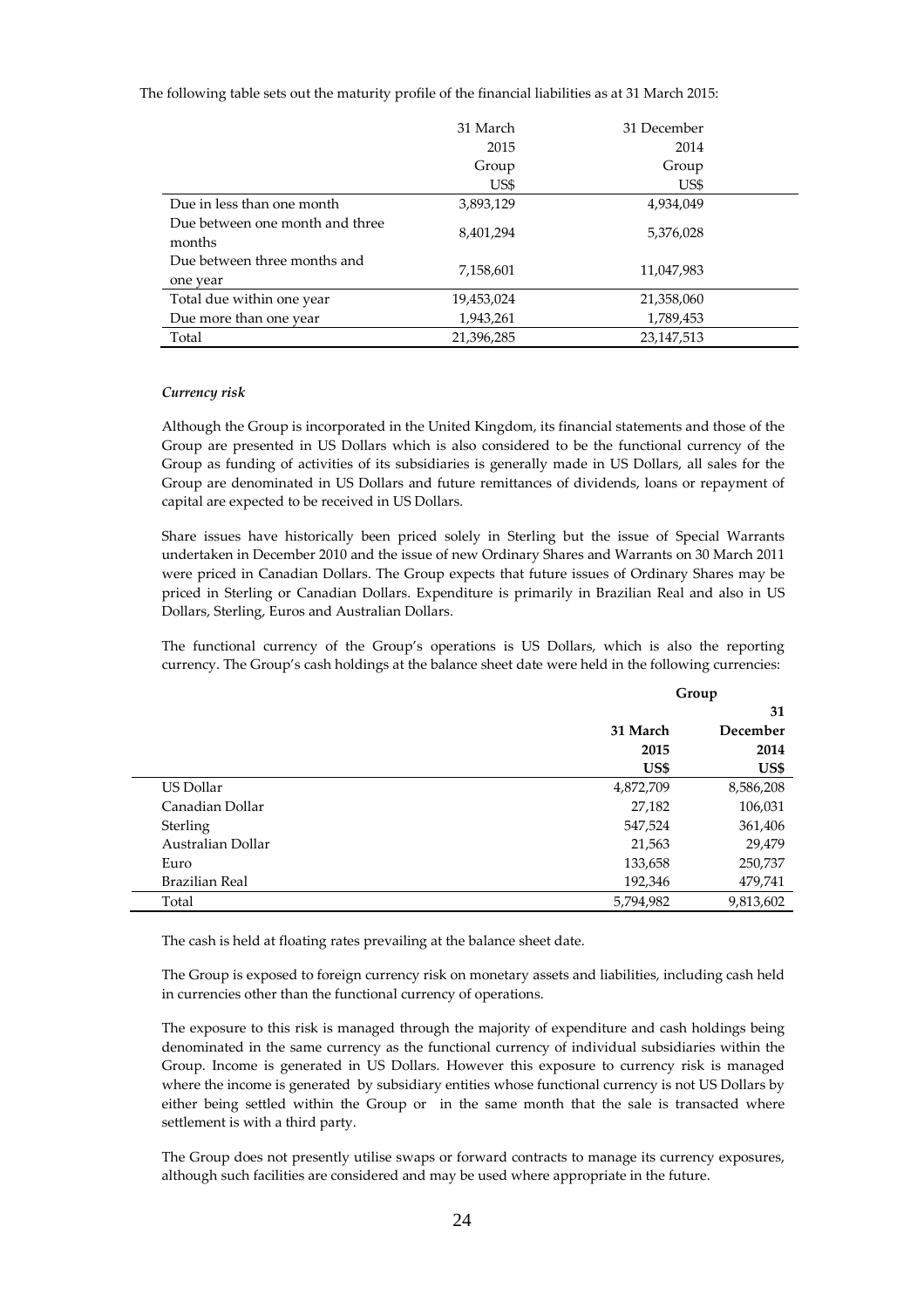The following table sets out the maturity profile of the financial liabilities as at 31 March 2015:

|                                 | 31 March   | 31 December  |  |
|---------------------------------|------------|--------------|--|
|                                 | 2015       | 2014         |  |
|                                 | Group      | Group        |  |
|                                 | US\$       | US\$         |  |
| Due in less than one month      | 3,893,129  | 4,934,049    |  |
| Due between one month and three | 8,401,294  | 5,376,028    |  |
| months                          |            |              |  |
| Due between three months and    | 7,158,601  | 11,047,983   |  |
| one year                        |            |              |  |
| Total due within one year       | 19,453,024 | 21,358,060   |  |
| Due more than one year          | 1,943,261  | 1,789,453    |  |
| Total                           | 21,396,285 | 23, 147, 513 |  |

#### *Currency risk*

Although the Group is incorporated in the United Kingdom, its financial statements and those of the Group are presented in US Dollars which is also considered to be the functional currency of the Group as funding of activities of its subsidiaries is generally made in US Dollars, all sales for the Group are denominated in US Dollars and future remittances of dividends, loans or repayment of capital are expected to be received in US Dollars.

Share issues have historically been priced solely in Sterling but the issue of Special Warrants undertaken in December 2010 and the issue of new Ordinary Shares and Warrants on 30 March 2011 were priced in Canadian Dollars. The Group expects that future issues of Ordinary Shares may be priced in Sterling or Canadian Dollars. Expenditure is primarily in Brazilian Real and also in US Dollars, Sterling, Euros and Australian Dollars.

The functional currency of the Group's operations is US Dollars, which is also the reporting currency. The Group's cash holdings at the balance sheet date were held in the following currencies:

|                   | Group     |           |
|-------------------|-----------|-----------|
|                   |           | 31        |
|                   | 31 March  | December  |
|                   | 2015      | 2014      |
|                   | US\$      | US\$      |
| US Dollar         | 4,872,709 | 8,586,208 |
| Canadian Dollar   | 27,182    | 106,031   |
| Sterling          | 547,524   | 361,406   |
| Australian Dollar | 21,563    | 29,479    |
| Euro              | 133,658   | 250,737   |
| Brazilian Real    | 192,346   | 479,741   |
| Total             | 5,794,982 | 9,813,602 |

The cash is held at floating rates prevailing at the balance sheet date.

The Group is exposed to foreign currency risk on monetary assets and liabilities, including cash held in currencies other than the functional currency of operations.

The exposure to this risk is managed through the majority of expenditure and cash holdings being denominated in the same currency as the functional currency of individual subsidiaries within the Group. Income is generated in US Dollars. However this exposure to currency risk is managed where the income is generated by subsidiary entities whose functional currency is not US Dollars by either being settled within the Group or in the same month that the sale is transacted where settlement is with a third party.

The Group does not presently utilise swaps or forward contracts to manage its currency exposures, although such facilities are considered and may be used where appropriate in the future.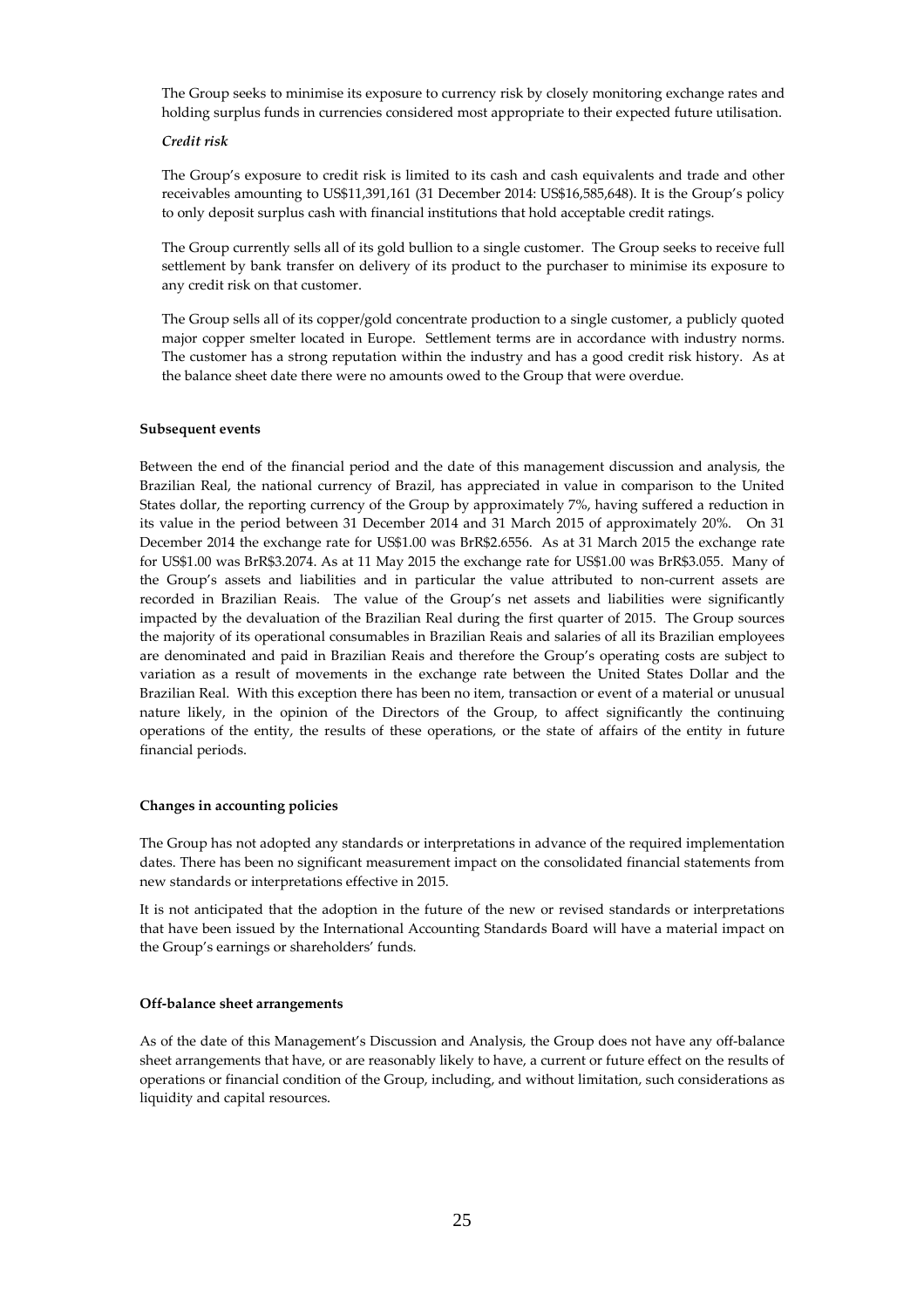The Group seeks to minimise its exposure to currency risk by closely monitoring exchange rates and holding surplus funds in currencies considered most appropriate to their expected future utilisation.

# *Credit risk*

The Group's exposure to credit risk is limited to its cash and cash equivalents and trade and other receivables amounting to US\$11,391,161 (31 December 2014: US\$16,585,648). It is the Group's policy to only deposit surplus cash with financial institutions that hold acceptable credit ratings.

The Group currently sells all of its gold bullion to a single customer. The Group seeks to receive full settlement by bank transfer on delivery of its product to the purchaser to minimise its exposure to any credit risk on that customer.

The Group sells all of its copper/gold concentrate production to a single customer, a publicly quoted major copper smelter located in Europe. Settlement terms are in accordance with industry norms. The customer has a strong reputation within the industry and has a good credit risk history. As at the balance sheet date there were no amounts owed to the Group that were overdue.

#### **Subsequent events**

Between the end of the financial period and the date of this management discussion and analysis, the Brazilian Real, the national currency of Brazil, has appreciated in value in comparison to the United States dollar, the reporting currency of the Group by approximately 7%, having suffered a reduction in its value in the period between 31 December 2014 and 31 March 2015 of approximately 20%. On 31 December 2014 the exchange rate for US\$1.00 was BrR\$2.6556. As at 31 March 2015 the exchange rate for US\$1.00 was BrR\$3.2074. As at 11 May 2015 the exchange rate for US\$1.00 was BrR\$3.055. Many of the Group's assets and liabilities and in particular the value attributed to non-current assets are recorded in Brazilian Reais. The value of the Group's net assets and liabilities were significantly impacted by the devaluation of the Brazilian Real during the first quarter of 2015. The Group sources the majority of its operational consumables in Brazilian Reais and salaries of all its Brazilian employees are denominated and paid in Brazilian Reais and therefore the Group's operating costs are subject to variation as a result of movements in the exchange rate between the United States Dollar and the Brazilian Real. With this exception there has been no item, transaction or event of a material or unusual nature likely, in the opinion of the Directors of the Group, to affect significantly the continuing operations of the entity, the results of these operations, or the state of affairs of the entity in future financial periods.

#### **Changes in accounting policies**

The Group has not adopted any standards or interpretations in advance of the required implementation dates. There has been no significant measurement impact on the consolidated financial statements from new standards or interpretations effective in 2015.

It is not anticipated that the adoption in the future of the new or revised standards or interpretations that have been issued by the International Accounting Standards Board will have a material impact on the Group's earnings or shareholders' funds.

#### **Off-balance sheet arrangements**

As of the date of this Management's Discussion and Analysis, the Group does not have any off-balance sheet arrangements that have, or are reasonably likely to have, a current or future effect on the results of operations or financial condition of the Group, including, and without limitation, such considerations as liquidity and capital resources.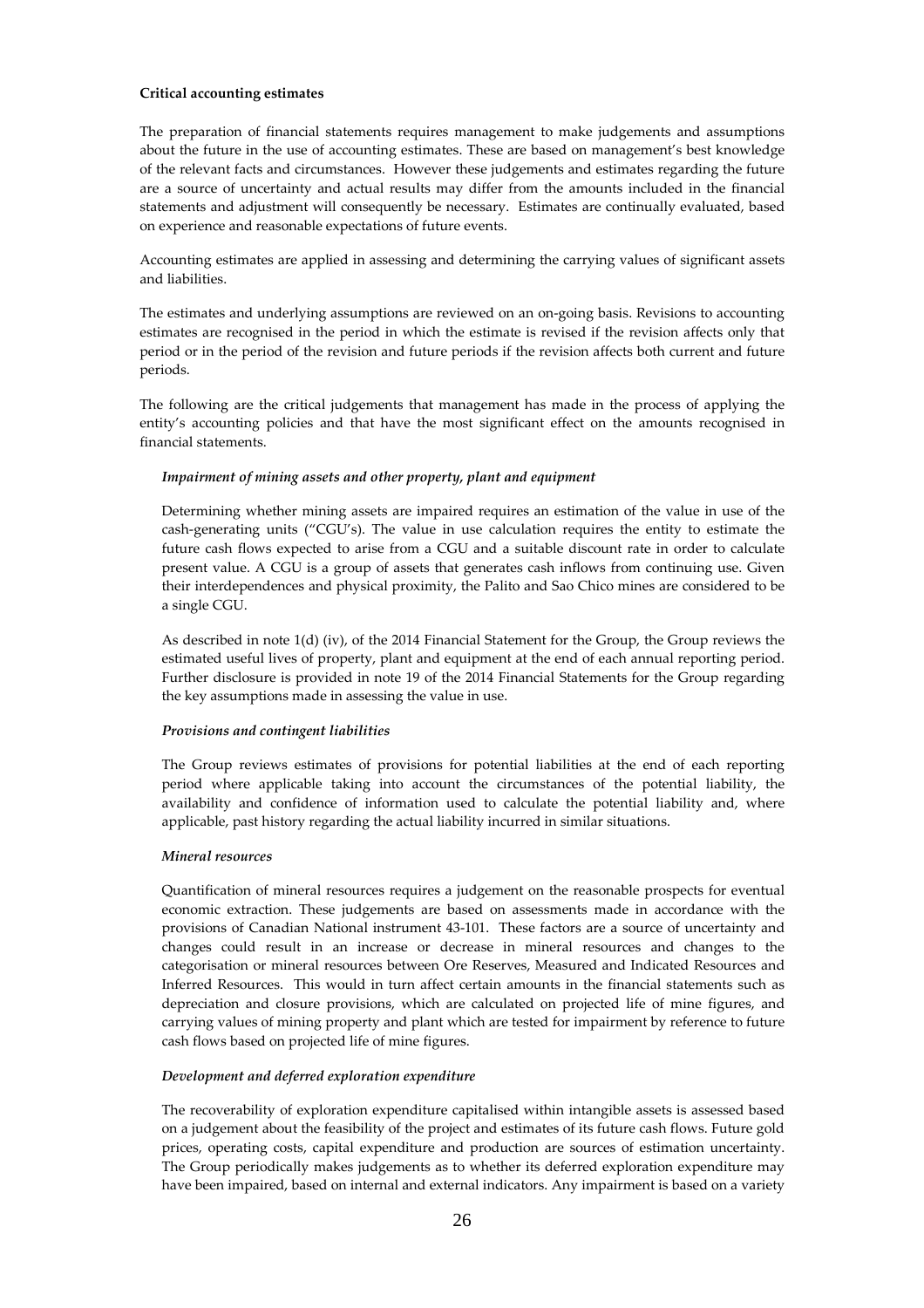#### **Critical accounting estimates**

The preparation of financial statements requires management to make judgements and assumptions about the future in the use of accounting estimates. These are based on management's best knowledge of the relevant facts and circumstances. However these judgements and estimates regarding the future are a source of uncertainty and actual results may differ from the amounts included in the financial statements and adjustment will consequently be necessary. Estimates are continually evaluated, based on experience and reasonable expectations of future events.

Accounting estimates are applied in assessing and determining the carrying values of significant assets and liabilities.

The estimates and underlying assumptions are reviewed on an on-going basis. Revisions to accounting estimates are recognised in the period in which the estimate is revised if the revision affects only that period or in the period of the revision and future periods if the revision affects both current and future periods.

The following are the critical judgements that management has made in the process of applying the entity's accounting policies and that have the most significant effect on the amounts recognised in financial statements.

#### *Impairment of mining assets and other property, plant and equipment*

Determining whether mining assets are impaired requires an estimation of the value in use of the cash-generating units ("CGU's). The value in use calculation requires the entity to estimate the future cash flows expected to arise from a CGU and a suitable discount rate in order to calculate present value. A CGU is a group of assets that generates cash inflows from continuing use. Given their interdependences and physical proximity, the Palito and Sao Chico mines are considered to be a single CGU.

As described in note 1(d) (iv), of the 2014 Financial Statement for the Group, the Group reviews the estimated useful lives of property, plant and equipment at the end of each annual reporting period. Further disclosure is provided in note 19 of the 2014 Financial Statements for the Group regarding the key assumptions made in assessing the value in use.

#### *Provisions and contingent liabilities*

The Group reviews estimates of provisions for potential liabilities at the end of each reporting period where applicable taking into account the circumstances of the potential liability, the availability and confidence of information used to calculate the potential liability and, where applicable, past history regarding the actual liability incurred in similar situations.

#### *Mineral resources*

Quantification of mineral resources requires a judgement on the reasonable prospects for eventual economic extraction. These judgements are based on assessments made in accordance with the provisions of Canadian National instrument 43-101. These factors are a source of uncertainty and changes could result in an increase or decrease in mineral resources and changes to the categorisation or mineral resources between Ore Reserves, Measured and Indicated Resources and Inferred Resources. This would in turn affect certain amounts in the financial statements such as depreciation and closure provisions, which are calculated on projected life of mine figures, and carrying values of mining property and plant which are tested for impairment by reference to future cash flows based on projected life of mine figures.

#### *Development and deferred exploration expenditure*

The recoverability of exploration expenditure capitalised within intangible assets is assessed based on a judgement about the feasibility of the project and estimates of its future cash flows. Future gold prices, operating costs, capital expenditure and production are sources of estimation uncertainty. The Group periodically makes judgements as to whether its deferred exploration expenditure may have been impaired, based on internal and external indicators. Any impairment is based on a variety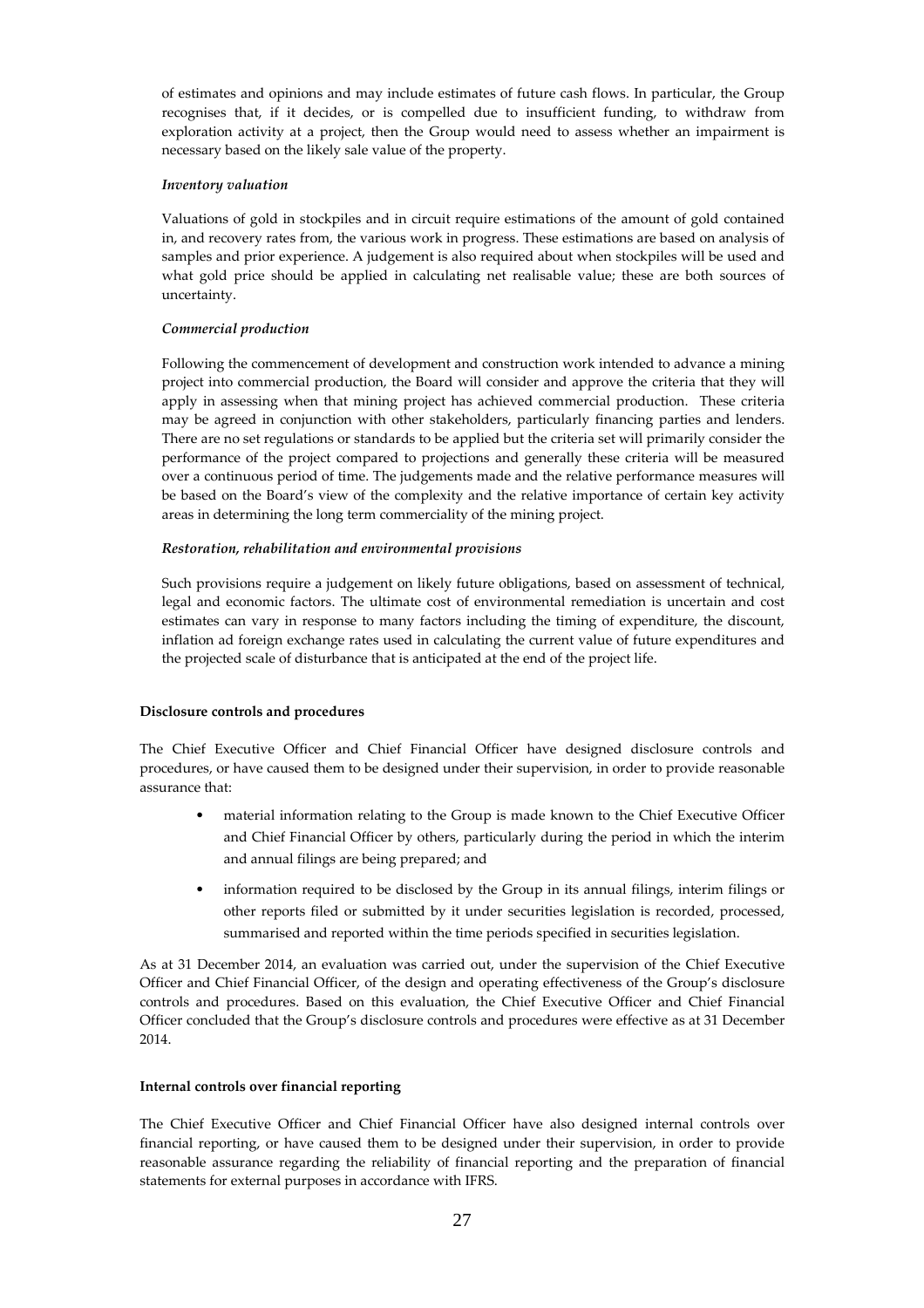of estimates and opinions and may include estimates of future cash flows. In particular, the Group recognises that, if it decides, or is compelled due to insufficient funding, to withdraw from exploration activity at a project, then the Group would need to assess whether an impairment is necessary based on the likely sale value of the property.

# *Inventory valuation*

Valuations of gold in stockpiles and in circuit require estimations of the amount of gold contained in, and recovery rates from, the various work in progress. These estimations are based on analysis of samples and prior experience. A judgement is also required about when stockpiles will be used and what gold price should be applied in calculating net realisable value; these are both sources of uncertainty.

# *Commercial production*

Following the commencement of development and construction work intended to advance a mining project into commercial production, the Board will consider and approve the criteria that they will apply in assessing when that mining project has achieved commercial production. These criteria may be agreed in conjunction with other stakeholders, particularly financing parties and lenders. There are no set regulations or standards to be applied but the criteria set will primarily consider the performance of the project compared to projections and generally these criteria will be measured over a continuous period of time. The judgements made and the relative performance measures will be based on the Board's view of the complexity and the relative importance of certain key activity areas in determining the long term commerciality of the mining project.

# *Restoration, rehabilitation and environmental provisions*

Such provisions require a judgement on likely future obligations, based on assessment of technical, legal and economic factors. The ultimate cost of environmental remediation is uncertain and cost estimates can vary in response to many factors including the timing of expenditure, the discount, inflation ad foreign exchange rates used in calculating the current value of future expenditures and the projected scale of disturbance that is anticipated at the end of the project life.

# **Disclosure controls and procedures**

The Chief Executive Officer and Chief Financial Officer have designed disclosure controls and procedures, or have caused them to be designed under their supervision, in order to provide reasonable assurance that:

- material information relating to the Group is made known to the Chief Executive Officer and Chief Financial Officer by others, particularly during the period in which the interim and annual filings are being prepared; and
- information required to be disclosed by the Group in its annual filings, interim filings or other reports filed or submitted by it under securities legislation is recorded, processed, summarised and reported within the time periods specified in securities legislation.

As at 31 December 2014, an evaluation was carried out, under the supervision of the Chief Executive Officer and Chief Financial Officer, of the design and operating effectiveness of the Group's disclosure controls and procedures. Based on this evaluation, the Chief Executive Officer and Chief Financial Officer concluded that the Group's disclosure controls and procedures were effective as at 31 December 2014.

# **Internal controls over financial reporting**

The Chief Executive Officer and Chief Financial Officer have also designed internal controls over financial reporting, or have caused them to be designed under their supervision, in order to provide reasonable assurance regarding the reliability of financial reporting and the preparation of financial statements for external purposes in accordance with IFRS.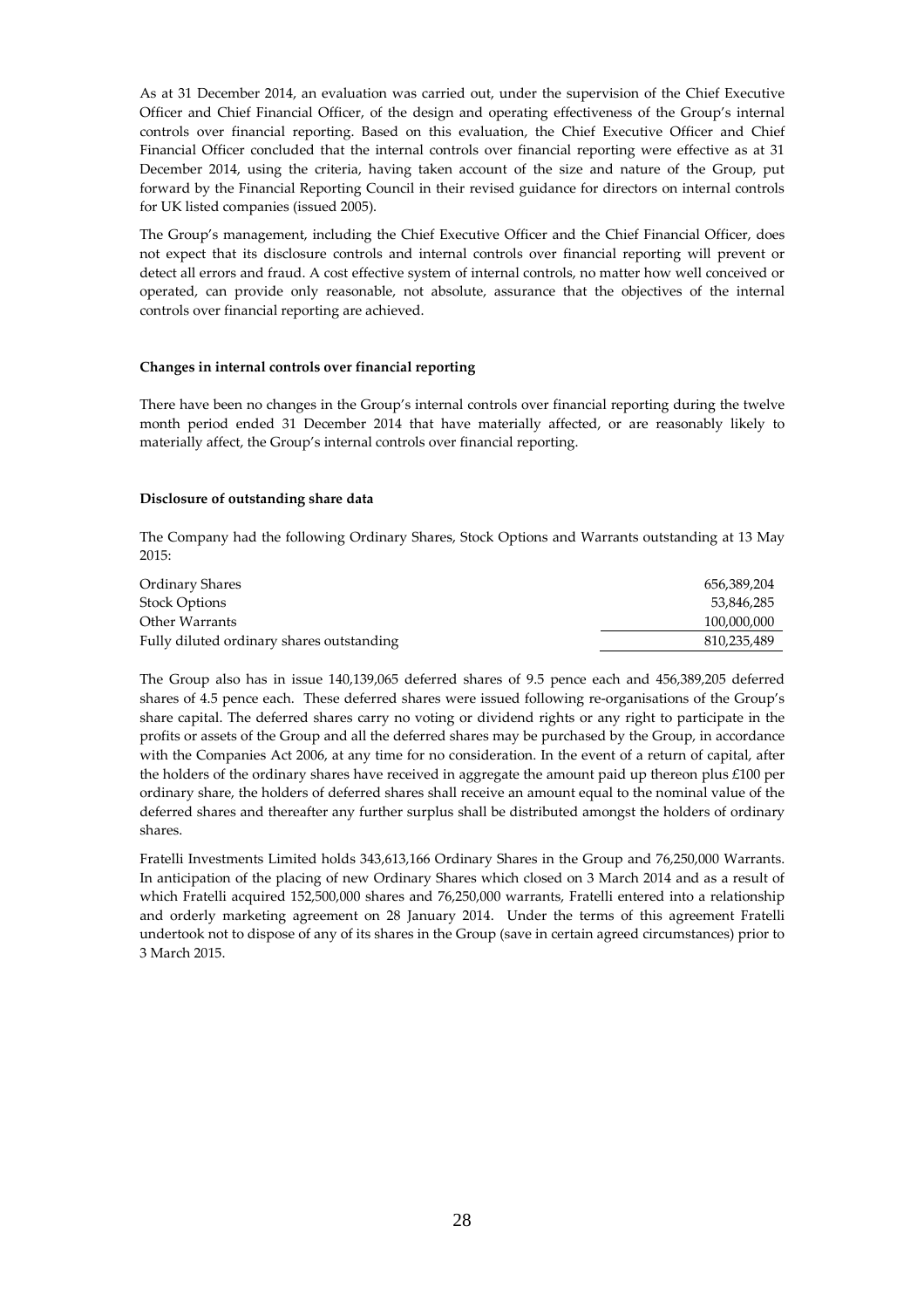As at 31 December 2014, an evaluation was carried out, under the supervision of the Chief Executive Officer and Chief Financial Officer, of the design and operating effectiveness of the Group's internal controls over financial reporting. Based on this evaluation, the Chief Executive Officer and Chief Financial Officer concluded that the internal controls over financial reporting were effective as at 31 December 2014, using the criteria, having taken account of the size and nature of the Group, put forward by the Financial Reporting Council in their revised guidance for directors on internal controls for UK listed companies (issued 2005).

The Group's management, including the Chief Executive Officer and the Chief Financial Officer, does not expect that its disclosure controls and internal controls over financial reporting will prevent or detect all errors and fraud. A cost effective system of internal controls, no matter how well conceived or operated, can provide only reasonable, not absolute, assurance that the objectives of the internal controls over financial reporting are achieved.

#### **Changes in internal controls over financial reporting**

There have been no changes in the Group's internal controls over financial reporting during the twelve month period ended 31 December 2014 that have materially affected, or are reasonably likely to materially affect, the Group's internal controls over financial reporting.

#### **Disclosure of outstanding share data**

The Company had the following Ordinary Shares, Stock Options and Warrants outstanding at 13 May 2015:

| Ordinary Shares                           | 656,389,204 |
|-------------------------------------------|-------------|
| <b>Stock Options</b>                      | 53.846.285  |
| Other Warrants                            | 100,000,000 |
| Fully diluted ordinary shares outstanding | 810,235,489 |

The Group also has in issue 140,139,065 deferred shares of 9.5 pence each and 456,389,205 deferred shares of 4.5 pence each. These deferred shares were issued following re-organisations of the Group's share capital. The deferred shares carry no voting or dividend rights or any right to participate in the profits or assets of the Group and all the deferred shares may be purchased by the Group, in accordance with the Companies Act 2006, at any time for no consideration. In the event of a return of capital, after the holders of the ordinary shares have received in aggregate the amount paid up thereon plus £100 per ordinary share, the holders of deferred shares shall receive an amount equal to the nominal value of the deferred shares and thereafter any further surplus shall be distributed amongst the holders of ordinary shares.

Fratelli Investments Limited holds 343,613,166 Ordinary Shares in the Group and 76,250,000 Warrants. In anticipation of the placing of new Ordinary Shares which closed on 3 March 2014 and as a result of which Fratelli acquired 152,500,000 shares and 76,250,000 warrants, Fratelli entered into a relationship and orderly marketing agreement on 28 January 2014. Under the terms of this agreement Fratelli undertook not to dispose of any of its shares in the Group (save in certain agreed circumstances) prior to 3 March 2015.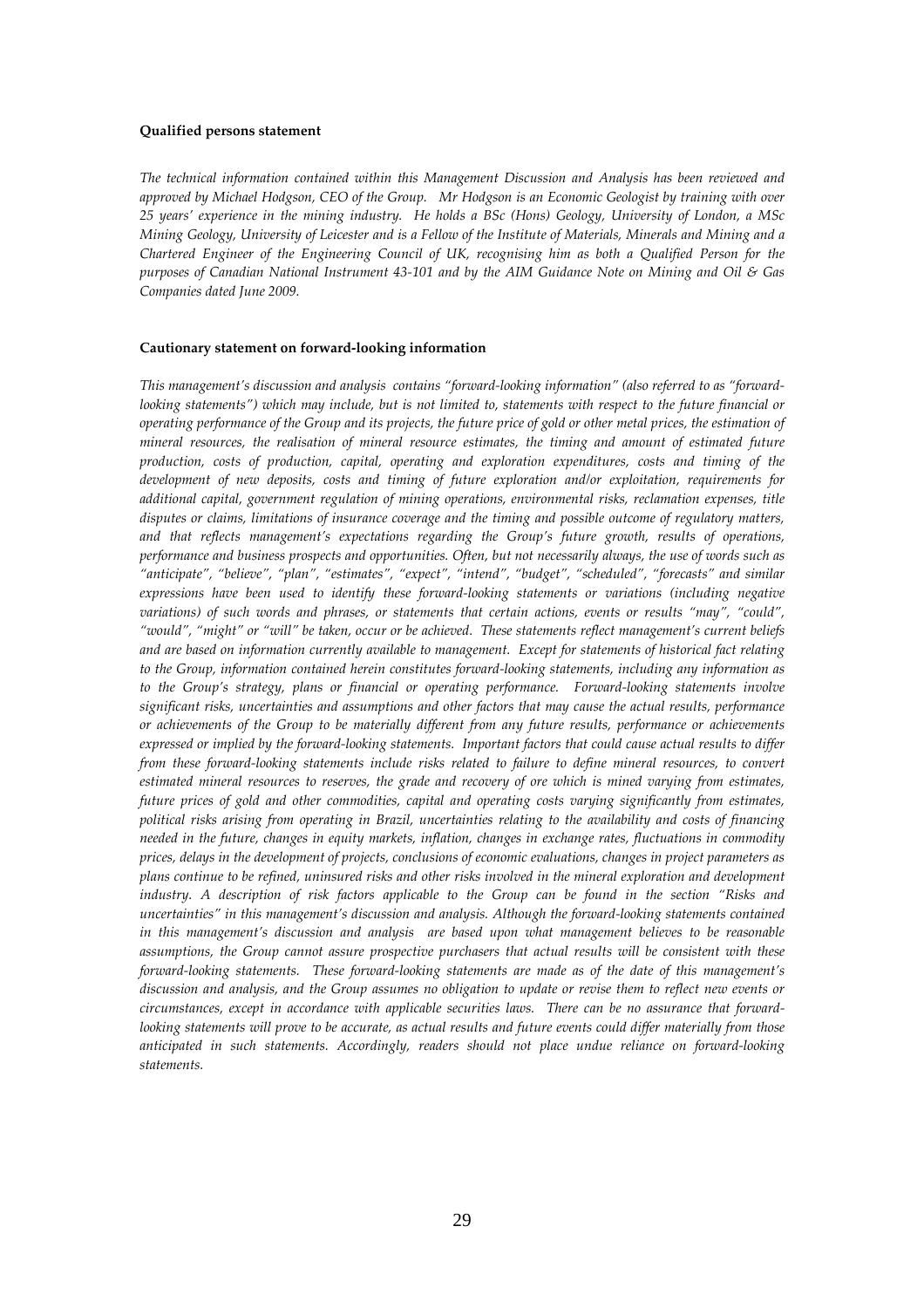#### **Qualified persons statement**

*The technical information contained within this Management Discussion and Analysis has been reviewed and approved by Michael Hodgson, CEO of the Group. Mr Hodgson is an Economic Geologist by training with over 25 years' experience in the mining industry. He holds a BSc (Hons) Geology, University of London, a MSc Mining Geology, University of Leicester and is a Fellow of the Institute of Materials, Minerals and Mining and a Chartered Engineer of the Engineering Council of UK, recognising him as both a Qualified Person for the purposes of Canadian National Instrument 43-101 and by the AIM Guidance Note on Mining and Oil & Gas Companies dated June 2009.* 

#### **Cautionary statement on forward-looking information**

*This management's discussion and analysis contains "forward-looking information" (also referred to as "forwardlooking statements") which may include, but is not limited to, statements with respect to the future financial or operating performance of the Group and its projects, the future price of gold or other metal prices, the estimation of mineral resources, the realisation of mineral resource estimates, the timing and amount of estimated future production, costs of production, capital, operating and exploration expenditures, costs and timing of the development of new deposits, costs and timing of future exploration and/or exploitation, requirements for additional capital, government regulation of mining operations, environmental risks, reclamation expenses, title disputes or claims, limitations of insurance coverage and the timing and possible outcome of regulatory matters, and that reflects management's expectations regarding the Group's future growth, results of operations, performance and business prospects and opportunities. Often, but not necessarily always, the use of words such as "anticipate", "believe", "plan", "estimates", "expect", "intend", "budget", "scheduled", "forecasts" and similar expressions have been used to identify these forward-looking statements or variations (including negative variations) of such words and phrases, or statements that certain actions, events or results "may", "could", "would", "might" or "will" be taken, occur or be achieved. These statements reflect management's current beliefs and are based on information currently available to management. Except for statements of historical fact relating to the Group, information contained herein constitutes forward-looking statements, including any information as to the Group's strategy, plans or financial or operating performance. Forward-looking statements involve significant risks, uncertainties and assumptions and other factors that may cause the actual results, performance or achievements of the Group to be materially different from any future results, performance or achievements expressed or implied by the forward-looking statements. Important factors that could cause actual results to differ from these forward-looking statements include risks related to failure to define mineral resources, to convert estimated mineral resources to reserves, the grade and recovery of ore which is mined varying from estimates, future prices of gold and other commodities, capital and operating costs varying significantly from estimates, political risks arising from operating in Brazil, uncertainties relating to the availability and costs of financing needed in the future, changes in equity markets, inflation, changes in exchange rates, fluctuations in commodity prices, delays in the development of projects, conclusions of economic evaluations, changes in project parameters as plans continue to be refined, uninsured risks and other risks involved in the mineral exploration and development industry. A description of risk factors applicable to the Group can be found in the section "Risks and uncertainties" in this management's discussion and analysis. Although the forward-looking statements contained in this management's discussion and analysis are based upon what management believes to be reasonable assumptions, the Group cannot assure prospective purchasers that actual results will be consistent with these forward-looking statements. These forward-looking statements are made as of the date of this management's discussion and analysis, and the Group assumes no obligation to update or revise them to reflect new events or circumstances, except in accordance with applicable securities laws. There can be no assurance that forwardlooking statements will prove to be accurate, as actual results and future events could differ materially from those anticipated in such statements. Accordingly, readers should not place undue reliance on forward-looking statements.*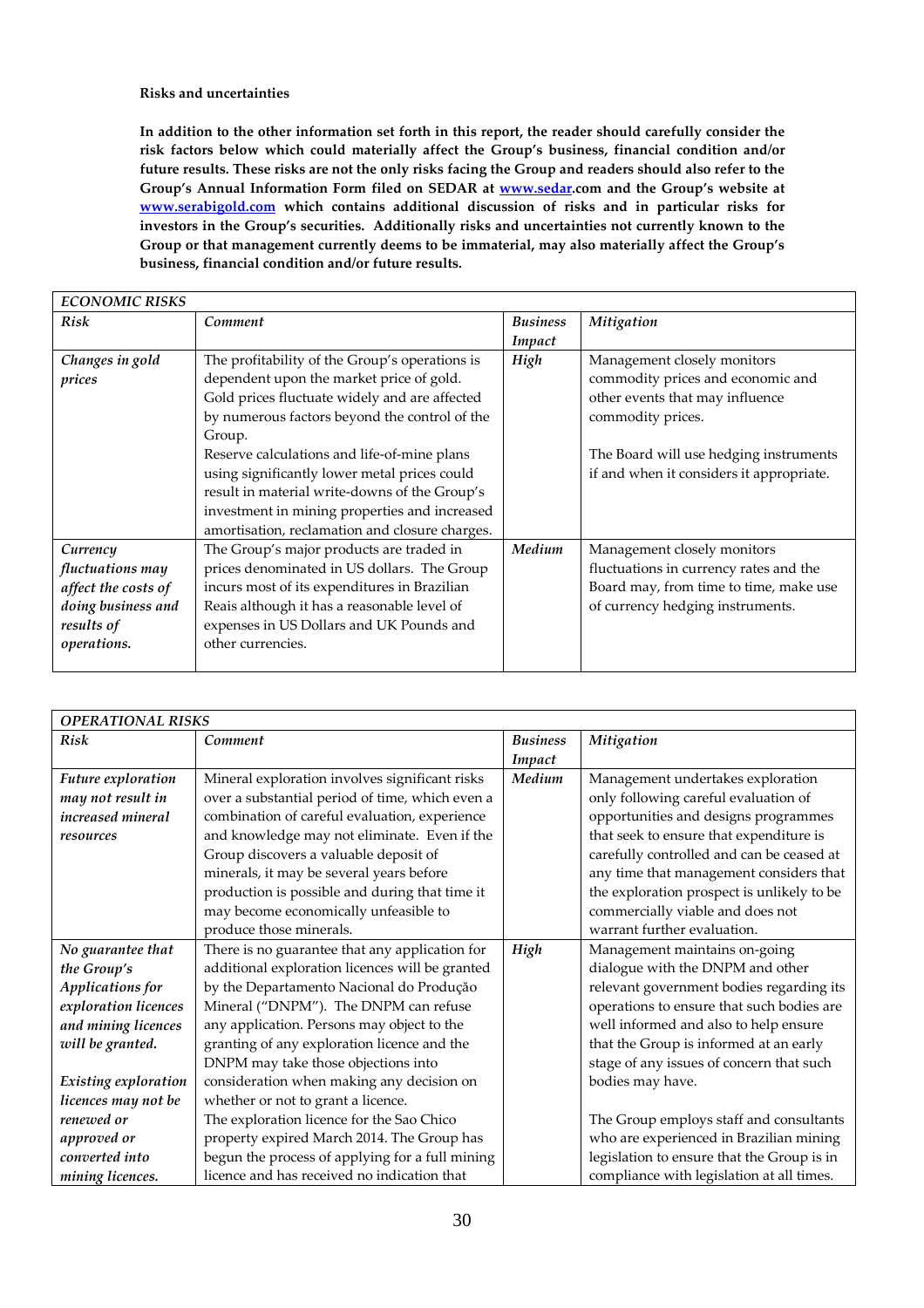# **Risks and uncertainties**

**In addition to the other information set forth in this report, the reader should carefully consider the risk factors below which could materially affect the Group's business, financial condition and/or future results. These risks are not the only risks facing the Group and readers should also refer to the Group's Annual Information Form filed on SEDAR at www.sedar.com and the Group's website at www.serabigold.com which contains additional discussion of risks and in particular risks for investors in the Group's securities. Additionally risks and uncertainties not currently known to the Group or that management currently deems to be immaterial, may also materially affect the Group's business, financial condition and/or future results.** 

| <b>ECONOMIC RISKS</b> |                                                |                 |                                          |
|-----------------------|------------------------------------------------|-----------------|------------------------------------------|
| Risk                  | Comment                                        | <b>Business</b> | Mitigation                               |
|                       |                                                | Impact          |                                          |
| Changes in gold       | The profitability of the Group's operations is | High            | Management closely monitors              |
| prices                | dependent upon the market price of gold.       |                 | commodity prices and economic and        |
|                       | Gold prices fluctuate widely and are affected  |                 | other events that may influence          |
|                       | by numerous factors beyond the control of the  |                 | commodity prices.                        |
|                       | Group.                                         |                 |                                          |
|                       | Reserve calculations and life-of-mine plans    |                 | The Board will use hedging instruments   |
|                       | using significantly lower metal prices could   |                 | if and when it considers it appropriate. |
|                       | result in material write-downs of the Group's  |                 |                                          |
|                       | investment in mining properties and increased  |                 |                                          |
|                       | amortisation, reclamation and closure charges. |                 |                                          |
| Currency              | The Group's major products are traded in       | Medium          | Management closely monitors              |
| fluctuations may      | prices denominated in US dollars. The Group    |                 | fluctuations in currency rates and the   |
| affect the costs of   | incurs most of its expenditures in Brazilian   |                 | Board may, from time to time, make use   |
| doing business and    | Reais although it has a reasonable level of    |                 | of currency hedging instruments.         |
| results of            | expenses in US Dollars and UK Pounds and       |                 |                                          |
| operations.           | other currencies.                              |                 |                                          |
|                       |                                                |                 |                                          |

| <b>OPERATIONAL RISKS</b> |                                                 |                 |                                            |
|--------------------------|-------------------------------------------------|-----------------|--------------------------------------------|
| <b>Risk</b>              | Comment                                         | <b>Business</b> | Mitigation                                 |
|                          |                                                 | Impact          |                                            |
| Future exploration       | Mineral exploration involves significant risks  | Medium          | Management undertakes exploration          |
| may not result in        | over a substantial period of time, which even a |                 | only following careful evaluation of       |
| <i>increased mineral</i> | combination of careful evaluation, experience   |                 | opportunities and designs programmes       |
| resources                | and knowledge may not eliminate. Even if the    |                 | that seek to ensure that expenditure is    |
|                          | Group discovers a valuable deposit of           |                 | carefully controlled and can be ceased at  |
|                          | minerals, it may be several years before        |                 | any time that management considers that    |
|                          | production is possible and during that time it  |                 | the exploration prospect is unlikely to be |
|                          | may become economically unfeasible to           |                 | commercially viable and does not           |
|                          | produce those minerals.                         |                 | warrant further evaluation.                |
| No guarantee that        | There is no guarantee that any application for  | High            | Management maintains on-going              |
| the Group's              | additional exploration licences will be granted |                 | dialogue with the DNPM and other           |
| Applications for         | by the Departamento Nacional do Produção        |                 | relevant government bodies regarding its   |
| exploration licences     | Mineral ("DNPM"). The DNPM can refuse           |                 | operations to ensure that such bodies are  |
| and mining licences      | any application. Persons may object to the      |                 | well informed and also to help ensure      |
| will be granted.         | granting of any exploration licence and the     |                 | that the Group is informed at an early     |
|                          | DNPM may take those objections into             |                 | stage of any issues of concern that such   |
| Existing exploration     | consideration when making any decision on       |                 | bodies may have.                           |
| licences may not be      | whether or not to grant a licence.              |                 |                                            |
| renewed or               | The exploration licence for the Sao Chico       |                 | The Group employs staff and consultants    |
| approved or              | property expired March 2014. The Group has      |                 | who are experienced in Brazilian mining    |
| converted into           | begun the process of applying for a full mining |                 | legislation to ensure that the Group is in |
| mining licences.         | licence and has received no indication that     |                 | compliance with legislation at all times.  |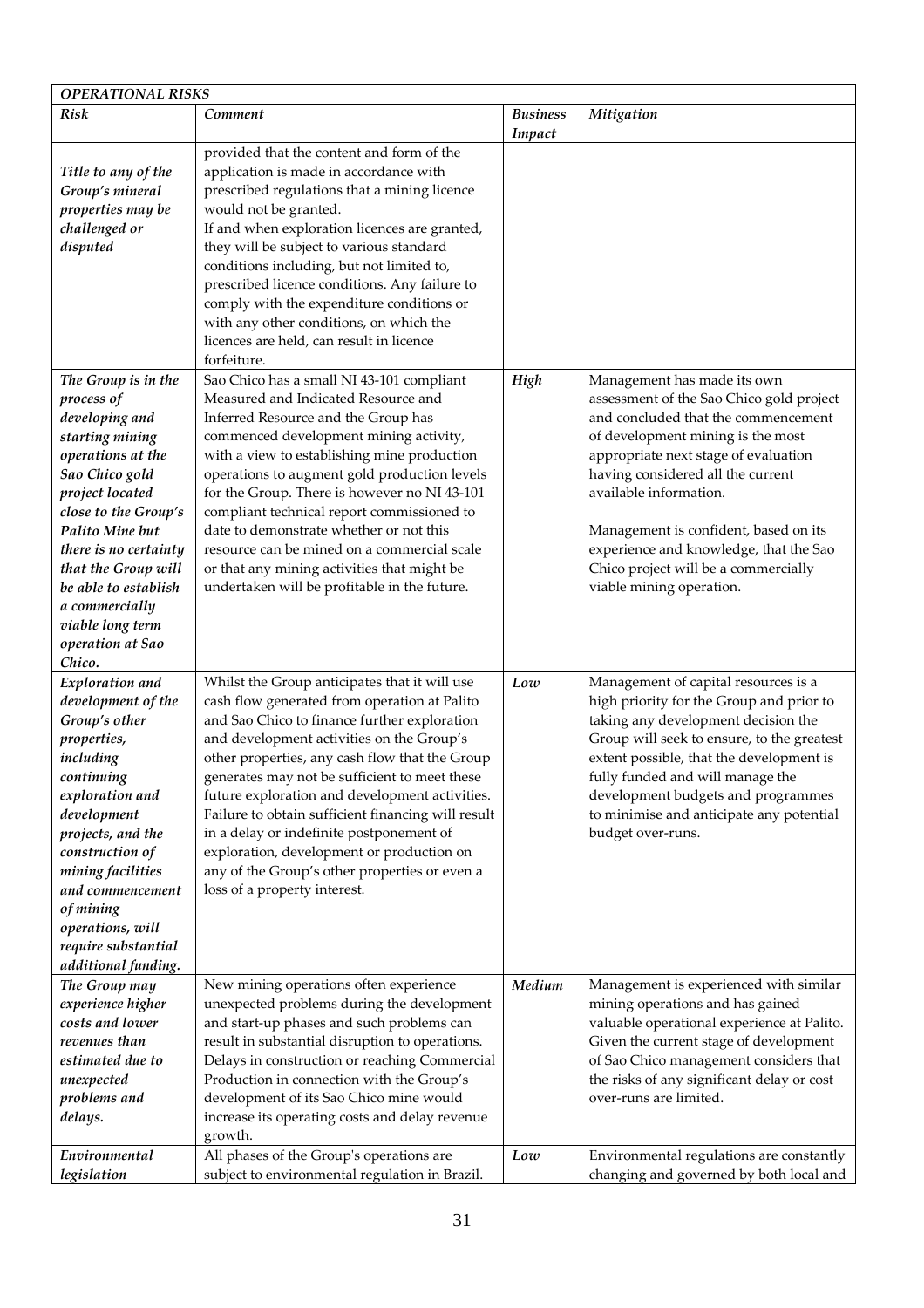| <b>OPERATIONAL RISKS</b>                                                                                                                                                                                                                                                                           |                                                                                                                                                                                                                                                                                                                                                                                                                                                                                                                                                                                                                                       |                           |                                                                                                                                                                                                                                                                                                                                                              |
|----------------------------------------------------------------------------------------------------------------------------------------------------------------------------------------------------------------------------------------------------------------------------------------------------|---------------------------------------------------------------------------------------------------------------------------------------------------------------------------------------------------------------------------------------------------------------------------------------------------------------------------------------------------------------------------------------------------------------------------------------------------------------------------------------------------------------------------------------------------------------------------------------------------------------------------------------|---------------------------|--------------------------------------------------------------------------------------------------------------------------------------------------------------------------------------------------------------------------------------------------------------------------------------------------------------------------------------------------------------|
| Risk                                                                                                                                                                                                                                                                                               | Comment                                                                                                                                                                                                                                                                                                                                                                                                                                                                                                                                                                                                                               | <b>Business</b><br>Impact | Mitigation                                                                                                                                                                                                                                                                                                                                                   |
| Title to any of the<br>Group's mineral<br>properties may be<br>challenged or<br>disputed<br>The Group is in the<br>process of<br>developing and                                                                                                                                                    | provided that the content and form of the<br>application is made in accordance with<br>prescribed regulations that a mining licence<br>would not be granted.<br>If and when exploration licences are granted,<br>they will be subject to various standard<br>conditions including, but not limited to,<br>prescribed licence conditions. Any failure to<br>comply with the expenditure conditions or<br>with any other conditions, on which the<br>licences are held, can result in licence<br>forfeiture.<br>Sao Chico has a small NI 43-101 compliant<br>Measured and Indicated Resource and<br>Inferred Resource and the Group has | High                      | Management has made its own<br>assessment of the Sao Chico gold project<br>and concluded that the commencement                                                                                                                                                                                                                                               |
| starting mining<br>operations at the<br>Sao Chico gold<br>project located<br>close to the Group's<br>Palito Mine but<br>there is no certainty<br>that the Group will<br>be able to establish<br>a commercially<br>viable long term<br>operation at Sao<br>Chico.                                   | commenced development mining activity,<br>with a view to establishing mine production<br>operations to augment gold production levels<br>for the Group. There is however no NI 43-101<br>compliant technical report commissioned to<br>date to demonstrate whether or not this<br>resource can be mined on a commercial scale<br>or that any mining activities that might be<br>undertaken will be profitable in the future.                                                                                                                                                                                                          |                           | of development mining is the most<br>appropriate next stage of evaluation<br>having considered all the current<br>available information.<br>Management is confident, based on its<br>experience and knowledge, that the Sao<br>Chico project will be a commercially<br>viable mining operation.                                                              |
| Exploration and<br>development of the<br>Group's other<br>properties,<br>including<br>continuing<br>exploration and<br>development<br>projects, and the<br>construction of<br>mining facilities<br>and commencement<br>of mining<br>operations, will<br>require substantial<br>additional funding. | Whilst the Group anticipates that it will use<br>cash flow generated from operation at Palito<br>and Sao Chico to finance further exploration<br>and development activities on the Group's<br>other properties, any cash flow that the Group<br>generates may not be sufficient to meet these<br>future exploration and development activities.<br>Failure to obtain sufficient financing will result<br>in a delay or indefinite postponement of<br>exploration, development or production on<br>any of the Group's other properties or even a<br>loss of a property interest.                                                       | Low                       | Management of capital resources is a<br>high priority for the Group and prior to<br>taking any development decision the<br>Group will seek to ensure, to the greatest<br>extent possible, that the development is<br>fully funded and will manage the<br>development budgets and programmes<br>to minimise and anticipate any potential<br>budget over-runs. |
| The Group may<br>experience higher<br>costs and lower<br>revenues than<br>estimated due to<br>unexpected<br>problems and<br>delays.                                                                                                                                                                | New mining operations often experience<br>unexpected problems during the development<br>and start-up phases and such problems can<br>result in substantial disruption to operations.<br>Delays in construction or reaching Commercial<br>Production in connection with the Group's<br>development of its Sao Chico mine would<br>increase its operating costs and delay revenue<br>growth.                                                                                                                                                                                                                                            | Medium                    | Management is experienced with similar<br>mining operations and has gained<br>valuable operational experience at Palito.<br>Given the current stage of development<br>of Sao Chico management considers that<br>the risks of any significant delay or cost<br>over-runs are limited.                                                                         |
| Environmental<br>legislation                                                                                                                                                                                                                                                                       | All phases of the Group's operations are<br>subject to environmental regulation in Brazil.                                                                                                                                                                                                                                                                                                                                                                                                                                                                                                                                            | Low                       | Environmental regulations are constantly<br>changing and governed by both local and                                                                                                                                                                                                                                                                          |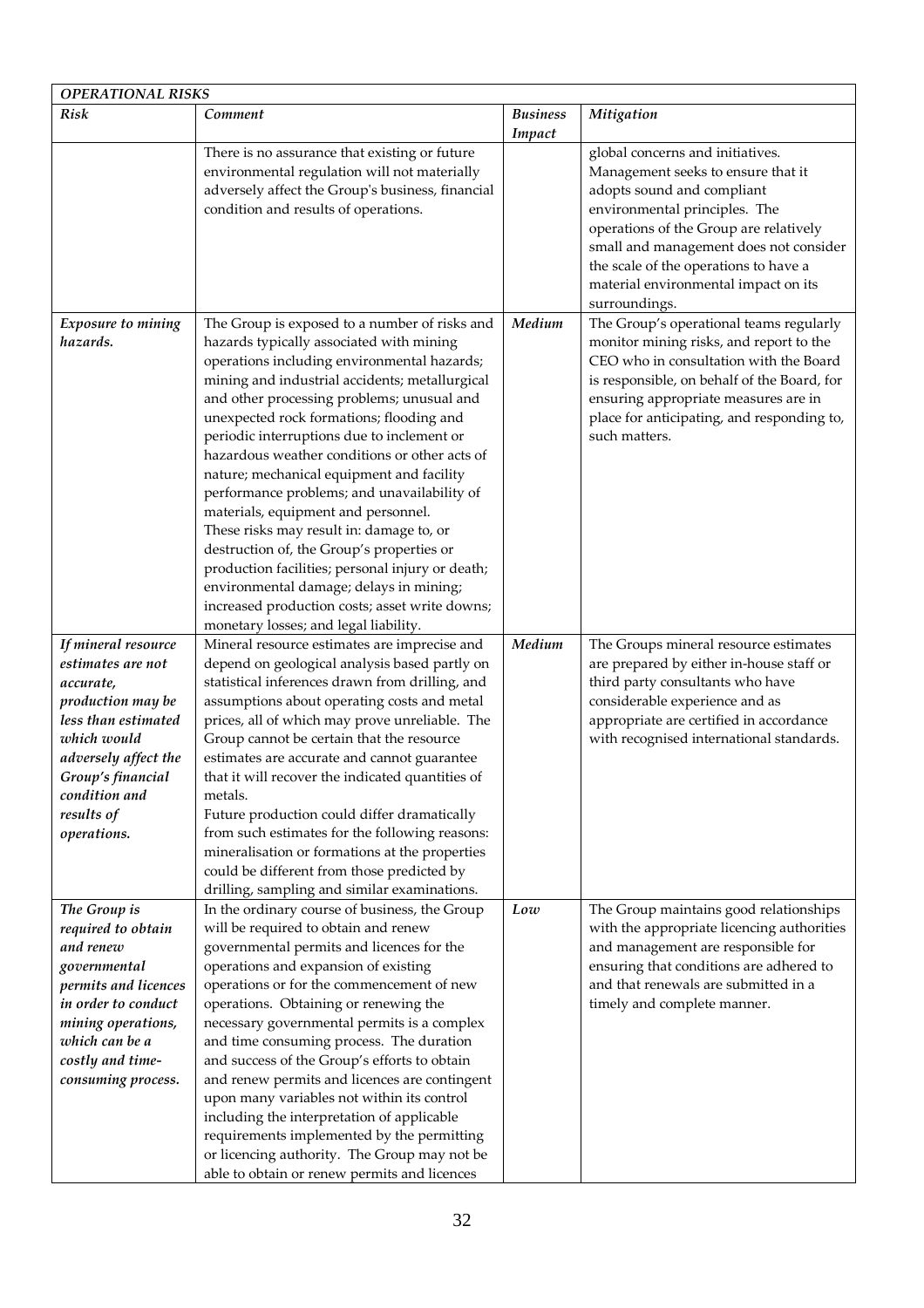| <b>OPERATIONAL RISKS</b>                                                                                                                                                                                    |                                                                                                                                                                                                                                                                                                                                                                                                                                                                                                                                                                                                                                                                                                                                                                                                           |                           |                                                                                                                                                                                                                                                                                                                             |
|-------------------------------------------------------------------------------------------------------------------------------------------------------------------------------------------------------------|-----------------------------------------------------------------------------------------------------------------------------------------------------------------------------------------------------------------------------------------------------------------------------------------------------------------------------------------------------------------------------------------------------------------------------------------------------------------------------------------------------------------------------------------------------------------------------------------------------------------------------------------------------------------------------------------------------------------------------------------------------------------------------------------------------------|---------------------------|-----------------------------------------------------------------------------------------------------------------------------------------------------------------------------------------------------------------------------------------------------------------------------------------------------------------------------|
| <b>Risk</b>                                                                                                                                                                                                 | Comment                                                                                                                                                                                                                                                                                                                                                                                                                                                                                                                                                                                                                                                                                                                                                                                                   | <b>Business</b><br>Impact | Mitigation                                                                                                                                                                                                                                                                                                                  |
|                                                                                                                                                                                                             | There is no assurance that existing or future<br>environmental regulation will not materially<br>adversely affect the Group's business, financial<br>condition and results of operations.                                                                                                                                                                                                                                                                                                                                                                                                                                                                                                                                                                                                                 |                           | global concerns and initiatives.<br>Management seeks to ensure that it<br>adopts sound and compliant<br>environmental principles. The<br>operations of the Group are relatively<br>small and management does not consider<br>the scale of the operations to have a<br>material environmental impact on its<br>surroundings. |
| Exposure to mining<br>hazards.                                                                                                                                                                              | The Group is exposed to a number of risks and<br>hazards typically associated with mining<br>operations including environmental hazards;<br>mining and industrial accidents; metallurgical<br>and other processing problems; unusual and<br>unexpected rock formations; flooding and<br>periodic interruptions due to inclement or<br>hazardous weather conditions or other acts of<br>nature; mechanical equipment and facility<br>performance problems; and unavailability of<br>materials, equipment and personnel.<br>These risks may result in: damage to, or<br>destruction of, the Group's properties or<br>production facilities; personal injury or death;<br>environmental damage; delays in mining;<br>increased production costs; asset write downs;<br>monetary losses; and legal liability. | Medium                    | The Group's operational teams regularly<br>monitor mining risks, and report to the<br>CEO who in consultation with the Board<br>is responsible, on behalf of the Board, for<br>ensuring appropriate measures are in<br>place for anticipating, and responding to,<br>such matters.                                          |
| If mineral resource<br>estimates are not<br>accurate,<br>production may be<br>less than estimated<br>which would<br>adversely affect the<br>Group's financial<br>condition and<br>results of<br>operations. | Mineral resource estimates are imprecise and<br>depend on geological analysis based partly on<br>statistical inferences drawn from drilling, and<br>assumptions about operating costs and metal<br>prices, all of which may prove unreliable. The<br>Group cannot be certain that the resource<br>estimates are accurate and cannot guarantee<br>that it will recover the indicated quantities of<br>metals.<br>Future production could differ dramatically<br>from such estimates for the following reasons:<br>mineralisation or formations at the properties<br>could be different from those predicted by<br>drilling, sampling and similar examinations.                                                                                                                                             | Medium                    | The Groups mineral resource estimates<br>are prepared by either in-house staff or<br>third party consultants who have<br>considerable experience and as<br>appropriate are certified in accordance<br>with recognised international standards.                                                                              |
| The Group is<br>required to obtain<br>and renew<br>governmental<br>permits and licences<br>in order to conduct<br>mining operations,<br>which can be a<br>costly and time-<br>consuming process.            | In the ordinary course of business, the Group<br>will be required to obtain and renew<br>governmental permits and licences for the<br>operations and expansion of existing<br>operations or for the commencement of new<br>operations. Obtaining or renewing the<br>necessary governmental permits is a complex<br>and time consuming process. The duration<br>and success of the Group's efforts to obtain<br>and renew permits and licences are contingent<br>upon many variables not within its control<br>including the interpretation of applicable<br>requirements implemented by the permitting<br>or licencing authority. The Group may not be<br>able to obtain or renew permits and licences                                                                                                    | Low                       | The Group maintains good relationships<br>with the appropriate licencing authorities<br>and management are responsible for<br>ensuring that conditions are adhered to<br>and that renewals are submitted in a<br>timely and complete manner.                                                                                |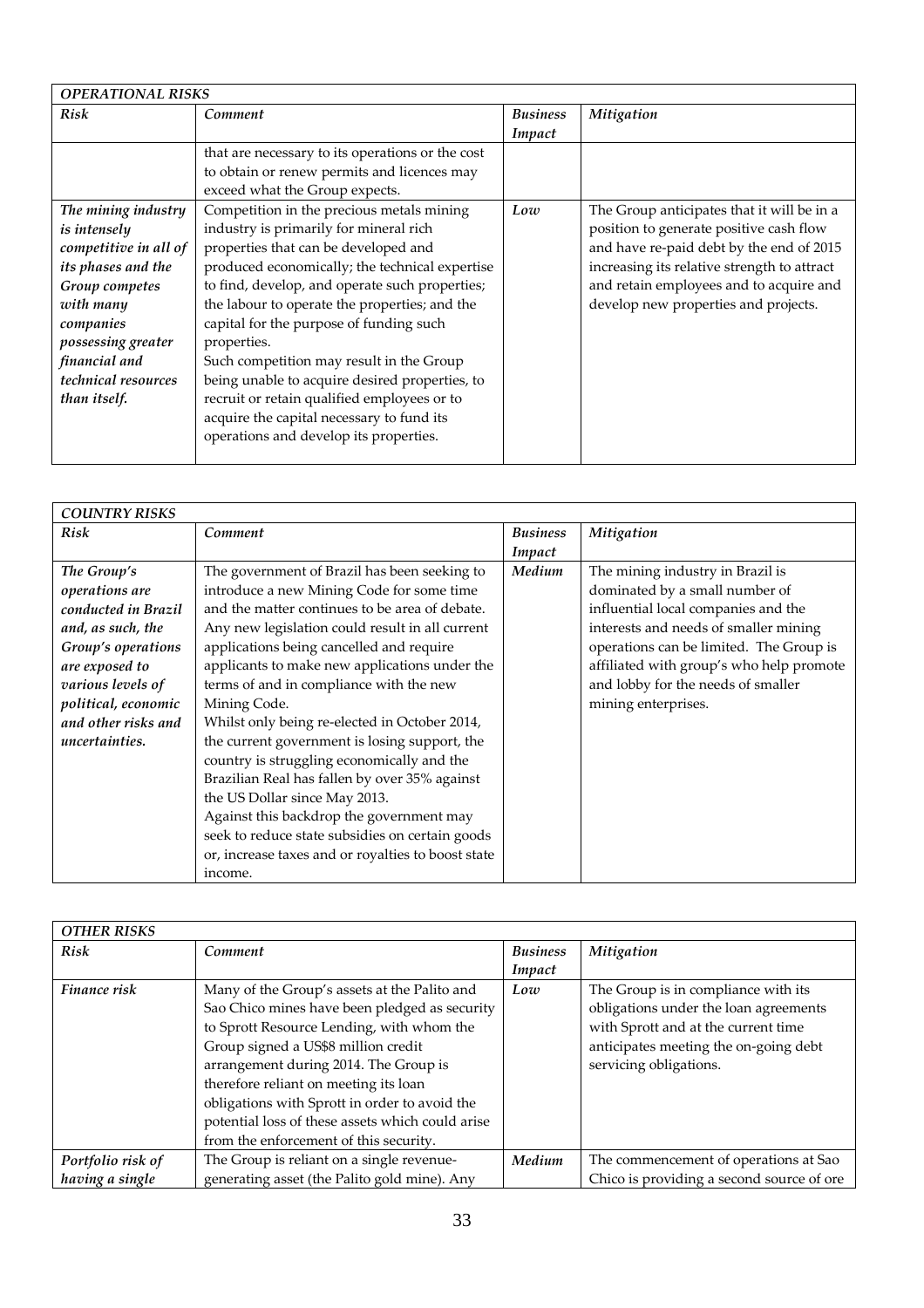| <b>OPERATIONAL RISKS</b> |                                                  |                 |                                             |
|--------------------------|--------------------------------------------------|-----------------|---------------------------------------------|
| Risk                     | Comment                                          | <b>Business</b> | Mitigation                                  |
|                          |                                                  | Impact          |                                             |
|                          | that are necessary to its operations or the cost |                 |                                             |
|                          | to obtain or renew permits and licences may      |                 |                                             |
|                          | exceed what the Group expects.                   |                 |                                             |
| The mining industry      | Competition in the precious metals mining        | Low             | The Group anticipates that it will be in a  |
| is intensely             | industry is primarily for mineral rich           |                 | position to generate positive cash flow     |
| competitive in all of    | properties that can be developed and             |                 | and have re-paid debt by the end of 2015    |
| its phases and the       | produced economically; the technical expertise   |                 | increasing its relative strength to attract |
| Group competes           | to find, develop, and operate such properties;   |                 | and retain employees and to acquire and     |
| with many                | the labour to operate the properties; and the    |                 | develop new properties and projects.        |
| companies                | capital for the purpose of funding such          |                 |                                             |
| possessing greater       | properties.                                      |                 |                                             |
| financial and            | Such competition may result in the Group         |                 |                                             |
| technical resources      | being unable to acquire desired properties, to   |                 |                                             |
| than itself.             | recruit or retain qualified employees or to      |                 |                                             |
|                          | acquire the capital necessary to fund its        |                 |                                             |
|                          | operations and develop its properties.           |                 |                                             |
|                          |                                                  |                 |                                             |

| <b>COUNTRY RISKS</b> |                                                    |                 |                                          |
|----------------------|----------------------------------------------------|-----------------|------------------------------------------|
| <b>Risk</b>          | Comment                                            | <b>Business</b> | Mitigation                               |
|                      |                                                    | Impact          |                                          |
| The Group's          | The government of Brazil has been seeking to       | Medium          | The mining industry in Brazil is         |
| operations are       | introduce a new Mining Code for some time          |                 | dominated by a small number of           |
| conducted in Brazil  | and the matter continues to be area of debate.     |                 | influential local companies and the      |
| and, as such, the    | Any new legislation could result in all current    |                 | interests and needs of smaller mining    |
| Group's operations   | applications being cancelled and require           |                 | operations can be limited. The Group is  |
| are exposed to       | applicants to make new applications under the      |                 | affiliated with group's who help promote |
| various levels of    | terms of and in compliance with the new            |                 | and lobby for the needs of smaller       |
| political, economic  | Mining Code.                                       |                 | mining enterprises.                      |
| and other risks and  | Whilst only being re-elected in October 2014,      |                 |                                          |
| uncertainties.       | the current government is losing support, the      |                 |                                          |
|                      | country is struggling economically and the         |                 |                                          |
|                      | Brazilian Real has fallen by over 35% against      |                 |                                          |
|                      | the US Dollar since May 2013.                      |                 |                                          |
|                      | Against this backdrop the government may           |                 |                                          |
|                      | seek to reduce state subsidies on certain goods    |                 |                                          |
|                      | or, increase taxes and or royalties to boost state |                 |                                          |
|                      | income.                                            |                 |                                          |

| <b>OTHER RISKS</b> |                                                  |                 |                                           |
|--------------------|--------------------------------------------------|-----------------|-------------------------------------------|
| <b>Risk</b>        | Comment                                          | <b>Business</b> | <b>Mitigation</b>                         |
|                    |                                                  | Impact          |                                           |
| Finance risk       | Many of the Group's assets at the Palito and     | Low             | The Group is in compliance with its       |
|                    | Sao Chico mines have been pledged as security    |                 | obligations under the loan agreements     |
|                    | to Sprott Resource Lending, with whom the        |                 | with Sprott and at the current time       |
|                    | Group signed a US\$8 million credit              |                 | anticipates meeting the on-going debt     |
|                    | arrangement during 2014. The Group is            |                 | servicing obligations.                    |
|                    | therefore reliant on meeting its loan            |                 |                                           |
|                    | obligations with Sprott in order to avoid the    |                 |                                           |
|                    | potential loss of these assets which could arise |                 |                                           |
|                    | from the enforcement of this security.           |                 |                                           |
| Portfolio risk of  | The Group is reliant on a single revenue-        | Medium          | The commencement of operations at Sao     |
| having a single    | generating asset (the Palito gold mine). Any     |                 | Chico is providing a second source of ore |